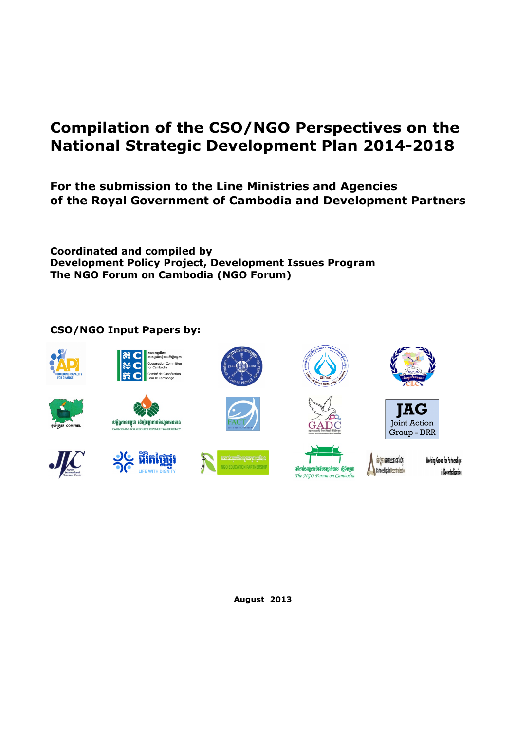# **Compilation of the CSO/NGO Perspectives on the National Strategic Development Plan 2014-2018**

# **For the submission to the Line Ministries and Agencies of the Royal Government of Cambodia and Development Partners**

**Coordinated and compiled by Development Policy Project, Development Issues Program The NGO Forum on Cambodia (NGO Forum)** 

# **CSO/NGO Input Papers by:**





 $25$   $\%$   $\frac{25}{25}$ 













**sucmanum andica** 

Partnerships in Decentralization

**Working Group for Partnerships** in Decentralization

## **August 2013**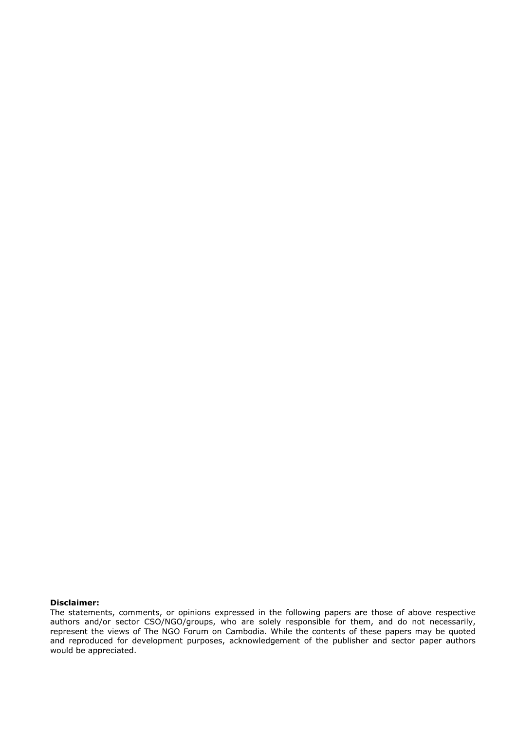#### **Disclaimer:**

The statements, comments, or opinions expressed in the following papers are those of above respective authors and/or sector CSO/NGO/groups, who are solely responsible for them, and do not necessarily, represent the views of The NGO Forum on Cambodia. While the contents of these papers may be quoted and reproduced for development purposes, acknowledgement of the publisher and sector paper authors would be appreciated.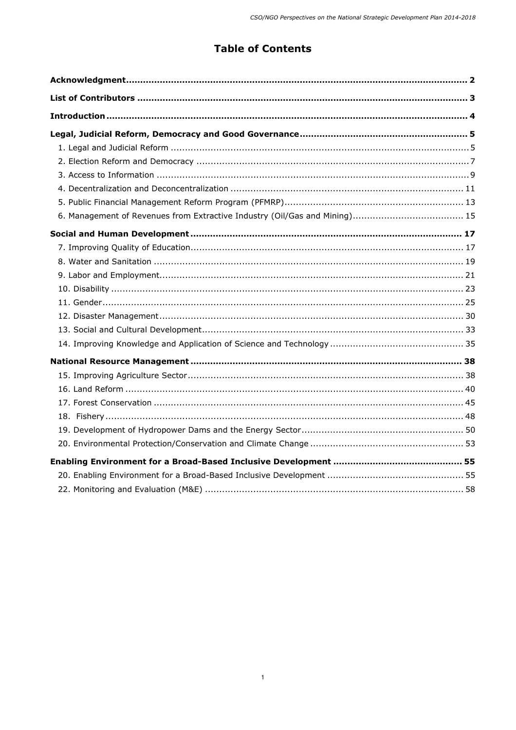# **Table of Contents**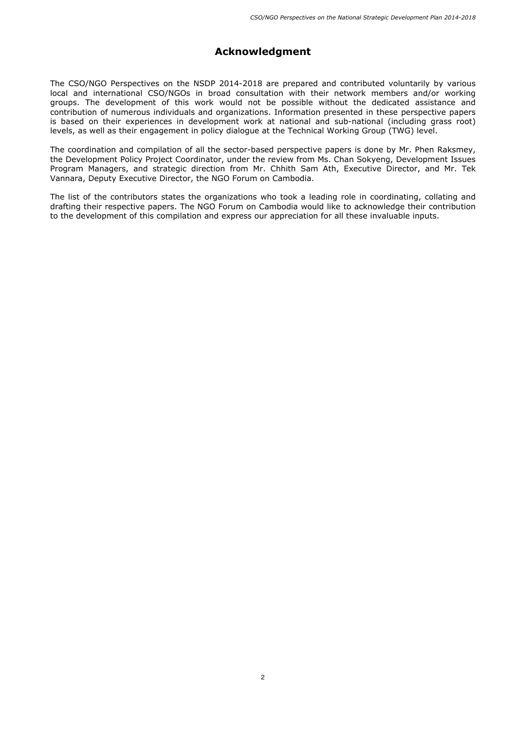# **Acknowledgment**

The CSO/NGO Perspectives on the NSDP 2014-2018 are prepared and contributed voluntarily by various local and international CSO/NGOs in broad consultation with their network members and/or working groups. The development of this work would not be possible without the dedicated assistance and contribution of numerous individuals and organizations. Information presented in these perspective papers is based on their experiences in development work at national and sub-national (including grass root) levels, as well as their engagement in policy dialogue at the Technical Working Group (TWG) level.

The coordination and compilation of all the sector-based perspective papers is done by Mr. Phen Raksmey, the Development Policy Project Coordinator, under the review from Ms. Chan Sokyeng, Development Issues Program Managers, and strategic direction from Mr. Chhith Sam Ath, Executive Director, and Mr. Tek Vannara, Deputy Executive Director, the NGO Forum on Cambodia.

The list of the contributors states the organizations who took a leading role in coordinating, collating and drafting their respective papers. The NGO Forum on Cambodia would like to acknowledge their contribution to the development of this compilation and express our appreciation for all these invaluable inputs.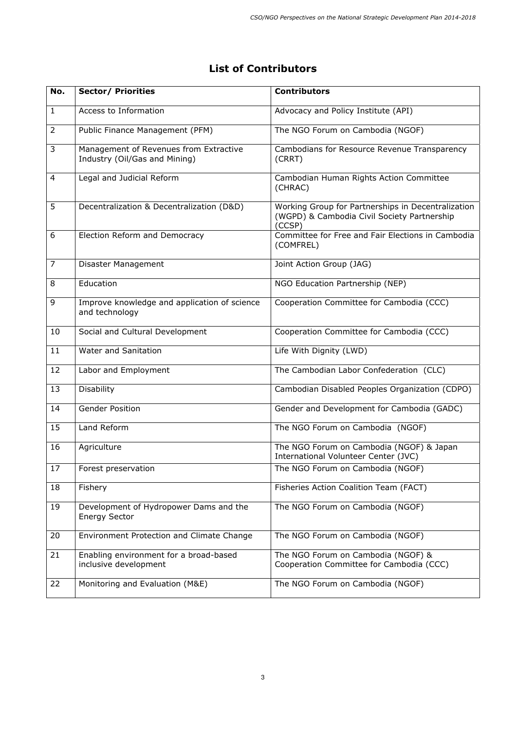# **List of Contributors**

| No.            | <b>Sector/ Priorities</b>                                               | <b>Contributors</b>                                                                                         |
|----------------|-------------------------------------------------------------------------|-------------------------------------------------------------------------------------------------------------|
| $\mathbf{1}$   | Access to Information                                                   | Advocacy and Policy Institute (API)                                                                         |
| $\overline{2}$ | Public Finance Management (PFM)                                         | The NGO Forum on Cambodia (NGOF)                                                                            |
| 3              | Management of Revenues from Extractive<br>Industry (Oil/Gas and Mining) | Cambodians for Resource Revenue Transparency<br>(CRRT)                                                      |
| $\overline{4}$ | Legal and Judicial Reform                                               | Cambodian Human Rights Action Committee<br>(CHRAC)                                                          |
| 5              | Decentralization & Decentralization (D&D)                               | Working Group for Partnerships in Decentralization<br>(WGPD) & Cambodia Civil Society Partnership<br>(CCSP) |
| 6              | Election Reform and Democracy                                           | Committee for Free and Fair Elections in Cambodia<br>(COMFREL)                                              |
| $\overline{7}$ | Disaster Management                                                     | Joint Action Group (JAG)                                                                                    |
| 8              | Education                                                               | NGO Education Partnership (NEP)                                                                             |
| 9              | Improve knowledge and application of science<br>and technology          | Cooperation Committee for Cambodia (CCC)                                                                    |
| 10             | Social and Cultural Development                                         | Cooperation Committee for Cambodia (CCC)                                                                    |
| 11             | <b>Water and Sanitation</b>                                             | Life With Dignity (LWD)                                                                                     |
| 12             | Labor and Employment                                                    | The Cambodian Labor Confederation (CLC)                                                                     |
| 13             | <b>Disability</b>                                                       | Cambodian Disabled Peoples Organization (CDPO)                                                              |
| 14             | <b>Gender Position</b>                                                  | Gender and Development for Cambodia (GADC)                                                                  |
| 15             | Land Reform                                                             | The NGO Forum on Cambodia (NGOF)                                                                            |
| 16             | Agriculture                                                             | The NGO Forum on Cambodia (NGOF) & Japan<br>International Volunteer Center (JVC)                            |
| 17             | Forest preservation                                                     | The NGO Forum on Cambodia (NGOF)                                                                            |
| 18             | Fishery                                                                 | Fisheries Action Coalition Team (FACT)                                                                      |
| 19             | Development of Hydropower Dams and the<br><b>Energy Sector</b>          | The NGO Forum on Cambodia (NGOF)                                                                            |
| 20             | Environment Protection and Climate Change                               | The NGO Forum on Cambodia (NGOF)                                                                            |
| 21             | Enabling environment for a broad-based<br>inclusive development         | The NGO Forum on Cambodia (NGOF) &<br>Cooperation Committee for Cambodia (CCC)                              |
| 22             | Monitoring and Evaluation (M&E)                                         | The NGO Forum on Cambodia (NGOF)                                                                            |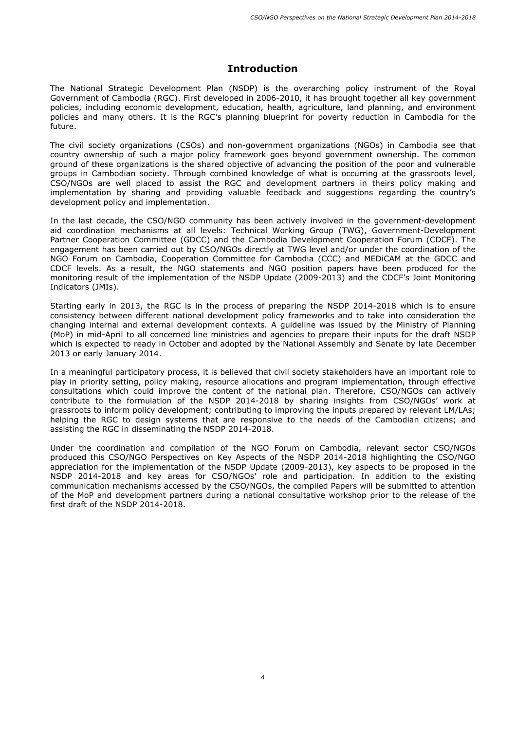## **Introduction**

The National Strategic Development Plan (NSDP) is the overarching policy instrument of the Royal Government of Cambodia (RGC). First developed in 2006-2010, it has brought together all key government policies, including economic development, education, health, agriculture, land planning, and environment policies and many others. It is the RGC's planning blueprint for poverty reduction in Cambodia for the future.

The civil society organizations (CSOs) and non-government organizations (NGOs) in Cambodia see that country ownership of such a major policy framework goes beyond government ownership. The common ground of these organizations is the shared objective of advancing the position of the poor and vulnerable groups in Cambodian society. Through combined knowledge of what is occurring at the grassroots level, CSO/NGOs are well placed to assist the RGC and development partners in theirs policy making and implementation by sharing and providing valuable feedback and suggestions regarding the country's development policy and implementation.

In the last decade, the CSO/NGO community has been actively involved in the government-development aid coordination mechanisms at all levels: Technical Working Group (TWG), Government-Development Partner Cooperation Committee (GDCC) and the Cambodia Development Cooperation Forum (CDCF). The engagement has been carried out by CSO/NGOs directly at TWG level and/or under the coordination of the NGO Forum on Cambodia, Cooperation Committee for Cambodia (CCC) and MEDiCAM at the GDCC and CDCF levels. As a result, the NGO statements and NGO position papers have been produced for the monitoring result of the implementation of the NSDP Update (2009-2013) and the CDCF's Joint Monitoring Indicators (JMIs).

Starting early in 2013, the RGC is in the process of preparing the NSDP 2014-2018 which is to ensure consistency between different national development policy frameworks and to take into consideration the changing internal and external development contexts. A guideline was issued by the Ministry of Planning (MoP) in mid-April to all concerned line ministries and agencies to prepare their inputs for the draft NSDP which is expected to ready in October and adopted by the National Assembly and Senate by late December 2013 or early January 2014.

In a meaningful participatory process, it is believed that civil society stakeholders have an important role to play in priority setting, policy making, resource allocations and program implementation, through effective consultations which could improve the content of the national plan. Therefore, CSO/NGOs can actively contribute to the formulation of the NSDP 2014-2018 by sharing insights from CSO/NGOs' work at grassroots to inform policy development; contributing to improving the inputs prepared by relevant LM/LAs; helping the RGC to design systems that are responsive to the needs of the Cambodian citizens; and assisting the RGC in disseminating the NSDP 2014-2018.

Under the coordination and compilation of the NGO Forum on Cambodia, relevant sector CSO/NGOs produced this CSO/NGO Perspectives on Key Aspects of the NSDP 2014-2018 highlighting the CSO/NGO appreciation for the implementation of the NSDP Update (2009-2013), key aspects to be proposed in the NSDP 2014-2018 and key areas for CSO/NGOs' role and participation. In addition to the existing communication mechanisms accessed by the CSO/NGOs, the compiled Papers will be submitted to attention of the MoP and development partners during a national consultative workshop prior to the release of the first draft of the NSDP 2014-2018.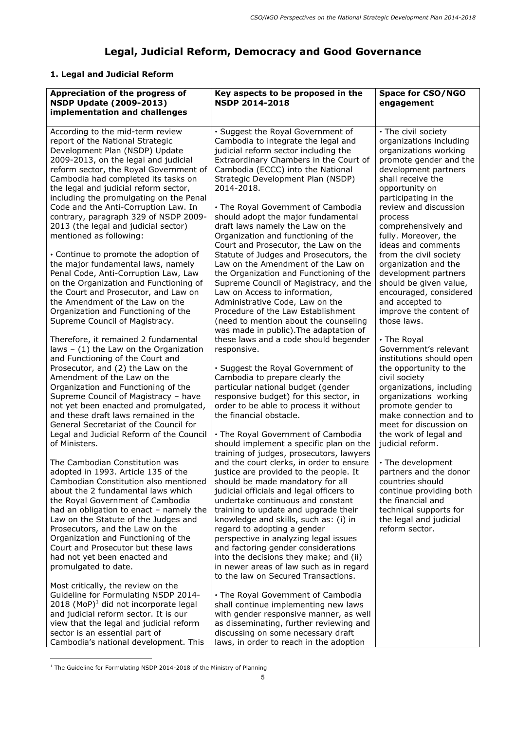# **Legal, Judicial Reform, Democracy and Good Governance**

# **1. Legal and Judicial Reform**

| Appreciation of the progress of<br><b>NSDP Update (2009-2013)</b><br>implementation and challenges                                                                                                                                                                                                                  | Key aspects to be proposed in the<br><b>NSDP 2014-2018</b>                                                                                                                                                                                         | <b>Space for CSO/NGO</b><br>engagement                                                                                                                                                   |
|---------------------------------------------------------------------------------------------------------------------------------------------------------------------------------------------------------------------------------------------------------------------------------------------------------------------|----------------------------------------------------------------------------------------------------------------------------------------------------------------------------------------------------------------------------------------------------|------------------------------------------------------------------------------------------------------------------------------------------------------------------------------------------|
| According to the mid-term review<br>report of the National Strategic<br>Development Plan (NSDP) Update<br>2009-2013, on the legal and judicial<br>reform sector, the Royal Government of<br>Cambodia had completed its tasks on<br>the legal and judicial reform sector,<br>including the promulgating on the Penal | · Suggest the Royal Government of<br>Cambodia to integrate the legal and<br>judicial reform sector including the<br>Extraordinary Chambers in the Court of<br>Cambodia (ECCC) into the National<br>Strategic Development Plan (NSDP)<br>2014-2018. | • The civil society<br>organizations including<br>organizations working<br>promote gender and the<br>development partners<br>shall receive the<br>opportunity on<br>participating in the |
| Code and the Anti-Corruption Law. In<br>contrary, paragraph 329 of NSDP 2009-<br>2013 (the legal and judicial sector)<br>mentioned as following:                                                                                                                                                                    | • The Royal Government of Cambodia<br>should adopt the major fundamental<br>draft laws namely the Law on the<br>Organization and functioning of the<br>Court and Prosecutor, the Law on the                                                        | review and discussion<br>process<br>comprehensively and<br>fully. Moreover, the<br>ideas and comments                                                                                    |
| • Continue to promote the adoption of<br>the major fundamental laws, namely<br>Penal Code, Anti-Corruption Law, Law<br>on the Organization and Functioning of<br>the Court and Prosecutor, and Law on<br>the Amendment of the Law on the                                                                            | Statute of Judges and Prosecutors, the<br>Law on the Amendment of the Law on<br>the Organization and Functioning of the<br>Supreme Council of Magistracy, and the<br>Law on Access to information,<br>Administrative Code, Law on the              | from the civil society<br>organization and the<br>development partners<br>should be given value,<br>encouraged, considered<br>and accepted to                                            |
| Organization and Functioning of the<br>Supreme Council of Magistracy.<br>Therefore, it remained 2 fundamental                                                                                                                                                                                                       | Procedure of the Law Establishment<br>(need to mention about the counseling<br>was made in public). The adaptation of<br>these laws and a code should begender                                                                                     | improve the content of<br>those laws.<br>• The Royal                                                                                                                                     |
| laws $-$ (1) the Law on the Organization<br>and Functioning of the Court and<br>Prosecutor, and (2) the Law on the<br>Amendment of the Law on the<br>Organization and Functioning of the                                                                                                                            | responsive.<br>• Suggest the Royal Government of<br>Cambodia to prepare clearly the<br>particular national budget (gender                                                                                                                          | Government's relevant<br>institutions should open<br>the opportunity to the<br>civil society<br>organizations, including                                                                 |
| Supreme Council of Magistracy - have<br>not yet been enacted and promulgated,<br>and these draft laws remained in the<br>General Secretariat of the Council for<br>Legal and Judicial Reform of the Council                                                                                                         | responsive budget) for this sector, in<br>order to be able to process it without<br>the financial obstacle.<br>• The Royal Government of Cambodia                                                                                                  | organizations working<br>promote gender to<br>make connection and to<br>meet for discussion on<br>the work of legal and                                                                  |
| of Ministers.<br>The Cambodian Constitution was<br>adopted in 1993. Article 135 of the<br>Cambodian Constitution also mentioned                                                                                                                                                                                     | should implement a specific plan on the<br>training of judges, prosecutors, lawyers<br>and the court clerks, in order to ensure<br>justice are provided to the people. It<br>should be made mandatory for all                                      | judicial reform.<br>• The development<br>partners and the donor<br>countries should                                                                                                      |
| about the 2 fundamental laws which<br>the Royal Government of Cambodia<br>had an obligation to enact - namely the<br>Law on the Statute of the Judges and<br>Prosecutors, and the Law on the<br>Organization and Functioning of the                                                                                 | judicial officials and legal officers to<br>undertake continuous and constant<br>training to update and upgrade their<br>knowledge and skills, such as: (i) in<br>regard to adopting a gender<br>perspective in analyzing legal issues             | continue providing both<br>the financial and<br>technical supports for<br>the legal and judicial<br>reform sector.                                                                       |
| Court and Prosecutor but these laws<br>had not yet been enacted and<br>promulgated to date.<br>Most critically, the review on the                                                                                                                                                                                   | and factoring gender considerations<br>into the decisions they make; and (ii)<br>in newer areas of law such as in regard<br>to the law on Secured Transactions.                                                                                    |                                                                                                                                                                                          |
| <b>Guideline for Formulating NSDP 2014-</b><br>$2018$ (MoP) <sup>1</sup> did not incorporate legal<br>and judicial reform sector. It is our<br>view that the legal and judicial reform<br>sector is an essential part of<br>Cambodia's national development. This                                                   | • The Royal Government of Cambodia<br>shall continue implementing new laws<br>with gender responsive manner, as well<br>as disseminating, further reviewing and<br>discussing on some necessary draft<br>laws, in order to reach in the adoption   |                                                                                                                                                                                          |

 $1$  The Guideline for Formulating NSDP 2014-2018 of the Ministry of Planning

ł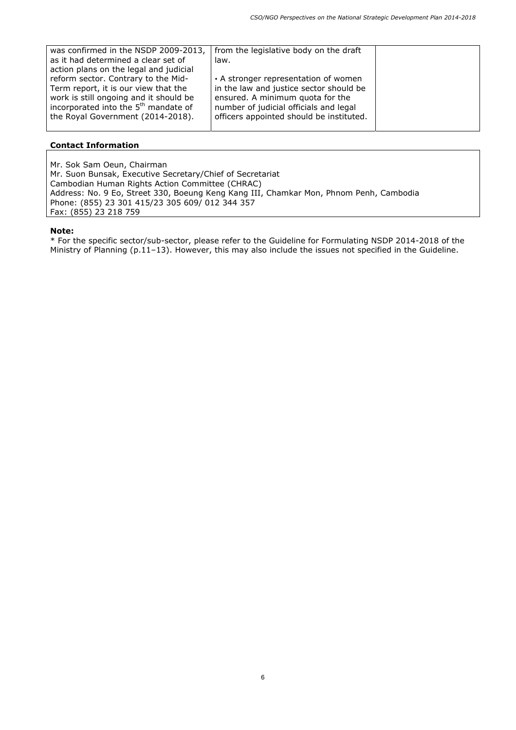| was confirmed in the NSDP 2009-2013,             | from the legislative body on the draft   |  |
|--------------------------------------------------|------------------------------------------|--|
| as it had determined a clear set of              | law.                                     |  |
| action plans on the legal and judicial           |                                          |  |
| reform sector. Contrary to the Mid-              | • A stronger representation of women     |  |
| Term report, it is our view that the             | in the law and justice sector should be  |  |
| work is still ongoing and it should be           | ensured. A minimum quota for the         |  |
| incorporated into the 5 <sup>th</sup> mandate of | number of judicial officials and legal   |  |
| the Royal Government (2014-2018).                | officers appointed should be instituted. |  |
|                                                  |                                          |  |

Mr. Sok Sam Oeun, Chairman Mr. Suon Bunsak, Executive Secretary/Chief of Secretariat Cambodian Human Rights Action Committee (CHRAC) Address: No. 9 Eo, Street 330, Boeung Keng Kang III, Chamkar Mon, Phnom Penh, Cambodia Phone: (855) 23 301 415/23 305 609/ 012 344 357 Fax: (855) 23 218 759

#### **Note:**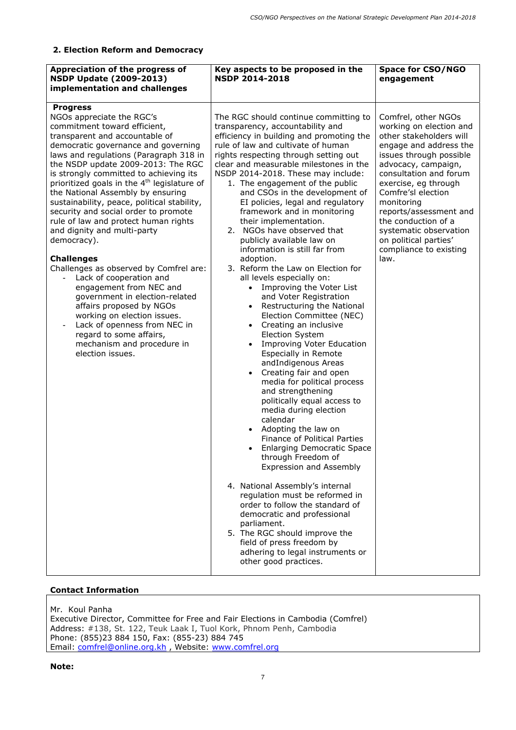## **2. Election Reform and Democracy**

| Appreciation of the progress of<br><b>NSDP Update (2009-2013)</b><br>implementation and challenges                                                                                                                                                                                                                                                                                                                                                                                                                                                                                                                                                                                                                                                                                                                                                                                          | Key aspects to be proposed in the<br><b>NSDP 2014-2018</b>                                                                                                                                                                                                                                                                                                                                                                                                                                                                                                                                                                                                                                                                                                                                                                                                                                                                                                                                                                                                                                                                                                                                                                                                                                                                                                                                                                                                                                      | <b>Space for CSO/NGO</b><br>engagement                                                                                                                                                                                                                                                                                                                                            |
|---------------------------------------------------------------------------------------------------------------------------------------------------------------------------------------------------------------------------------------------------------------------------------------------------------------------------------------------------------------------------------------------------------------------------------------------------------------------------------------------------------------------------------------------------------------------------------------------------------------------------------------------------------------------------------------------------------------------------------------------------------------------------------------------------------------------------------------------------------------------------------------------|-------------------------------------------------------------------------------------------------------------------------------------------------------------------------------------------------------------------------------------------------------------------------------------------------------------------------------------------------------------------------------------------------------------------------------------------------------------------------------------------------------------------------------------------------------------------------------------------------------------------------------------------------------------------------------------------------------------------------------------------------------------------------------------------------------------------------------------------------------------------------------------------------------------------------------------------------------------------------------------------------------------------------------------------------------------------------------------------------------------------------------------------------------------------------------------------------------------------------------------------------------------------------------------------------------------------------------------------------------------------------------------------------------------------------------------------------------------------------------------------------|-----------------------------------------------------------------------------------------------------------------------------------------------------------------------------------------------------------------------------------------------------------------------------------------------------------------------------------------------------------------------------------|
| <b>Progress</b><br>NGOs appreciate the RGC's<br>commitment toward efficient,<br>transparent and accountable of<br>democratic governance and governing<br>laws and regulations (Paragraph 318 in<br>the NSDP update 2009-2013: The RGC<br>is strongly committed to achieving its<br>prioritized goals in the 4 <sup>th</sup> legislature of<br>the National Assembly by ensuring<br>sustainability, peace, political stability,<br>security and social order to promote<br>rule of law and protect human rights<br>and dignity and multi-party<br>democracy).<br><b>Challenges</b><br>Challenges as observed by Comfrel are:<br>Lack of cooperation and<br>engagement from NEC and<br>government in election-related<br>affairs proposed by NGOs<br>working on election issues.<br>Lack of openness from NEC in<br>regard to some affairs,<br>mechanism and procedure in<br>election issues. | The RGC should continue committing to<br>transparency, accountability and<br>efficiency in building and promoting the<br>rule of law and cultivate of human<br>rights respecting through setting out<br>clear and measurable milestones in the<br>NSDP 2014-2018. These may include:<br>1. The engagement of the public<br>and CSOs in the development of<br>EI policies, legal and regulatory<br>framework and in monitoring<br>their implementation.<br>NGOs have observed that<br>2.<br>publicly available law on<br>information is still far from<br>adoption.<br>3. Reform the Law on Election for<br>all levels especially on:<br>Improving the Voter List<br>and Voter Registration<br>Restructuring the National<br>Election Committee (NEC)<br>Creating an inclusive<br><b>Election System</b><br><b>Improving Voter Education</b><br><b>Especially in Remote</b><br>andIndigenous Areas<br>Creating fair and open<br>media for political process<br>and strengthening<br>politically equal access to<br>media during election<br>calendar<br>Adopting the law on<br><b>Finance of Political Parties</b><br><b>Enlarging Democratic Space</b><br>through Freedom of<br><b>Expression and Assembly</b><br>4. National Assembly's internal<br>regulation must be reformed in<br>order to follow the standard of<br>democratic and professional<br>parliament.<br>5. The RGC should improve the<br>field of press freedom by<br>adhering to legal instruments or<br>other good practices. | Comfrel, other NGOs<br>working on election and<br>other stakeholders will<br>engage and address the<br>issues through possible<br>advocacy, campaign,<br>consultation and forum<br>exercise, eg through<br>Comfre'sl election<br>monitoring<br>reports/assessment and<br>the conduction of a<br>systematic observation<br>on political parties'<br>compliance to existing<br>law. |

## **Contact Information**

Mr. Koul Panha Executive Director, Committee for Free and Fair Elections in Cambodia (Comfrel) Address: #138, St. 122, Teuk Laak I, Tuol Kork, Phnom Penh, Cambodia Phone: (855)23 884 150, Fax: (855-23) 884 745 Email: comfrel@online.org.kh , Website: www.comfrel.org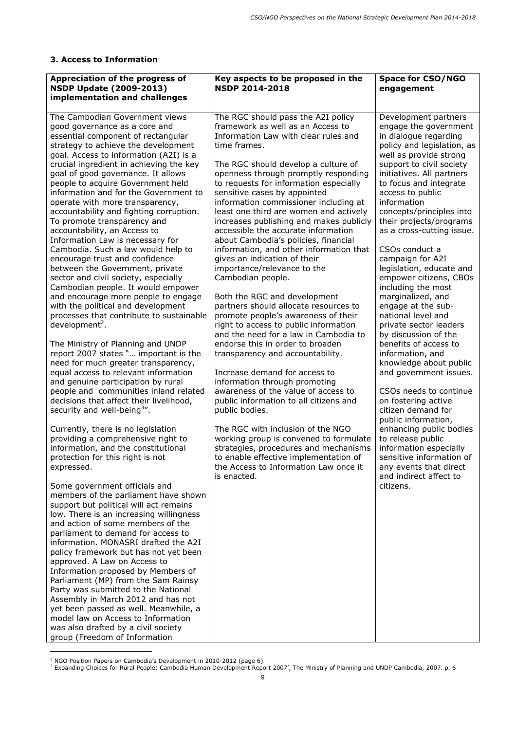## **3. Access to Information**

| Appreciation of the progress of<br><b>NSDP Update (2009-2013)</b><br>implementation and challenges                                                                                                                                                                                                                                                                                                                                                                                                                                                                                                                                                                                                                                                                                                                                                                                                                                                                                                                                                                                                                                                                                                                                                                                                                                                                                                                                                                                                                                                                                                                                                                                                                                                                                                                                                                                                                                                         | Key aspects to be proposed in the<br><b>NSDP 2014-2018</b>                                                                                                                                                                                                                                                                                                                                                                                                                                                                                                                                                                                                                                                                                                                                                                                                                                                                                                                                                                                                                                                                                                                                                                                                                                                   | <b>Space for CSO/NGO</b><br>engagement                                                                                                                                                                                                                                                                                                                                                                                                                                                                                                                                                                                                                                                                                                                                                                                                                                                                                                              |
|------------------------------------------------------------------------------------------------------------------------------------------------------------------------------------------------------------------------------------------------------------------------------------------------------------------------------------------------------------------------------------------------------------------------------------------------------------------------------------------------------------------------------------------------------------------------------------------------------------------------------------------------------------------------------------------------------------------------------------------------------------------------------------------------------------------------------------------------------------------------------------------------------------------------------------------------------------------------------------------------------------------------------------------------------------------------------------------------------------------------------------------------------------------------------------------------------------------------------------------------------------------------------------------------------------------------------------------------------------------------------------------------------------------------------------------------------------------------------------------------------------------------------------------------------------------------------------------------------------------------------------------------------------------------------------------------------------------------------------------------------------------------------------------------------------------------------------------------------------------------------------------------------------------------------------------------------------|--------------------------------------------------------------------------------------------------------------------------------------------------------------------------------------------------------------------------------------------------------------------------------------------------------------------------------------------------------------------------------------------------------------------------------------------------------------------------------------------------------------------------------------------------------------------------------------------------------------------------------------------------------------------------------------------------------------------------------------------------------------------------------------------------------------------------------------------------------------------------------------------------------------------------------------------------------------------------------------------------------------------------------------------------------------------------------------------------------------------------------------------------------------------------------------------------------------------------------------------------------------------------------------------------------------|-----------------------------------------------------------------------------------------------------------------------------------------------------------------------------------------------------------------------------------------------------------------------------------------------------------------------------------------------------------------------------------------------------------------------------------------------------------------------------------------------------------------------------------------------------------------------------------------------------------------------------------------------------------------------------------------------------------------------------------------------------------------------------------------------------------------------------------------------------------------------------------------------------------------------------------------------------|
| The Cambodian Government views<br>good governance as a core and<br>essential component of rectangular<br>strategy to achieve the development<br>goal. Access to information (A2I) is a<br>crucial ingredient in achieving the key<br>goal of good governance. It allows<br>people to acquire Government held<br>information and for the Government to<br>operate with more transparency,<br>accountability and fighting corruption.<br>To promote transparency and<br>accountability, an Access to<br>Information Law is necessary for<br>Cambodia. Such a law would help to<br>encourage trust and confidence<br>between the Government, private<br>sector and civil society, especially<br>Cambodian people. It would empower<br>and encourage more people to engage<br>with the political and development<br>processes that contribute to sustainable<br>development <sup>2</sup> .<br>The Ministry of Planning and UNDP<br>report 2007 states " important is the<br>need for much greater transparency,<br>equal access to relevant information<br>and genuine participation by rural<br>people and communities inland related<br>decisions that affect their livelihood,<br>security and well-being <sup>3</sup> ".<br>Currently, there is no legislation<br>providing a comprehensive right to<br>information, and the constitutional<br>protection for this right is not<br>expressed.<br>Some government officials and<br>members of the parliament have shown<br>support but political will act remains<br>low. There is an increasing willingness<br>and action of some members of the<br>parliament to demand for access to<br>information. MONASRI drafted the A2I<br>policy framework but has not yet been<br>approved. A Law on Access to<br>Information proposed by Members of<br>Parliament (MP) from the Sam Rainsy<br>Party was submitted to the National<br>Assembly in March 2012 and has not<br>yet been passed as well. Meanwhile, a | The RGC should pass the A2I policy<br>framework as well as an Access to<br>Information Law with clear rules and<br>time frames.<br>The RGC should develop a culture of<br>openness through promptly responding<br>to requests for information especially<br>sensitive cases by appointed<br>information commissioner including at<br>least one third are women and actively<br>increases publishing and makes publicly<br>accessible the accurate information<br>about Cambodia's policies, financial<br>information, and other information that<br>gives an indication of their<br>importance/relevance to the<br>Cambodian people.<br>Both the RGC and development<br>partners should allocate resources to<br>promote people's awareness of their<br>right to access to public information<br>and the need for a law in Cambodia to<br>endorse this in order to broaden<br>transparency and accountability.<br>Increase demand for access to<br>information through promoting<br>awareness of the value of access to<br>public information to all citizens and<br>public bodies.<br>The RGC with inclusion of the NGO<br>working group is convened to formulate<br>strategies, procedures and mechanisms<br>to enable effective implementation of<br>the Access to Information Law once it<br>is enacted. | Development partners<br>engage the government<br>in dialogue regarding<br>policy and legislation, as<br>well as provide strong<br>support to civil society<br>initiatives. All partners<br>to focus and integrate<br>access to public<br>information<br>concepts/principles into<br>their projects/programs<br>as a cross-cutting issue.<br>CSOs conduct a<br>campaign for A2I<br>legislation, educate and<br>empower citizens, CBOs<br>including the most<br>marginalized, and<br>engage at the sub-<br>national level and<br>private sector leaders<br>by discussion of the<br>benefits of access to<br>information, and<br>knowledge about public<br>and government issues.<br>CSOs needs to continue<br>on fostering active<br>citizen demand for<br>public information,<br>enhancing public bodies<br>to release public<br>information especially<br>sensitive information of<br>any events that direct<br>and indirect affect to<br>citizens. |
| model law on Access to Information<br>was also drafted by a civil society<br>group (Freedom of Information                                                                                                                                                                                                                                                                                                                                                                                                                                                                                                                                                                                                                                                                                                                                                                                                                                                                                                                                                                                                                                                                                                                                                                                                                                                                                                                                                                                                                                                                                                                                                                                                                                                                                                                                                                                                                                                 |                                                                                                                                                                                                                                                                                                                                                                                                                                                                                                                                                                                                                                                                                                                                                                                                                                                                                                                                                                                                                                                                                                                                                                                                                                                                                                              |                                                                                                                                                                                                                                                                                                                                                                                                                                                                                                                                                                                                                                                                                                                                                                                                                                                                                                                                                     |

ł

<sup>&</sup>lt;sup>2</sup> NGO Position Papers on Cambodia's Development in 2010-2012 (page 6)<br><sup>3</sup> Expanding Choices for Rural People: Cambodia Human Development Report 2007', The Ministry of Planning and UNDP Cambodia, 2007. p. 6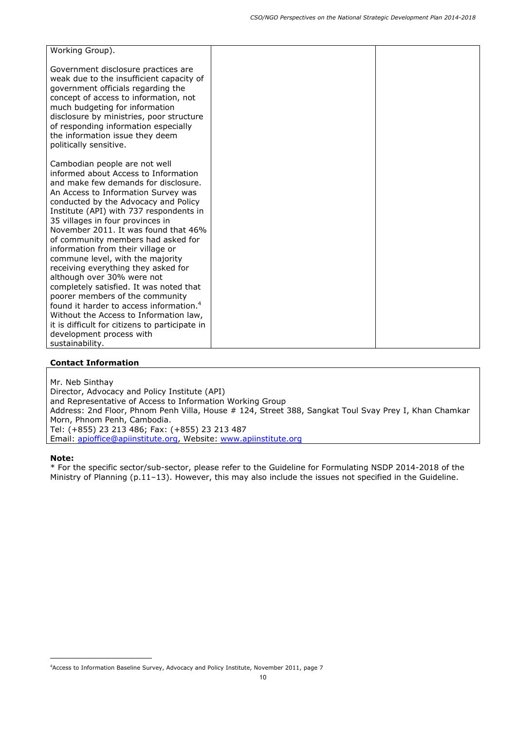| Working Group).                                                                                                                                                                                                                                                                                                                                                                                                                                                                                                                                                                                                                                                                                                                                                                         |  |
|-----------------------------------------------------------------------------------------------------------------------------------------------------------------------------------------------------------------------------------------------------------------------------------------------------------------------------------------------------------------------------------------------------------------------------------------------------------------------------------------------------------------------------------------------------------------------------------------------------------------------------------------------------------------------------------------------------------------------------------------------------------------------------------------|--|
| Government disclosure practices are<br>weak due to the insufficient capacity of<br>government officials regarding the<br>concept of access to information, not<br>much budgeting for information<br>disclosure by ministries, poor structure<br>of responding information especially<br>the information issue they deem<br>politically sensitive.                                                                                                                                                                                                                                                                                                                                                                                                                                       |  |
| Cambodian people are not well<br>informed about Access to Information<br>and make few demands for disclosure.<br>An Access to Information Survey was<br>conducted by the Advocacy and Policy<br>Institute (API) with 737 respondents in<br>35 villages in four provinces in<br>November 2011. It was found that 46%<br>of community members had asked for<br>information from their village or<br>commune level, with the majority<br>receiving everything they asked for<br>although over 30% were not<br>completely satisfied. It was noted that<br>poorer members of the community<br>found it harder to access information. <sup>4</sup><br>Without the Access to Information law,<br>it is difficult for citizens to participate in<br>development process with<br>sustainability. |  |

Mr. Neb Sinthay

Director, Advocacy and Policy Institute (API) and Representative of Access to Information Working Group Address: 2nd Floor, Phnom Penh Villa, House # 124, Street 388, Sangkat Toul Svay Prey I, Khan Chamkar Morn, Phnom Penh, Cambodia. Tel: (+855) 23 213 486; Fax: (+855) 23 213 487 Email: apioffice@apiinstitute.org, Website: www.apiinstitute.org

#### **Note:**

ł

<sup>4</sup> Access to Information Baseline Survey, Advocacy and Policy Institute, November 2011, page 7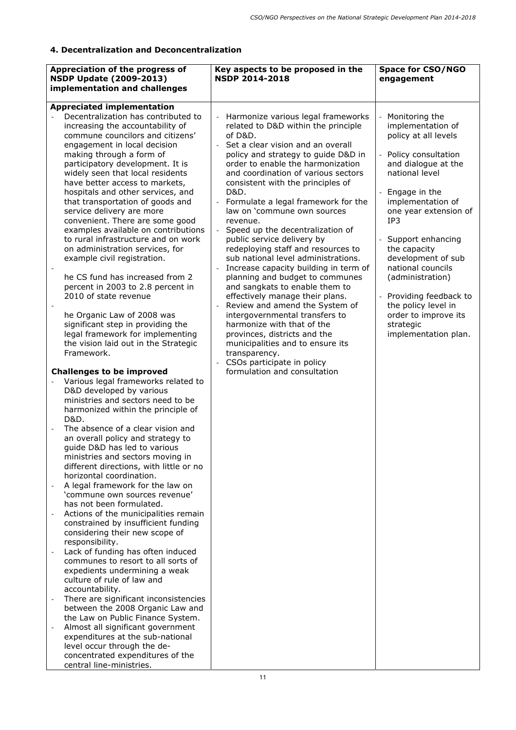## **4. Decentralization and Deconcentralization**

| Appreciation of the progress of<br><b>NSDP Update (2009-2013)</b><br>implementation and challenges | Key aspects to be proposed in the<br><b>NSDP 2014-2018</b>                | <b>Space for CSO/NGO</b><br>engagement      |
|----------------------------------------------------------------------------------------------------|---------------------------------------------------------------------------|---------------------------------------------|
| <b>Appreciated implementation</b>                                                                  |                                                                           |                                             |
| Decentralization has contributed to                                                                |                                                                           |                                             |
| increasing the accountability of                                                                   | Harmonize various legal frameworks<br>related to D&D within the principle | Monitoring the<br>implementation of         |
| commune councilors and citizens'                                                                   | of D&D.                                                                   | policy at all levels                        |
| engagement in local decision                                                                       | Set a clear vision and an overall                                         |                                             |
| making through a form of                                                                           | policy and strategy to guide D&D in                                       | Policy consultation                         |
| participatory development. It is                                                                   | order to enable the harmonization                                         | and dialogue at the                         |
| widely seen that local residents                                                                   | and coordination of various sectors                                       | national level                              |
| have better access to markets,<br>hospitals and other services, and                                | consistent with the principles of<br>D&D.                                 | Engage in the                               |
| that transportation of goods and                                                                   | Formulate a legal framework for the                                       | implementation of                           |
| service delivery are more                                                                          | law on 'commune own sources                                               | one year extension of                       |
| convenient. There are some good                                                                    | revenue.                                                                  | IP3                                         |
| examples available on contributions                                                                | Speed up the decentralization of                                          |                                             |
| to rural infrastructure and on work                                                                | public service delivery by                                                | Support enhancing                           |
| on administration services, for                                                                    | redeploying staff and resources to<br>sub national level administrations. | the capacity<br>development of sub          |
| example civil registration.                                                                        | Increase capacity building in term of                                     | national councils                           |
| he CS fund has increased from 2                                                                    | planning and budget to communes                                           | (administration)                            |
| percent in 2003 to 2.8 percent in                                                                  | and sangkats to enable them to                                            |                                             |
| 2010 of state revenue                                                                              | effectively manage their plans.                                           | Providing feedback to                       |
| he Organic Law of 2008 was                                                                         | Review and amend the System of<br>intergovernmental transfers to          | the policy level in<br>order to improve its |
| significant step in providing the                                                                  | harmonize with that of the                                                | strategic                                   |
| legal framework for implementing                                                                   | provinces, districts and the                                              | implementation plan.                        |
| the vision laid out in the Strategic                                                               | municipalities and to ensure its                                          |                                             |
| Framework.                                                                                         | transparency.                                                             |                                             |
|                                                                                                    | CSOs participate in policy                                                |                                             |
| <b>Challenges to be improved</b>                                                                   | formulation and consultation                                              |                                             |
| Various legal frameworks related to<br>D&D developed by various                                    |                                                                           |                                             |
| ministries and sectors need to be                                                                  |                                                                           |                                             |
| harmonized within the principle of                                                                 |                                                                           |                                             |
| D&D.                                                                                               |                                                                           |                                             |
| The absence of a clear vision and                                                                  |                                                                           |                                             |
| an overall policy and strategy to                                                                  |                                                                           |                                             |
| guide D&D has led to various                                                                       |                                                                           |                                             |
| ministries and sectors moving in                                                                   |                                                                           |                                             |
| different directions, with little or no<br>horizontal coordination.                                |                                                                           |                                             |
| A legal framework for the law on                                                                   |                                                                           |                                             |
| 'commune own sources revenue'                                                                      |                                                                           |                                             |
| has not been formulated.                                                                           |                                                                           |                                             |
| Actions of the municipalities remain                                                               |                                                                           |                                             |
| constrained by insufficient funding                                                                |                                                                           |                                             |
| considering their new scope of<br>responsibility.                                                  |                                                                           |                                             |
| Lack of funding has often induced                                                                  |                                                                           |                                             |
| communes to resort to all sorts of                                                                 |                                                                           |                                             |
| expedients undermining a weak                                                                      |                                                                           |                                             |
| culture of rule of law and                                                                         |                                                                           |                                             |
| accountability.<br>There are significant inconsistencies                                           |                                                                           |                                             |
| between the 2008 Organic Law and                                                                   |                                                                           |                                             |
| the Law on Public Finance System.                                                                  |                                                                           |                                             |
| Almost all significant government                                                                  |                                                                           |                                             |
| expenditures at the sub-national                                                                   |                                                                           |                                             |
| level occur through the de-                                                                        |                                                                           |                                             |
| concentrated expenditures of the<br>central line-ministries.                                       |                                                                           |                                             |
|                                                                                                    |                                                                           |                                             |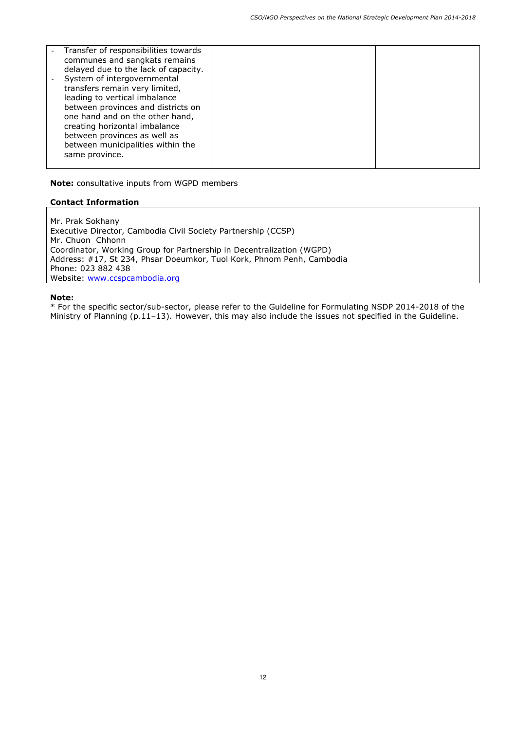| Transfer of responsibilities towards<br>communes and sangkats remains<br>delayed due to the lack of capacity.<br>System of intergovernmental<br>transfers remain very limited,<br>leading to vertical imbalance<br>between provinces and districts on<br>one hand and on the other hand,<br>creating horizontal imbalance<br>between provinces as well as<br>between municipalities within the<br>same province. |  |
|------------------------------------------------------------------------------------------------------------------------------------------------------------------------------------------------------------------------------------------------------------------------------------------------------------------------------------------------------------------------------------------------------------------|--|

**Note:** consultative inputs from WGPD members

### **Contact Information**

Mr. Prak Sokhany Executive Director, Cambodia Civil Society Partnership (CCSP) Mr. Chuon Chhonn Coordinator, Working Group for Partnership in Decentralization (WGPD) Address: #17, St 234, Phsar Doeumkor, Tuol Kork, Phnom Penh, Cambodia Phone: 023 882 438 Website: www.ccspcambodia.org

#### **Note:**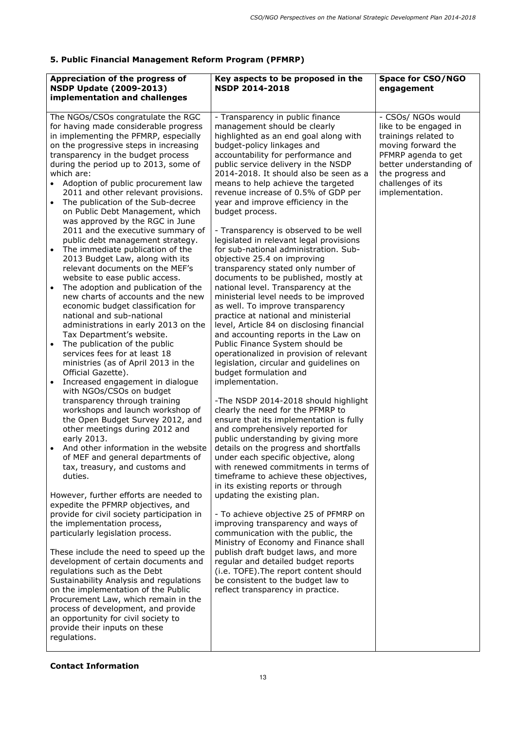## **5. Public Financial Management Reform Program (PFMRP)**

| Appreciation of the progress of<br><b>NSDP Update (2009-2013)</b><br>implementation and challenges                                                                                                                                                                                                                                                                                                                                                                                                                                                                        | Key aspects to be proposed in the<br><b>NSDP 2014-2018</b>                                                                                                                                                                                                                                                                                                                                                                         | <b>Space for CSO/NGO</b><br>engagement                                                                                                                                                                  |
|---------------------------------------------------------------------------------------------------------------------------------------------------------------------------------------------------------------------------------------------------------------------------------------------------------------------------------------------------------------------------------------------------------------------------------------------------------------------------------------------------------------------------------------------------------------------------|------------------------------------------------------------------------------------------------------------------------------------------------------------------------------------------------------------------------------------------------------------------------------------------------------------------------------------------------------------------------------------------------------------------------------------|---------------------------------------------------------------------------------------------------------------------------------------------------------------------------------------------------------|
| The NGOs/CSOs congratulate the RGC<br>for having made considerable progress<br>in implementing the PFMRP, especially<br>on the progressive steps in increasing<br>transparency in the budget process<br>during the period up to 2013, some of<br>which are:<br>Adoption of public procurement law<br>2011 and other relevant provisions.<br>The publication of the Sub-decree<br>$\bullet$<br>on Public Debt Management, which<br>was approved by the RGC in June                                                                                                         | - Transparency in public finance<br>management should be clearly<br>highlighted as an end goal along with<br>budget-policy linkages and<br>accountability for performance and<br>public service delivery in the NSDP<br>2014-2018. It should also be seen as a<br>means to help achieve the targeted<br>revenue increase of 0.5% of GDP per<br>year and improve efficiency in the<br>budget process.                               | - CSOs/ NGOs would<br>like to be engaged in<br>trainings related to<br>moving forward the<br>PFMRP agenda to get<br>better understanding of<br>the progress and<br>challenges of its<br>implementation. |
| 2011 and the executive summary of<br>public debt management strategy.<br>The immediate publication of the<br>$\bullet$<br>2013 Budget Law, along with its<br>relevant documents on the MEF's<br>website to ease public access.<br>The adoption and publication of the<br>new charts of accounts and the new                                                                                                                                                                                                                                                               | - Transparency is observed to be well<br>legislated in relevant legal provisions<br>for sub-national administration. Sub-<br>objective 25.4 on improving<br>transparency stated only number of<br>documents to be published, mostly at<br>national level. Transparency at the<br>ministerial level needs to be improved                                                                                                            |                                                                                                                                                                                                         |
| economic budget classification for<br>national and sub-national<br>administrations in early 2013 on the<br>Tax Department's website.<br>The publication of the public<br>$\bullet$<br>services fees for at least 18<br>ministries (as of April 2013 in the<br>Official Gazette).                                                                                                                                                                                                                                                                                          | as well. To improve transparency<br>practice at national and ministerial<br>level, Article 84 on disclosing financial<br>and accounting reports in the Law on<br>Public Finance System should be<br>operationalized in provision of relevant<br>legislation, circular and guidelines on<br>budget formulation and                                                                                                                  |                                                                                                                                                                                                         |
| Increased engagement in dialogue<br>with NGOs/CSOs on budget<br>transparency through training<br>workshops and launch workshop of<br>the Open Budget Survey 2012, and<br>other meetings during 2012 and<br>early 2013.<br>And other information in the website<br>of MEF and general departments of<br>tax, treasury, and customs and<br>duties.                                                                                                                                                                                                                          | implementation.<br>-The NSDP 2014-2018 should highlight<br>clearly the need for the PFMRP to<br>ensure that its implementation is fully<br>and comprehensively reported for<br>public understanding by giving more<br>details on the progress and shortfalls<br>under each specific objective, along<br>with renewed commitments in terms of<br>timeframe to achieve these objectives,                                             |                                                                                                                                                                                                         |
| However, further efforts are needed to<br>expedite the PFMRP objectives, and<br>provide for civil society participation in<br>the implementation process,<br>particularly legislation process.<br>These include the need to speed up the<br>development of certain documents and<br>regulations such as the Debt<br>Sustainability Analysis and regulations<br>on the implementation of the Public<br>Procurement Law, which remain in the<br>process of development, and provide<br>an opportunity for civil society to<br>provide their inputs on these<br>regulations. | in its existing reports or through<br>updating the existing plan.<br>- To achieve objective 25 of PFMRP on<br>improving transparency and ways of<br>communication with the public, the<br>Ministry of Economy and Finance shall<br>publish draft budget laws, and more<br>regular and detailed budget reports<br>(i.e. TOFE). The report content should<br>be consistent to the budget law to<br>reflect transparency in practice. |                                                                                                                                                                                                         |

## **Contact Information**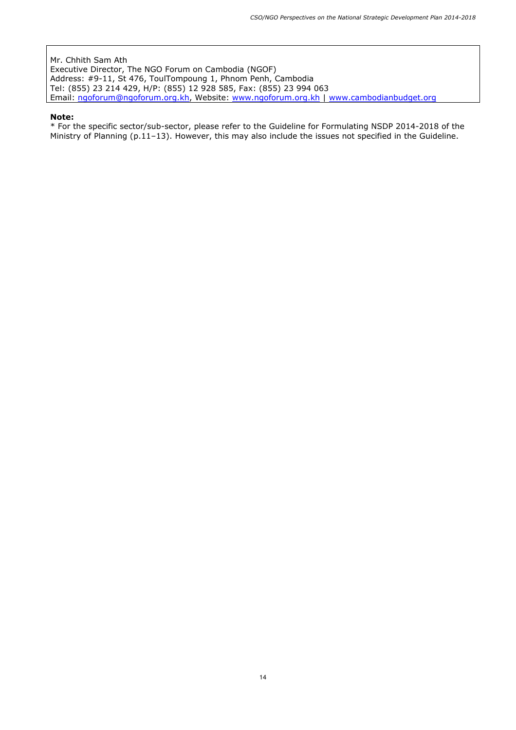Mr. Chhith Sam Ath Executive Director, The NGO Forum on Cambodia (NGOF) Address: #9-11, St 476, ToulTompoung 1, Phnom Penh, Cambodia Tel: (855) 23 214 429, H/P: (855) 12 928 585, Fax: (855) 23 994 063 Email: ngoforum@ngoforum.org.kh, Website: www.ngoforum.org.kh | www.cambodianbudget.org

#### **Note:**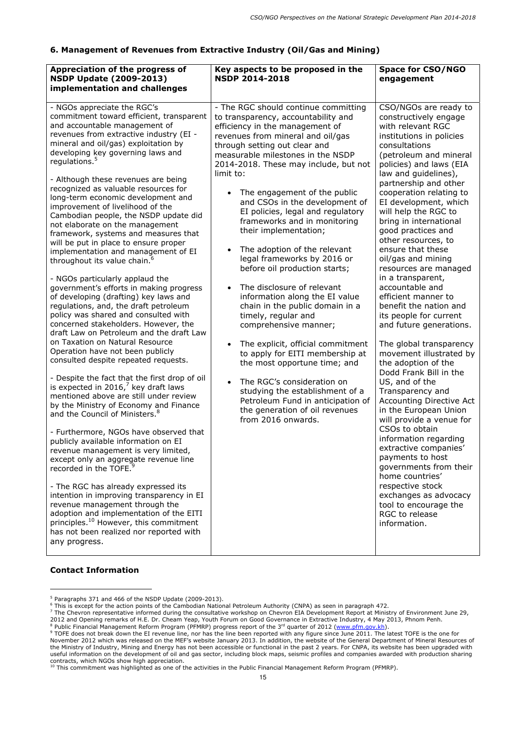## **6. Management of Revenues from Extractive Industry (Oil/Gas and Mining)**

| Appreciation of the progress of<br><b>NSDP Update (2009-2013)</b><br>implementation and challenges                                                                                                                                                                                                                                                                                                                                                                                                                                                                                                                                                                                                                                                                                                                                                                                                                                                                                                                                                                                                                                                                                                                                                                                                                                                                                                                                                                                                                                                                                                                                                                                                                                                                                                          | Key aspects to be proposed in the<br><b>NSDP 2014-2018</b>                                                                                                                                                                                                                                                                                                                                                                                                                                                                                                                                                                                                                                                                                                                                                                                                                                                                                                                            | <b>Space for CSO/NGO</b><br>engagement                                                                                                                                                                                                                                                                                                                                                                                                                                                                                                                                                                                                                                                                                                                                                                                                                                                                                                                                                                                                                                        |
|-------------------------------------------------------------------------------------------------------------------------------------------------------------------------------------------------------------------------------------------------------------------------------------------------------------------------------------------------------------------------------------------------------------------------------------------------------------------------------------------------------------------------------------------------------------------------------------------------------------------------------------------------------------------------------------------------------------------------------------------------------------------------------------------------------------------------------------------------------------------------------------------------------------------------------------------------------------------------------------------------------------------------------------------------------------------------------------------------------------------------------------------------------------------------------------------------------------------------------------------------------------------------------------------------------------------------------------------------------------------------------------------------------------------------------------------------------------------------------------------------------------------------------------------------------------------------------------------------------------------------------------------------------------------------------------------------------------------------------------------------------------------------------------------------------------|---------------------------------------------------------------------------------------------------------------------------------------------------------------------------------------------------------------------------------------------------------------------------------------------------------------------------------------------------------------------------------------------------------------------------------------------------------------------------------------------------------------------------------------------------------------------------------------------------------------------------------------------------------------------------------------------------------------------------------------------------------------------------------------------------------------------------------------------------------------------------------------------------------------------------------------------------------------------------------------|-------------------------------------------------------------------------------------------------------------------------------------------------------------------------------------------------------------------------------------------------------------------------------------------------------------------------------------------------------------------------------------------------------------------------------------------------------------------------------------------------------------------------------------------------------------------------------------------------------------------------------------------------------------------------------------------------------------------------------------------------------------------------------------------------------------------------------------------------------------------------------------------------------------------------------------------------------------------------------------------------------------------------------------------------------------------------------|
| - NGOs appreciate the RGC's<br>commitment toward efficient, transparent<br>and accountable management of<br>revenues from extractive industry (EI -<br>mineral and oil/gas) exploitation by<br>developing key governing laws and<br>regulations. <sup>5</sup><br>- Although these revenues are being<br>recognized as valuable resources for<br>long-term economic development and<br>improvement of livelihood of the<br>Cambodian people, the NSDP update did<br>not elaborate on the management<br>framework, systems and measures that<br>will be put in place to ensure proper<br>implementation and management of EI<br>throughout its value chain. <sup>6</sup><br>- NGOs particularly applaud the<br>government's efforts in making progress<br>of developing (drafting) key laws and<br>regulations, and, the draft petroleum<br>policy was shared and consulted with<br>concerned stakeholders. However, the<br>draft Law on Petroleum and the draft Law<br>on Taxation on Natural Resource<br>Operation have not been publicly<br>consulted despite repeated requests.<br>- Despite the fact that the first drop of oil<br>is expected in 2016, $^7$ key draft laws<br>mentioned above are still under review<br>by the Ministry of Economy and Finance<br>and the Council of Ministers. <sup>8</sup><br>- Furthermore, NGOs have observed that<br>publicly available information on EI<br>revenue management is very limited,<br>except only an aggregate revenue line<br>recorded in the TOFE. <sup>9</sup><br>- The RGC has already expressed its<br>intention in improving transparency in EI<br>revenue management through the<br>adoption and implementation of the EITI<br>principles. <sup>10</sup> However, this commitment<br>has not been realized nor reported with<br>any progress. | - The RGC should continue committing<br>to transparency, accountability and<br>efficiency in the management of<br>revenues from mineral and oil/gas<br>through setting out clear and<br>measurable milestones in the NSDP<br>2014-2018. These may include, but not<br>limit to:<br>The engagement of the public<br>and CSOs in the development of<br>EI policies, legal and regulatory<br>frameworks and in monitoring<br>their implementation;<br>The adoption of the relevant<br>legal frameworks by 2016 or<br>before oil production starts;<br>The disclosure of relevant<br>$\bullet$<br>information along the EI value<br>chain in the public domain in a<br>timely, regular and<br>comprehensive manner;<br>The explicit, official commitment<br>to apply for EITI membership at<br>the most opportune time; and<br>The RGC's consideration on<br>studying the establishment of a<br>Petroleum Fund in anticipation of<br>the generation of oil revenues<br>from 2016 onwards. | CSO/NGOs are ready to<br>constructively engage<br>with relevant RGC<br>institutions in policies<br>consultations<br>(petroleum and mineral<br>policies) and laws (EIA<br>law and guidelines),<br>partnership and other<br>cooperation relating to<br>EI development, which<br>will help the RGC to<br>bring in international<br>good practices and<br>other resources, to<br>ensure that these<br>oil/gas and mining<br>resources are managed<br>in a transparent,<br>accountable and<br>efficient manner to<br>benefit the nation and<br>its people for current<br>and future generations.<br>The global transparency<br>movement illustrated by<br>the adoption of the<br>Dodd Frank Bill in the<br>US, and of the<br>Transparency and<br><b>Accounting Directive Act</b><br>in the European Union<br>will provide a venue for<br>CSOs to obtain<br>information regarding<br>extractive companies'<br>payments to host<br>governments from their<br>home countries'<br>respective stock<br>exchanges as advocacy<br>tool to encourage the<br>RGC to release<br>information. |

## **Contact Information**

 $\overline{a}$ 

<sup>&</sup>lt;sup>5</sup> Paragraphs 371 and 466 of the NSDP Update (2009-2013).

<sup>6</sup> This is except for the action points of the Cambodian National Petroleum Authority (CNPA) as seen in paragraph 472.

 $^7$  The Chevron representative informed during the consultative workshop on Chevron EIA Development Report at Ministry of Environment June 29, 2012 and Opening remarks of H.E. Dr. Cheam Yeap, Youth Forum on Good Governance in Extractive Industry, 4 May 2013, Phnom Penh.<br><sup>8</sup> Bublic Financial Management Referm Program (REMRR) progress report of the 2<sup>rd</sup> quarter of

<sup>&</sup>lt;sup>8</sup> Public Financial Management Reform Program (PFMRP) progress report of the 3<sup>rd</sup> quarter of 2012 (<u>www.pfm.gov.kh</u>).<br><sup>9</sup> TOFE does not break down the EI revenue line, nor has the line been reported with any figure since

November 2012 which was released on the MEF's website January 2013. In addition, the website of the General Department of Mineral Resources of the Ministry of Industry, Mining and Energy has not been accessible or functional in the past 2 years. For CNPA, its website has been upgraded with useful information on the development of oil and gas sector, including block maps, seismic profiles and companies awarded with production sharing contracts, which NGOs show high appreciation.

 $^{10}$  This commitment was highlighted as one of the activities in the Public Financial Management Reform Program (PFMRP).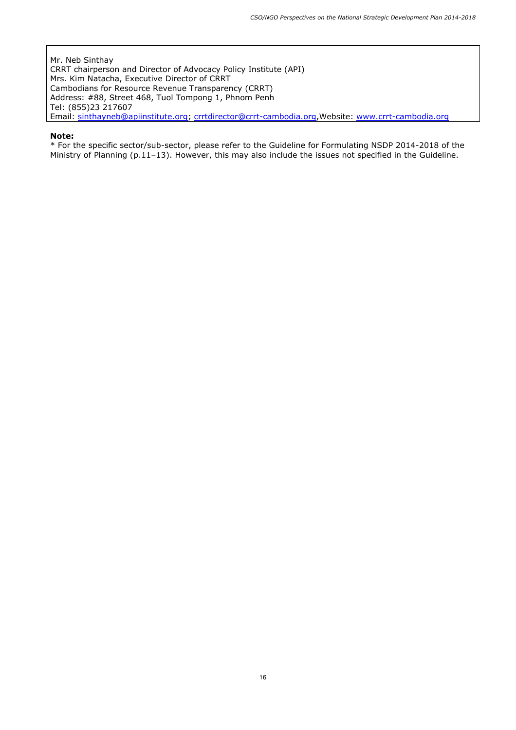Mr. Neb Sinthay CRRT chairperson and Director of Advocacy Policy Institute (API) Mrs. Kim Natacha, Executive Director of CRRT Cambodians for Resource Revenue Transparency (CRRT) Address: #88, Street 468, Tuol Tompong 1, Phnom Penh Tel: (855)23 217607 Email: sinthayneb@apiinstitute.org; crrtdirector@crrt-cambodia.org,Website: www.crrt-cambodia.org

#### **Note:**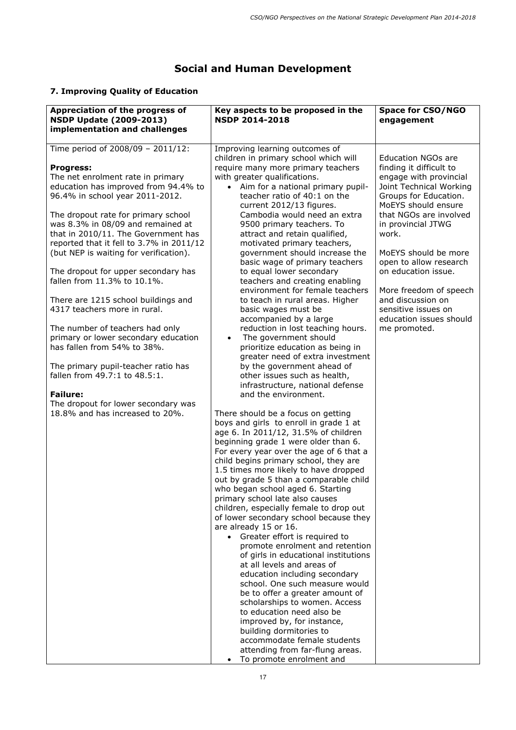# **Social and Human Development**

# **7. Improving Quality of Education**

| Appreciation of the progress of                                                                                                                             | Key aspects to be proposed in the                                                                                                                                                                                                                                                                                                                                                                                                                                                                                                                                                                                                                                                                                                                                                                                                                                                                                                                                                                | <b>Space for CSO/NGO</b>                                                                          |
|-------------------------------------------------------------------------------------------------------------------------------------------------------------|--------------------------------------------------------------------------------------------------------------------------------------------------------------------------------------------------------------------------------------------------------------------------------------------------------------------------------------------------------------------------------------------------------------------------------------------------------------------------------------------------------------------------------------------------------------------------------------------------------------------------------------------------------------------------------------------------------------------------------------------------------------------------------------------------------------------------------------------------------------------------------------------------------------------------------------------------------------------------------------------------|---------------------------------------------------------------------------------------------------|
| <b>NSDP Update (2009-2013)</b><br>implementation and challenges                                                                                             | <b>NSDP 2014-2018</b>                                                                                                                                                                                                                                                                                                                                                                                                                                                                                                                                                                                                                                                                                                                                                                                                                                                                                                                                                                            | engagement                                                                                        |
| Time period of 2008/09 - 2011/12:                                                                                                                           | Improving learning outcomes of                                                                                                                                                                                                                                                                                                                                                                                                                                                                                                                                                                                                                                                                                                                                                                                                                                                                                                                                                                   | <b>Education NGOs are</b>                                                                         |
| <b>Progress:</b>                                                                                                                                            | children in primary school which will<br>require many more primary teachers                                                                                                                                                                                                                                                                                                                                                                                                                                                                                                                                                                                                                                                                                                                                                                                                                                                                                                                      | finding it difficult to                                                                           |
| The net enrolment rate in primary<br>education has improved from 94.4% to<br>96.4% in school year 2011-2012.                                                | with greater qualifications.<br>• Aim for a national primary pupil-<br>teacher ratio of 40:1 on the<br>current 2012/13 figures.                                                                                                                                                                                                                                                                                                                                                                                                                                                                                                                                                                                                                                                                                                                                                                                                                                                                  | engage with provincial<br>Joint Technical Working<br>Groups for Education.<br>MoEYS should ensure |
| The dropout rate for primary school<br>was 8.3% in 08/09 and remained at<br>that in 2010/11. The Government has<br>reported that it fell to 3.7% in 2011/12 | Cambodia would need an extra<br>9500 primary teachers. To<br>attract and retain qualified,<br>motivated primary teachers,                                                                                                                                                                                                                                                                                                                                                                                                                                                                                                                                                                                                                                                                                                                                                                                                                                                                        | that NGOs are involved<br>in provincial JTWG<br>work.                                             |
| (but NEP is waiting for verification).                                                                                                                      | government should increase the<br>basic wage of primary teachers                                                                                                                                                                                                                                                                                                                                                                                                                                                                                                                                                                                                                                                                                                                                                                                                                                                                                                                                 | MoEYS should be more<br>open to allow research                                                    |
| The dropout for upper secondary has<br>fallen from 11.3% to 10.1%.                                                                                          | to equal lower secondary<br>teachers and creating enabling<br>environment for female teachers                                                                                                                                                                                                                                                                                                                                                                                                                                                                                                                                                                                                                                                                                                                                                                                                                                                                                                    | on education issue.<br>More freedom of speech                                                     |
| There are 1215 school buildings and<br>4317 teachers more in rural.                                                                                         | to teach in rural areas. Higher<br>basic wages must be<br>accompanied by a large                                                                                                                                                                                                                                                                                                                                                                                                                                                                                                                                                                                                                                                                                                                                                                                                                                                                                                                 | and discussion on<br>sensitive issues on<br>education issues should                               |
| The number of teachers had only                                                                                                                             | reduction in lost teaching hours.                                                                                                                                                                                                                                                                                                                                                                                                                                                                                                                                                                                                                                                                                                                                                                                                                                                                                                                                                                | me promoted.                                                                                      |
| primary or lower secondary education<br>has fallen from 54% to 38%.                                                                                         | The government should<br>$\bullet$<br>prioritize education as being in<br>greater need of extra investment                                                                                                                                                                                                                                                                                                                                                                                                                                                                                                                                                                                                                                                                                                                                                                                                                                                                                       |                                                                                                   |
| The primary pupil-teacher ratio has<br>fallen from 49.7:1 to 48.5:1.                                                                                        | by the government ahead of<br>other issues such as health,                                                                                                                                                                                                                                                                                                                                                                                                                                                                                                                                                                                                                                                                                                                                                                                                                                                                                                                                       |                                                                                                   |
| <b>Failure:</b>                                                                                                                                             | infrastructure, national defense<br>and the environment.                                                                                                                                                                                                                                                                                                                                                                                                                                                                                                                                                                                                                                                                                                                                                                                                                                                                                                                                         |                                                                                                   |
| The dropout for lower secondary was<br>18.8% and has increased to 20%.                                                                                      | There should be a focus on getting<br>boys and girls to enroll in grade 1 at<br>age 6. In 2011/12, 31.5% of children<br>beginning grade 1 were older than 6.<br>For every year over the age of 6 that a<br>child begins primary school, they are<br>1.5 times more likely to have dropped<br>out by grade 5 than a comparable child<br>who began school aged 6. Starting<br>primary school late also causes<br>children, especially female to drop out<br>of lower secondary school because they<br>are already 15 or 16.<br>• Greater effort is required to<br>promote enrolment and retention<br>of girls in educational institutions<br>at all levels and areas of<br>education including secondary<br>school. One such measure would<br>be to offer a greater amount of<br>scholarships to women. Access<br>to education need also be<br>improved by, for instance,<br>building dormitories to<br>accommodate female students<br>attending from far-flung areas.<br>To promote enrolment and |                                                                                                   |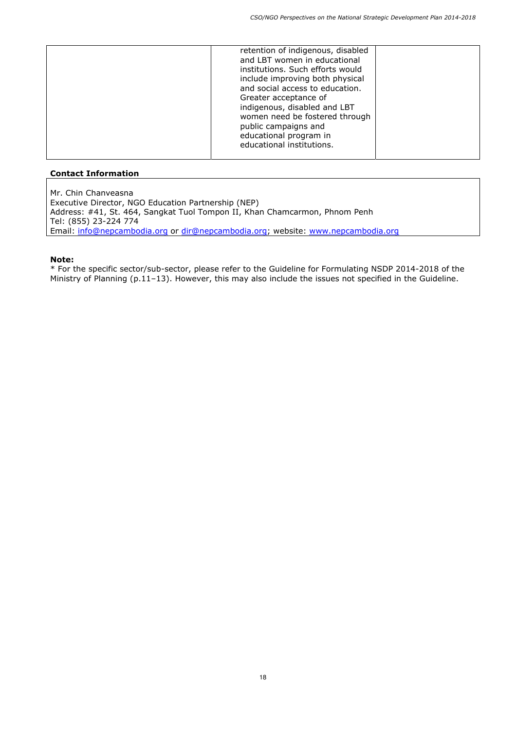Mr. Chin Chanveasna Executive Director, NGO Education Partnership (NEP) Address: #41, St. 464, Sangkat Tuol Tompon II, Khan Chamcarmon, Phnom Penh Tel: (855) 23-224 774 Email: info@nepcambodia.org or dir@nepcambodia.org; website: www.nepcambodia.org

### **Note:**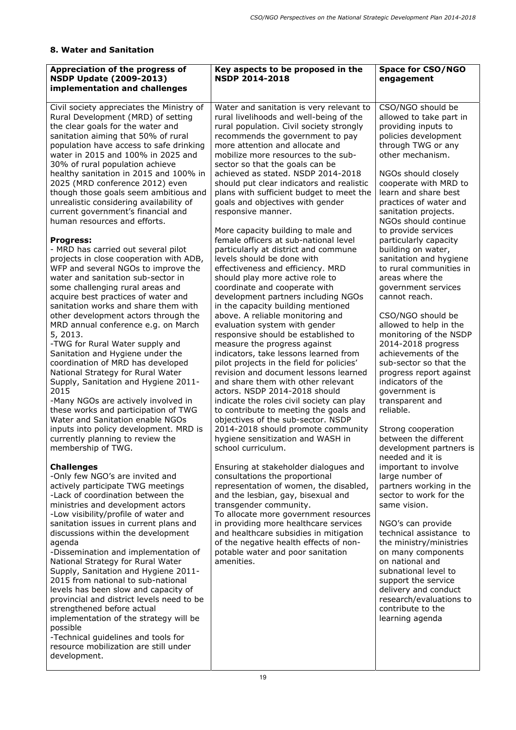## **8. Water and Sanitation**

| Appreciation of the progress of<br><b>NSDP Update (2009-2013)</b><br>implementation and challenges                                                                                                                                                                                                                                                                                                                                                                                                                                                                                                                                                                                                                                                                                                                                                                                                                                                                                                                                                                                                                                                                                                                                                                                                                                                                                                                                                                                                                                                                                                                                                                                                                                                                                                                                                                                                                                                                                           | Key aspects to be proposed in the<br><b>NSDP 2014-2018</b>                                                                                                                                                                                                                                                                                                                                                                                                                                                                                                                                                                                                                                                                                                                                                                                                                                                                                                                                                                                                                                                                                                                                                                                                                                                                                                                                                                                                                                                                                                                                                                                                                                                                                                                                                         | <b>Space for CSO/NGO</b><br>engagement                                                                                                                                                                                                                                                                                                                                                                                                                                                                                                                                                                                                                                                                                                                                                                                                                                                                                                                                                                                                                                                                                                                                                                     |
|----------------------------------------------------------------------------------------------------------------------------------------------------------------------------------------------------------------------------------------------------------------------------------------------------------------------------------------------------------------------------------------------------------------------------------------------------------------------------------------------------------------------------------------------------------------------------------------------------------------------------------------------------------------------------------------------------------------------------------------------------------------------------------------------------------------------------------------------------------------------------------------------------------------------------------------------------------------------------------------------------------------------------------------------------------------------------------------------------------------------------------------------------------------------------------------------------------------------------------------------------------------------------------------------------------------------------------------------------------------------------------------------------------------------------------------------------------------------------------------------------------------------------------------------------------------------------------------------------------------------------------------------------------------------------------------------------------------------------------------------------------------------------------------------------------------------------------------------------------------------------------------------------------------------------------------------------------------------------------------------|--------------------------------------------------------------------------------------------------------------------------------------------------------------------------------------------------------------------------------------------------------------------------------------------------------------------------------------------------------------------------------------------------------------------------------------------------------------------------------------------------------------------------------------------------------------------------------------------------------------------------------------------------------------------------------------------------------------------------------------------------------------------------------------------------------------------------------------------------------------------------------------------------------------------------------------------------------------------------------------------------------------------------------------------------------------------------------------------------------------------------------------------------------------------------------------------------------------------------------------------------------------------------------------------------------------------------------------------------------------------------------------------------------------------------------------------------------------------------------------------------------------------------------------------------------------------------------------------------------------------------------------------------------------------------------------------------------------------------------------------------------------------------------------------------------------------|------------------------------------------------------------------------------------------------------------------------------------------------------------------------------------------------------------------------------------------------------------------------------------------------------------------------------------------------------------------------------------------------------------------------------------------------------------------------------------------------------------------------------------------------------------------------------------------------------------------------------------------------------------------------------------------------------------------------------------------------------------------------------------------------------------------------------------------------------------------------------------------------------------------------------------------------------------------------------------------------------------------------------------------------------------------------------------------------------------------------------------------------------------------------------------------------------------|
| Civil society appreciates the Ministry of<br>Rural Development (MRD) of setting<br>the clear goals for the water and<br>sanitation aiming that 50% of rural<br>population have access to safe drinking<br>water in 2015 and 100% in 2025 and<br>30% of rural population achieve<br>healthy sanitation in 2015 and 100% in<br>2025 (MRD conference 2012) even<br>though those goals seem ambitious and<br>unrealistic considering availability of<br>current government's financial and<br>human resources and efforts.<br><b>Progress:</b><br>- MRD has carried out several pilot<br>projects in close cooperation with ADB,<br>WFP and several NGOs to improve the<br>water and sanitation sub-sector in<br>some challenging rural areas and<br>acquire best practices of water and<br>sanitation works and share them with<br>other development actors through the<br>MRD annual conference e.g. on March<br>5, 2013.<br>-TWG for Rural Water supply and<br>Sanitation and Hygiene under the<br>coordination of MRD has developed<br>National Strategy for Rural Water<br>Supply, Sanitation and Hygiene 2011-<br>2015<br>-Many NGOs are actively involved in<br>these works and participation of TWG<br>Water and Sanitation enable NGOs<br>inputs into policy development. MRD is<br>currently planning to review the<br>membership of TWG.<br><b>Challenges</b><br>-Only few NGO's are invited and<br>actively participate TWG meetings<br>-Lack of coordination between the<br>ministries and development actors<br>-Low visibility/profile of water and<br>sanitation issues in current plans and<br>discussions within the development<br>agenda<br>-Dissemination and implementation of<br>National Strategy for Rural Water<br>Supply, Sanitation and Hygiene 2011-<br>2015 from national to sub-national<br>levels has been slow and capacity of<br>provincial and district levels need to be<br>strengthened before actual<br>implementation of the strategy will be<br>possible | Water and sanitation is very relevant to<br>rural livelihoods and well-being of the<br>rural population. Civil society strongly<br>recommends the government to pay<br>more attention and allocate and<br>mobilize more resources to the sub-<br>sector so that the goals can be<br>achieved as stated. NSDP 2014-2018<br>should put clear indicators and realistic<br>plans with sufficient budget to meet the<br>goals and objectives with gender<br>responsive manner.<br>More capacity building to male and<br>female officers at sub-national level<br>particularly at district and commune<br>levels should be done with<br>effectiveness and efficiency. MRD<br>should play more active role to<br>coordinate and cooperate with<br>development partners including NGOs<br>in the capacity building mentioned<br>above. A reliable monitoring and<br>evaluation system with gender<br>responsive should be established to<br>measure the progress against<br>indicators, take lessons learned from<br>pilot projects in the field for policies'<br>revision and document lessons learned<br>and share them with other relevant<br>actors. NSDP 2014-2018 should<br>indicate the roles civil society can play<br>to contribute to meeting the goals and<br>objectives of the sub-sector. NSDP<br>2014-2018 should promote community<br>hygiene sensitization and WASH in<br>school curriculum.<br>Ensuring at stakeholder dialogues and<br>consultations the proportional<br>representation of women, the disabled,<br>and the lesbian, gay, bisexual and<br>transgender community.<br>To allocate more government resources<br>in providing more healthcare services<br>and healthcare subsidies in mitigation<br>of the negative health effects of non-<br>potable water and poor sanitation<br>amenities. | CSO/NGO should be<br>allowed to take part in<br>providing inputs to<br>policies development<br>through TWG or any<br>other mechanism.<br>NGOs should closely<br>cooperate with MRD to<br>learn and share best<br>practices of water and<br>sanitation projects.<br>NGOs should continue<br>to provide services<br>particularly capacity<br>building on water,<br>sanitation and hygiene<br>to rural communities in<br>areas where the<br>government services<br>cannot reach.<br>CSO/NGO should be<br>allowed to help in the<br>monitoring of the NSDP<br>2014-2018 progress<br>achievements of the<br>sub-sector so that the<br>progress report against<br>indicators of the<br>government is<br>transparent and<br>reliable.<br>Strong cooperation<br>between the different<br>development partners is<br>needed and it is<br>important to involve<br>large number of<br>partners working in the<br>sector to work for the<br>same vision.<br>NGO's can provide<br>technical assistance to<br>the ministry/ministries<br>on many components<br>on national and<br>subnational level to<br>support the service<br>delivery and conduct<br>research/evaluations to<br>contribute to the<br>learning agenda |
| -Technical guidelines and tools for<br>resource mobilization are still under<br>development.                                                                                                                                                                                                                                                                                                                                                                                                                                                                                                                                                                                                                                                                                                                                                                                                                                                                                                                                                                                                                                                                                                                                                                                                                                                                                                                                                                                                                                                                                                                                                                                                                                                                                                                                                                                                                                                                                                 |                                                                                                                                                                                                                                                                                                                                                                                                                                                                                                                                                                                                                                                                                                                                                                                                                                                                                                                                                                                                                                                                                                                                                                                                                                                                                                                                                                                                                                                                                                                                                                                                                                                                                                                                                                                                                    |                                                                                                                                                                                                                                                                                                                                                                                                                                                                                                                                                                                                                                                                                                                                                                                                                                                                                                                                                                                                                                                                                                                                                                                                            |
|                                                                                                                                                                                                                                                                                                                                                                                                                                                                                                                                                                                                                                                                                                                                                                                                                                                                                                                                                                                                                                                                                                                                                                                                                                                                                                                                                                                                                                                                                                                                                                                                                                                                                                                                                                                                                                                                                                                                                                                              | 19                                                                                                                                                                                                                                                                                                                                                                                                                                                                                                                                                                                                                                                                                                                                                                                                                                                                                                                                                                                                                                                                                                                                                                                                                                                                                                                                                                                                                                                                                                                                                                                                                                                                                                                                                                                                                 |                                                                                                                                                                                                                                                                                                                                                                                                                                                                                                                                                                                                                                                                                                                                                                                                                                                                                                                                                                                                                                                                                                                                                                                                            |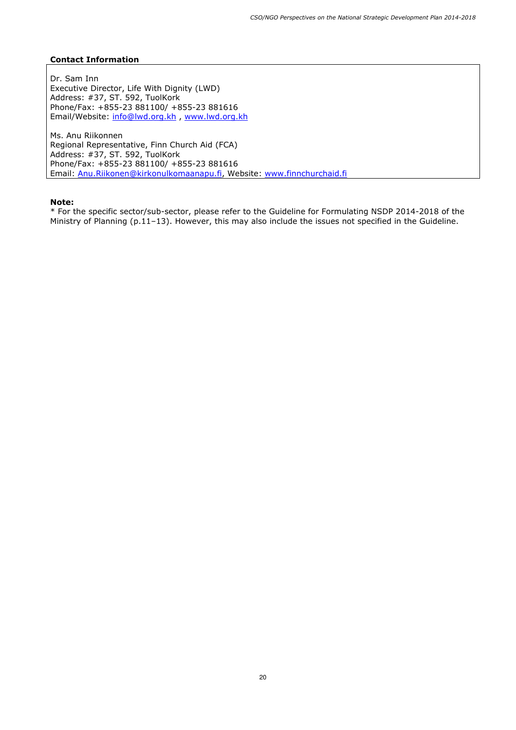Dr. Sam Inn Executive Director, Life With Dignity (LWD) Address: #37, ST. 592, TuolKork Phone/Fax: +855-23 881100/ +855-23 881616 Email/Website: info@lwd.org.kh , www.lwd.org.kh

Ms. Anu Riikonnen Regional Representative, Finn Church Aid (FCA) Address: #37, ST. 592, TuolKork Phone/Fax: +855-23 881100/ +855-23 881616 Email: Anu.Riikonen@kirkonulkomaanapu.fi, Website: www.finnchurchaid.fi

#### **Note:**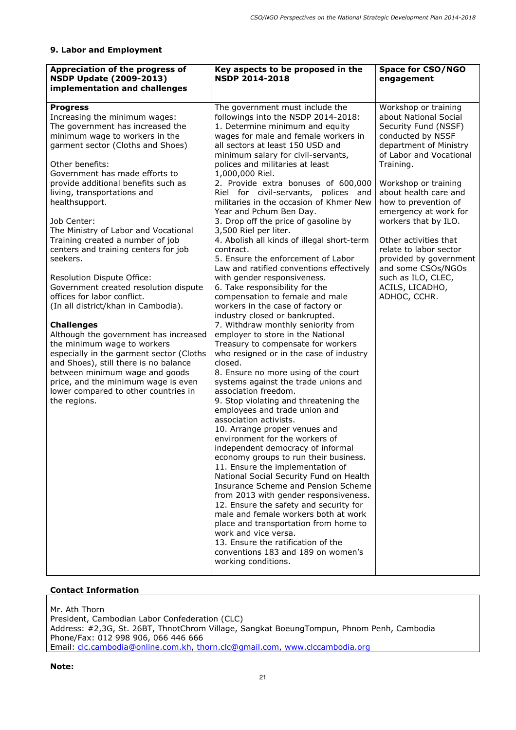## **9. Labor and Employment**

| Appreciation of the progress of<br><b>NSDP Update (2009-2013)</b><br>implementation and challenges                                                                                                                                                                                                                                                                                                                                                                                                                                                                                                                                                                                                                                                                                                                                                                                                                      | Key aspects to be proposed in the<br><b>NSDP 2014-2018</b>                                                                                                                                                                                                                                                                                                                                                                                                                                                                                                                                                                                                                                                                                                                                                                                                                                                                                                                                                                                                                                                                                                                                                                                                                                                                                                                                                                                                                                                                                                                                                                                                                                                                                                        | <b>Space for CSO/NGO</b><br>engagement                                                                                                                                                                                                                                                                                                                                                                                                             |
|-------------------------------------------------------------------------------------------------------------------------------------------------------------------------------------------------------------------------------------------------------------------------------------------------------------------------------------------------------------------------------------------------------------------------------------------------------------------------------------------------------------------------------------------------------------------------------------------------------------------------------------------------------------------------------------------------------------------------------------------------------------------------------------------------------------------------------------------------------------------------------------------------------------------------|-------------------------------------------------------------------------------------------------------------------------------------------------------------------------------------------------------------------------------------------------------------------------------------------------------------------------------------------------------------------------------------------------------------------------------------------------------------------------------------------------------------------------------------------------------------------------------------------------------------------------------------------------------------------------------------------------------------------------------------------------------------------------------------------------------------------------------------------------------------------------------------------------------------------------------------------------------------------------------------------------------------------------------------------------------------------------------------------------------------------------------------------------------------------------------------------------------------------------------------------------------------------------------------------------------------------------------------------------------------------------------------------------------------------------------------------------------------------------------------------------------------------------------------------------------------------------------------------------------------------------------------------------------------------------------------------------------------------------------------------------------------------|----------------------------------------------------------------------------------------------------------------------------------------------------------------------------------------------------------------------------------------------------------------------------------------------------------------------------------------------------------------------------------------------------------------------------------------------------|
| <b>Progress</b><br>Increasing the minimum wages:<br>The government has increased the<br>minimum wage to workers in the<br>garment sector (Cloths and Shoes)<br>Other benefits:<br>Government has made efforts to<br>provide additional benefits such as<br>living, transportations and<br>healthsupport.<br>Job Center:<br>The Ministry of Labor and Vocational<br>Training created a number of job<br>centers and training centers for job<br>seekers.<br>Resolution Dispute Office:<br>Government created resolution dispute<br>offices for labor conflict.<br>(In all district/khan in Cambodia).<br><b>Challenges</b><br>Although the government has increased<br>the minimum wage to workers<br>especially in the garment sector (Cloths<br>and Shoes), still there is no balance<br>between minimum wage and goods<br>price, and the minimum wage is even<br>lower compared to other countries in<br>the regions. | The government must include the<br>followings into the NSDP 2014-2018:<br>1. Determine minimum and equity<br>wages for male and female workers in<br>all sectors at least 150 USD and<br>minimum salary for civil-servants,<br>polices and militaries at least<br>1,000,000 Riel.<br>2. Provide extra bonuses of 600,000<br>Riel for civil-servants, polices and<br>militaries in the occasion of Khmer New<br>Year and Pchum Ben Day.<br>3. Drop off the price of gasoline by<br>3,500 Riel per liter.<br>4. Abolish all kinds of illegal short-term<br>contract.<br>5. Ensure the enforcement of Labor<br>Law and ratified conventions effectively<br>with gender responsiveness.<br>6. Take responsibility for the<br>compensation to female and male<br>workers in the case of factory or<br>industry closed or bankrupted.<br>7. Withdraw monthly seniority from<br>employer to store in the National<br>Treasury to compensate for workers<br>who resigned or in the case of industry<br>closed.<br>8. Ensure no more using of the court<br>systems against the trade unions and<br>association freedom.<br>9. Stop violating and threatening the<br>employees and trade union and<br>association activists.<br>10. Arrange proper venues and<br>environment for the workers of<br>independent democracy of informal<br>economy groups to run their business.<br>11. Ensure the implementation of<br>National Social Security Fund on Health<br>Insurance Scheme and Pension Scheme<br>from 2013 with gender responsiveness.<br>12. Ensure the safety and security for<br>male and female workers both at work<br>place and transportation from home to<br>work and vice versa.<br>13. Ensure the ratification of the<br>conventions 183 and 189 on women's | Workshop or training<br>about National Social<br>Security Fund (NSSF)<br>conducted by NSSF<br>department of Ministry<br>of Labor and Vocational<br>Training.<br>Workshop or training<br>about health care and<br>how to prevention of<br>emergency at work for<br>workers that by ILO.<br>Other activities that<br>relate to labor sector<br>provided by government<br>and some CSOs/NGOs<br>such as ILO, CLEC,<br>ACILS, LICADHO,<br>ADHOC, CCHR. |
|                                                                                                                                                                                                                                                                                                                                                                                                                                                                                                                                                                                                                                                                                                                                                                                                                                                                                                                         | working conditions.                                                                                                                                                                                                                                                                                                                                                                                                                                                                                                                                                                                                                                                                                                                                                                                                                                                                                                                                                                                                                                                                                                                                                                                                                                                                                                                                                                                                                                                                                                                                                                                                                                                                                                                                               |                                                                                                                                                                                                                                                                                                                                                                                                                                                    |

## **Contact Information**

Mr. Ath Thorn President, Cambodian Labor Confederation (CLC) Address: #2,3G, St. 26BT, ThnotChrom Village, Sangkat BoeungTompun, Phnom Penh, Cambodia Phone/Fax: 012 998 906, 066 446 666 Email: clc.cambodia@online.com.kh, thorn.clc@gmail.com, www.clccambodia.org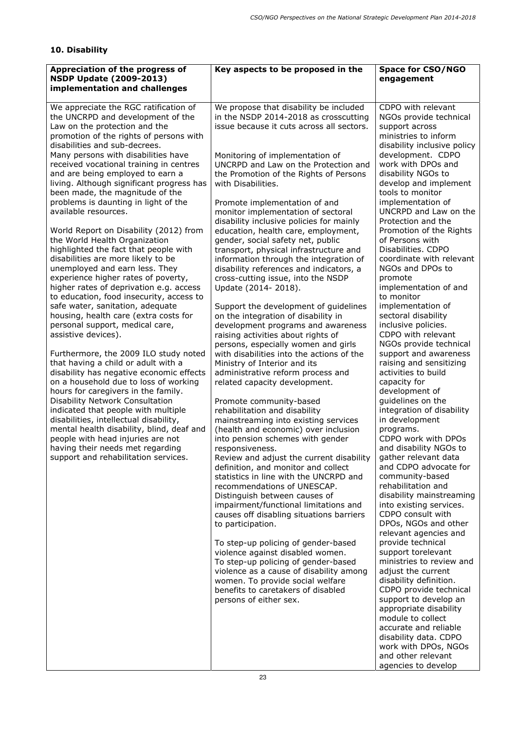# **10. Disability**

| Appreciation of the progress of<br><b>NSDP Update (2009-2013)</b><br>implementation and challenges                                                                                                                                                                         | Key aspects to be proposed in the                                                                                                                                                                                                                                                                                | <b>Space for CSO/NGO</b><br>engagement                                                                                                                                                           |
|----------------------------------------------------------------------------------------------------------------------------------------------------------------------------------------------------------------------------------------------------------------------------|------------------------------------------------------------------------------------------------------------------------------------------------------------------------------------------------------------------------------------------------------------------------------------------------------------------|--------------------------------------------------------------------------------------------------------------------------------------------------------------------------------------------------|
| We appreciate the RGC ratification of<br>the UNCRPD and development of the<br>Law on the protection and the<br>promotion of the rights of persons with<br>disabilities and sub-decrees.<br>Many persons with disabilities have<br>received vocational training in centres  | We propose that disability be included<br>in the NSDP 2014-2018 as crosscutting<br>issue because it cuts across all sectors.<br>Monitoring of implementation of<br>UNCRPD and Law on the Protection and                                                                                                          | CDPO with relevant<br>NGOs provide technical<br>support across<br>ministries to inform<br>disability inclusive policy<br>development. CDPO<br>work with DPOs and                                 |
| and are being employed to earn a<br>living. Although significant progress has<br>been made, the magnitude of the<br>problems is daunting in light of the<br>available resources.                                                                                           | the Promotion of the Rights of Persons<br>with Disabilities.<br>Promote implementation of and<br>monitor implementation of sectoral                                                                                                                                                                              | disability NGOs to<br>develop and implement<br>tools to monitor<br>implementation of<br>UNCRPD and Law on the                                                                                    |
| World Report on Disability (2012) from<br>the World Health Organization<br>highlighted the fact that people with<br>disabilities are more likely to be<br>unemployed and earn less. They<br>experience higher rates of poverty,<br>higher rates of deprivation e.g. access | disability inclusive policies for mainly<br>education, health care, employment,<br>gender, social safety net, public<br>transport, physical infrastructure and<br>information through the integration of<br>disability references and indicators, a<br>cross-cutting issue, into the NSDP<br>Update (2014-2018). | Protection and the<br>Promotion of the Rights<br>of Persons with<br>Disabilities. CDPO<br>coordinate with relevant<br>NGOs and DPOs to<br>promote<br>implementation of and                       |
| to education, food insecurity, access to<br>safe water, sanitation, adequate<br>housing, health care (extra costs for<br>personal support, medical care,<br>assistive devices).<br>Furthermore, the 2009 ILO study noted                                                   | Support the development of guidelines<br>on the integration of disability in<br>development programs and awareness<br>raising activities about rights of<br>persons, especially women and girls<br>with disabilities into the actions of the                                                                     | to monitor<br>implementation of<br>sectoral disability<br>inclusive policies.<br>CDPO with relevant<br>NGOs provide technical<br>support and awareness                                           |
| that having a child or adult with a<br>disability has negative economic effects<br>on a household due to loss of working<br>hours for caregivers in the family.<br><b>Disability Network Consultation</b>                                                                  | Ministry of Interior and its<br>administrative reform process and<br>related capacity development.<br>Promote community-based                                                                                                                                                                                    | raising and sensitizing<br>activities to build<br>capacity for<br>development of<br>guidelines on the                                                                                            |
| indicated that people with multiple<br>disabilities, intellectual disability,<br>mental health disability, blind, deaf and<br>people with head injuries are not<br>having their needs met regarding<br>support and rehabilitation services.                                | rehabilitation and disability<br>mainstreaming into existing services<br>(health and economic) over inclusion<br>into pension schemes with gender<br>responsiveness.<br>Review and adjust the current disability                                                                                                 | integration of disability<br>in development<br>programs.<br>CDPO work with DPOs<br>and disability NGOs to<br>gather relevant data                                                                |
|                                                                                                                                                                                                                                                                            | definition, and monitor and collect<br>statistics in line with the UNCRPD and<br>recommendations of UNESCAP.<br>Distinguish between causes of<br>impairment/functional limitations and<br>causes off disabling situations barriers<br>to participation.                                                          | and CDPO advocate for<br>community-based<br>rehabilitation and<br>disability mainstreaming<br>into existing services.<br>CDPO consult with<br>DPOs, NGOs and other<br>relevant agencies and      |
|                                                                                                                                                                                                                                                                            | To step-up policing of gender-based<br>violence against disabled women.<br>To step-up policing of gender-based<br>violence as a cause of disability among<br>women. To provide social welfare<br>benefits to caretakers of disabled<br>persons of either sex.                                                    | provide technical<br>support torelevant<br>ministries to review and<br>adjust the current<br>disability definition.<br>CDPO provide technical<br>support to develop an<br>appropriate disability |
|                                                                                                                                                                                                                                                                            |                                                                                                                                                                                                                                                                                                                  | module to collect<br>accurate and reliable<br>disability data. CDPO<br>work with DPOs, NGOs<br>and other relevant<br>agencies to develop                                                         |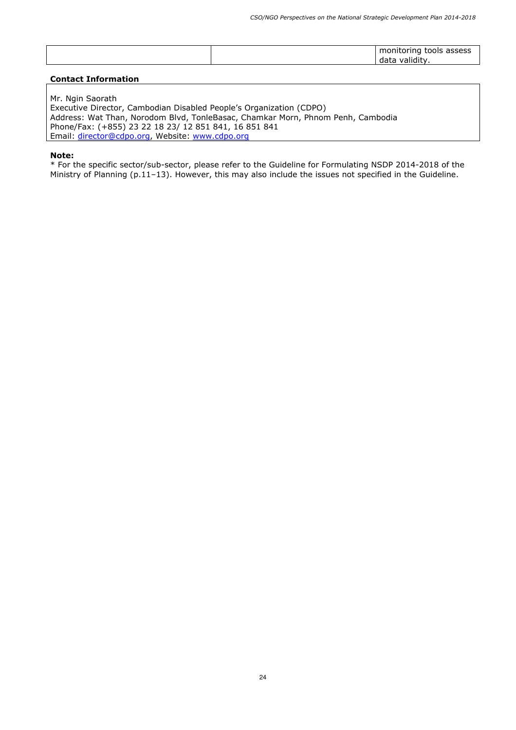| -validity.<br>data | monitoring tools assess |
|--------------------|-------------------------|
|--------------------|-------------------------|

Mr. Ngin Saorath Executive Director, Cambodian Disabled People's Organization (CDPO) Address: Wat Than, Norodom Blvd, TonleBasac, Chamkar Morn, Phnom Penh, Cambodia Phone/Fax: (+855) 23 22 18 23/ 12 851 841, 16 851 841 Email: director@cdpo.org, Website: www.cdpo.org

#### **Note:**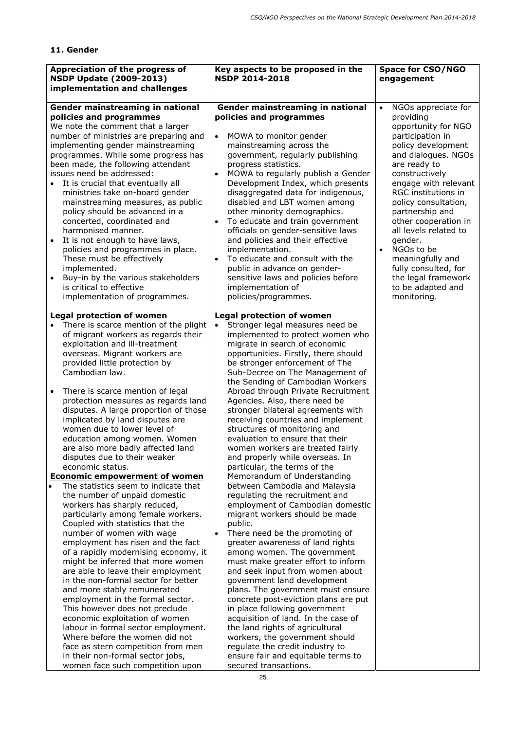## **11. Gender**

| Appreciation of the progress of<br><b>NSDP Update (2009-2013)</b><br>implementation and challenges                                                                                                                                                                                                                                                                                                                                                                                                                                                                                                                                                                                                                                                                                                                                                                                                                                                                                                                                                                                                                                                                                                                                                                                                     | Key aspects to be proposed in the<br><b>NSDP 2014-2018</b>                                                                                                                                                                                                                                                                                                                                                                                                                                                                                                                                                                                                                                                                                                                                                                                                                                                                                                                                                                                                                                                                                                                                                                                                                                                                            | <b>Space for CSO/NGO</b><br>engagement                                                                                                                                                                                                                                                                                                                                                                                                             |
|--------------------------------------------------------------------------------------------------------------------------------------------------------------------------------------------------------------------------------------------------------------------------------------------------------------------------------------------------------------------------------------------------------------------------------------------------------------------------------------------------------------------------------------------------------------------------------------------------------------------------------------------------------------------------------------------------------------------------------------------------------------------------------------------------------------------------------------------------------------------------------------------------------------------------------------------------------------------------------------------------------------------------------------------------------------------------------------------------------------------------------------------------------------------------------------------------------------------------------------------------------------------------------------------------------|---------------------------------------------------------------------------------------------------------------------------------------------------------------------------------------------------------------------------------------------------------------------------------------------------------------------------------------------------------------------------------------------------------------------------------------------------------------------------------------------------------------------------------------------------------------------------------------------------------------------------------------------------------------------------------------------------------------------------------------------------------------------------------------------------------------------------------------------------------------------------------------------------------------------------------------------------------------------------------------------------------------------------------------------------------------------------------------------------------------------------------------------------------------------------------------------------------------------------------------------------------------------------------------------------------------------------------------|----------------------------------------------------------------------------------------------------------------------------------------------------------------------------------------------------------------------------------------------------------------------------------------------------------------------------------------------------------------------------------------------------------------------------------------------------|
| Gender mainstreaming in national<br>policies and programmes<br>We note the comment that a larger<br>number of ministries are preparing and<br>implementing gender mainstreaming<br>programmes. While some progress has<br>been made, the following attendant<br>issues need be addressed:<br>It is crucial that eventually all<br>$\bullet$<br>ministries take on-board gender<br>mainstreaming measures, as public<br>policy should be advanced in a<br>concerted, coordinated and<br>harmonised manner.<br>It is not enough to have laws,<br>policies and programmes in place.<br>These must be effectively<br>implemented.<br>Buy-in by the various stakeholders<br>$\bullet$<br>is critical to effective<br>implementation of programmes.                                                                                                                                                                                                                                                                                                                                                                                                                                                                                                                                                          | Gender mainstreaming in national<br>policies and programmes<br>MOWA to monitor gender<br>$\bullet$<br>mainstreaming across the<br>government, regularly publishing<br>progress statistics.<br>MOWA to regularly publish a Gender<br>Development Index, which presents<br>disaggregated data for indigenous,<br>disabled and LBT women among<br>other minority demographics.<br>To educate and train government<br>$\bullet$<br>officials on gender-sensitive laws<br>and policies and their effective<br>implementation.<br>To educate and consult with the<br>public in advance on gender-<br>sensitive laws and policies before<br>implementation of<br>policies/programmes.                                                                                                                                                                                                                                                                                                                                                                                                                                                                                                                                                                                                                                                        | NGOs appreciate for<br>$\bullet$<br>providing<br>opportunity for NGO<br>participation in<br>policy development<br>and dialogues. NGOs<br>are ready to<br>constructively<br>engage with relevant<br>RGC institutions in<br>policy consultation,<br>partnership and<br>other cooperation in<br>all levels related to<br>gender.<br>NGOs to be<br>meaningfully and<br>fully consulted, for<br>the legal framework<br>to be adapted and<br>monitoring. |
| <b>Legal protection of women</b><br>There is scarce mention of the plight<br>of migrant workers as regards their<br>exploitation and ill-treatment<br>overseas. Migrant workers are<br>provided little protection by<br>Cambodian law.<br>There is scarce mention of legal<br>protection measures as regards land<br>disputes. A large proportion of those<br>implicated by land disputes are<br>women due to lower level of<br>education among women. Women<br>are also more badly affected land<br>disputes due to their weaker<br>economic status.<br><b>Economic empowerment of women</b><br>The statistics seem to indicate that<br>the number of unpaid domestic<br>workers has sharply reduced,<br>particularly among female workers.<br>Coupled with statistics that the<br>number of women with wage<br>employment has risen and the fact<br>of a rapidly modernising economy, it<br>might be inferred that more women<br>are able to leave their employment<br>in the non-formal sector for better<br>and more stably remunerated<br>employment in the formal sector.<br>This however does not preclude<br>economic exploitation of women<br>labour in formal sector employment.<br>Where before the women did not<br>face as stern competition from men<br>in their non-formal sector jobs, | <b>Legal protection of women</b><br>Stronger legal measures need be<br>$\bullet$<br>implemented to protect women who<br>migrate in search of economic<br>opportunities. Firstly, there should<br>be stronger enforcement of The<br>Sub-Decree on The Management of<br>the Sending of Cambodian Workers<br>Abroad through Private Recruitment<br>Agencies. Also, there need be<br>stronger bilateral agreements with<br>receiving countries and implement<br>structures of monitoring and<br>evaluation to ensure that their<br>women workers are treated fairly<br>and properly while overseas. In<br>particular, the terms of the<br>Memorandum of Understanding<br>between Cambodia and Malaysia<br>regulating the recruitment and<br>employment of Cambodian domestic<br>migrant workers should be made<br>public.<br>There need be the promoting of<br>greater awareness of land rights<br>among women. The government<br>must make greater effort to inform<br>and seek input from women about<br>government land development<br>plans. The government must ensure<br>concrete post-eviction plans are put<br>in place following government<br>acquisition of land. In the case of<br>the land rights of agricultural<br>workers, the government should<br>regulate the credit industry to<br>ensure fair and equitable terms to |                                                                                                                                                                                                                                                                                                                                                                                                                                                    |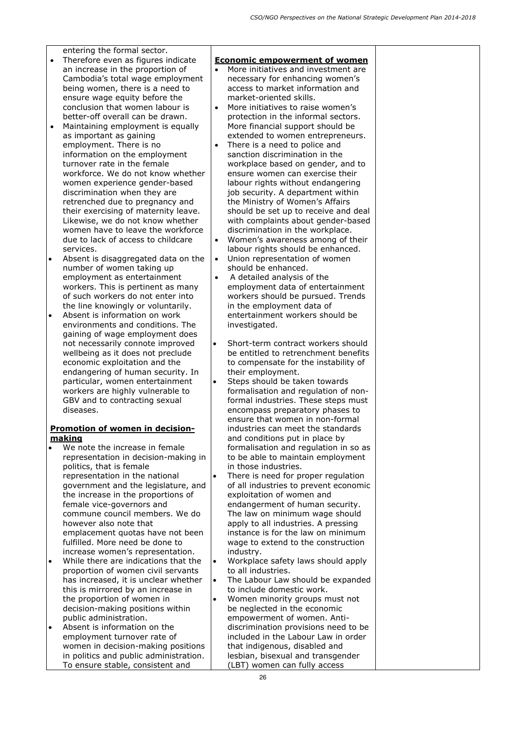entering the formal sector.

- Therefore even as figures indicate an increase in the proportion of Cambodia's total wage employment being women, there is a need to ensure wage equity before the conclusion that women labour is better-off overall can be drawn.
- Maintaining employment is equally as important as gaining employment. There is no information on the employment turnover rate in the female workforce. We do not know whether women experience gender-based discrimination when they are retrenched due to pregnancy and their exercising of maternity leave. Likewise, we do not know whether women have to leave the workforce due to lack of access to childcare services.
- Absent is disaggregated data on the number of women taking up employment as entertainment workers. This is pertinent as many of such workers do not enter into the line knowingly or voluntarily.
- Absent is information on work environments and conditions. The gaining of wage employment does not necessarily connote improved wellbeing as it does not preclude economic exploitation and the endangering of human security. In particular, women entertainment workers are highly vulnerable to GBV and to contracting sexual diseases.

### **Promotion of women in decisionmaking**

- We note the increase in female representation in decision-making in politics, that is female representation in the national government and the legislature, and the increase in the proportions of female vice-governors and commune council members. We do however also note that emplacement quotas have not been fulfilled. More need be done to increase women's representation.
- While there are indications that the proportion of women civil servants has increased, it is unclear whether this is mirrored by an increase in the proportion of women in decision-making positions within public administration.
- Absent is information on the employment turnover rate of women in decision-making positions in politics and public administration. To ensure stable, consistent and

#### **Economic empowerment of women**

- More initiatives and investment are necessary for enhancing women's access to market information and market-oriented skills.
- More initiatives to raise women's protection in the informal sectors. More financial support should be extended to women entrepreneurs.
- There is a need to police and sanction discrimination in the workplace based on gender, and to ensure women can exercise their labour rights without endangering job security. A department within the Ministry of Women's Affairs should be set up to receive and deal with complaints about gender-based discrimination in the workplace.
- Women's awareness among of their labour rights should be enhanced.
- Union representation of women should be enhanced.
- A detailed analysis of the employment data of entertainment workers should be pursued. Trends in the employment data of entertainment workers should be investigated.
- Short-term contract workers should be entitled to retrenchment benefits to compensate for the instability of their employment.
- Steps should be taken towards formalisation and regulation of nonformal industries. These steps must encompass preparatory phases to ensure that women in non-formal industries can meet the standards and conditions put in place by formalisation and regulation in so as to be able to maintain employment in those industries.
- There is need for proper regulation of all industries to prevent economic exploitation of women and endangerment of human security. The law on minimum wage should apply to all industries. A pressing instance is for the law on minimum wage to extend to the construction industry.
- Workplace safety laws should apply to all industries.
- The Labour Law should be expanded to include domestic work.
- Women minority groups must not be neglected in the economic empowerment of women. Antidiscrimination provisions need to be included in the Labour Law in order that indigenous, disabled and lesbian, bisexual and transgender (LBT) women can fully access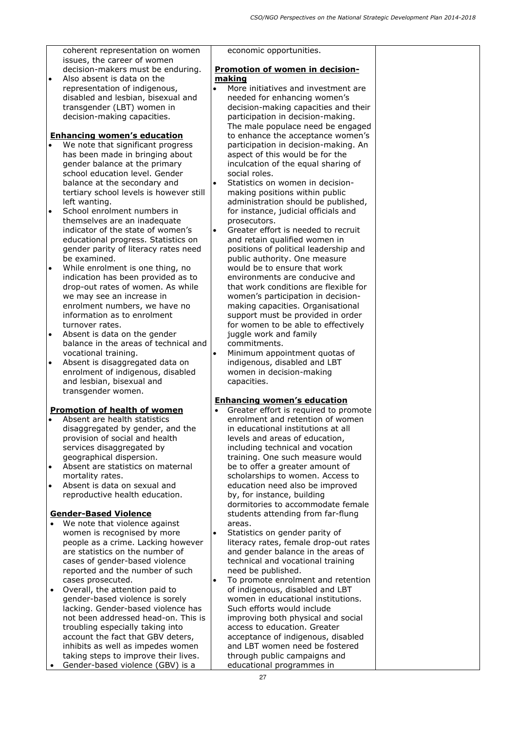coherent representation on women issues, the career of women decision-makers must be enduring.

 Also absent is data on the representation of indigenous, disabled and lesbian, bisexual and transgender (LBT) women in decision-making capacities.

## **Enhancing women's education**

- We note that significant progress has been made in bringing about gender balance at the primary school education level. Gender balance at the secondary and tertiary school levels is however still left wanting.
- School enrolment numbers in themselves are an inadequate indicator of the state of women's educational progress. Statistics on gender parity of literacy rates need be examined.
- While enrolment is one thing, no indication has been provided as to drop-out rates of women. As while we may see an increase in enrolment numbers, we have no information as to enrolment turnover rates.
- Absent is data on the gender balance in the areas of technical and vocational training.
- Absent is disaggregated data on enrolment of indigenous, disabled and lesbian, bisexual and transgender women.

## **Promotion of health of women**

- Absent are health statistics disaggregated by gender, and the provision of social and health services disaggregated by geographical dispersion.
- Absent are statistics on maternal mortality rates.
- Absent is data on sexual and reproductive health education.

## **Gender-Based Violence**

- We note that violence against women is recognised by more people as a crime. Lacking however are statistics on the number of cases of gender-based violence reported and the number of such cases prosecuted.
- Overall, the attention paid to gender-based violence is sorely lacking. Gender-based violence has not been addressed head-on. This is troubling especially taking into account the fact that GBV deters, inhibits as well as impedes women taking steps to improve their lives.
- Gender-based violence (GBV) is a

economic opportunities.

## **Promotion of women in decisionmaking**

- More initiatives and investment are needed for enhancing women's decision-making capacities and their participation in decision-making. The male populace need be engaged to enhance the acceptance women's participation in decision-making. An aspect of this would be for the inculcation of the equal sharing of social roles.
- Statistics on women in decisionmaking positions within public administration should be published, for instance, judicial officials and prosecutors.
- Greater effort is needed to recruit and retain qualified women in positions of political leadership and public authority. One measure would be to ensure that work environments are conducive and that work conditions are flexible for women's participation in decisionmaking capacities. Organisational support must be provided in order for women to be able to effectively juggle work and family commitments.
- Minimum appointment quotas of indigenous, disabled and LBT women in decision-making capacities.

## **Enhancing women's education**

- Greater effort is required to promote enrolment and retention of women in educational institutions at all levels and areas of education, including technical and vocation training. One such measure would be to offer a greater amount of scholarships to women. Access to education need also be improved by, for instance, building dormitories to accommodate female students attending from far-flung areas.
- Statistics on gender parity of literacy rates, female drop-out rates and gender balance in the areas of technical and vocational training need be published.
- To promote enrolment and retention of indigenous, disabled and LBT women in educational institutions. Such efforts would include improving both physical and social access to education. Greater acceptance of indigenous, disabled and LBT women need be fostered through public campaigns and educational programmes in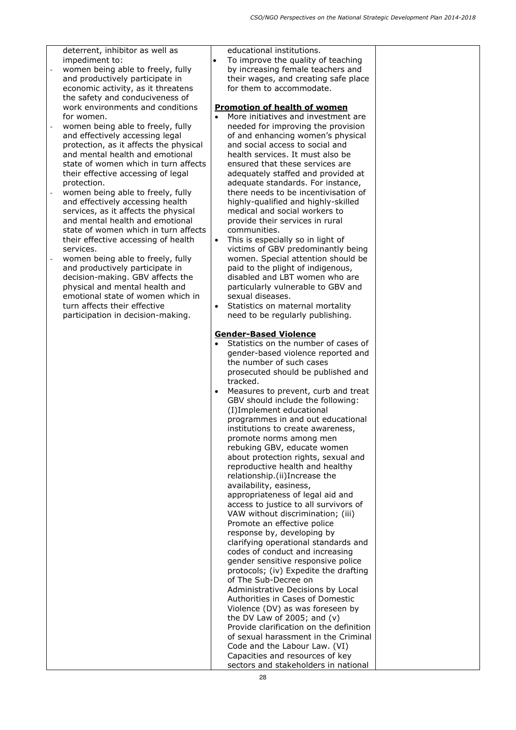deterrent, inhibitor as well as impediment to:

- women being able to freely, fully and productively participate in economic activity, as it threatens the safety and conduciveness of work environments and conditions for women.
- women being able to freely, fully and effectively accessing legal protection, as it affects the physical and mental health and emotional state of women which in turn affects their effective accessing of legal protection.
- women being able to freely, fully and effectively accessing health services, as it affects the physical and mental health and emotional state of women which in turn affects their effective accessing of health services.
- women being able to freely, fully and productively participate in decision-making. GBV affects the physical and mental health and emotional state of women which in turn affects their effective participation in decision-making.

educational institutions.

 To improve the quality of teaching by increasing female teachers and their wages, and creating safe place for them to accommodate.

## **Promotion of health of women**

- More initiatives and investment are needed for improving the provision of and enhancing women's physical and social access to social and health services. It must also be ensured that these services are adequately staffed and provided at adequate standards. For instance, there needs to be incentivisation of highly-qualified and highly-skilled medical and social workers to provide their services in rural communities.
- This is especially so in light of victims of GBV predominantly being women. Special attention should be paid to the plight of indigenous, disabled and LBT women who are particularly vulnerable to GBV and sexual diseases.
- Statistics on maternal mortality need to be regularly publishing.

## **Gender-Based Violence**

- Statistics on the number of cases of gender-based violence reported and the number of such cases prosecuted should be published and tracked.
- Measures to prevent, curb and treat GBV should include the following: (I)Implement educational programmes in and out educational institutions to create awareness, promote norms among men rebuking GBV, educate women about protection rights, sexual and reproductive health and healthy relationship.(ii)Increase the availability, easiness, appropriateness of legal aid and access to justice to all survivors of VAW without discrimination; (iii) Promote an effective police response by, developing by clarifying operational standards and codes of conduct and increasing gender sensitive responsive police protocols; (iv) Expedite the drafting of The Sub-Decree on Administrative Decisions by Local Authorities in Cases of Domestic Violence (DV) as was foreseen by the DV Law of 2005; and (v) Provide clarification on the definition of sexual harassment in the Criminal Code and the Labour Law. (VI) Capacities and resources of key sectors and stakeholders in national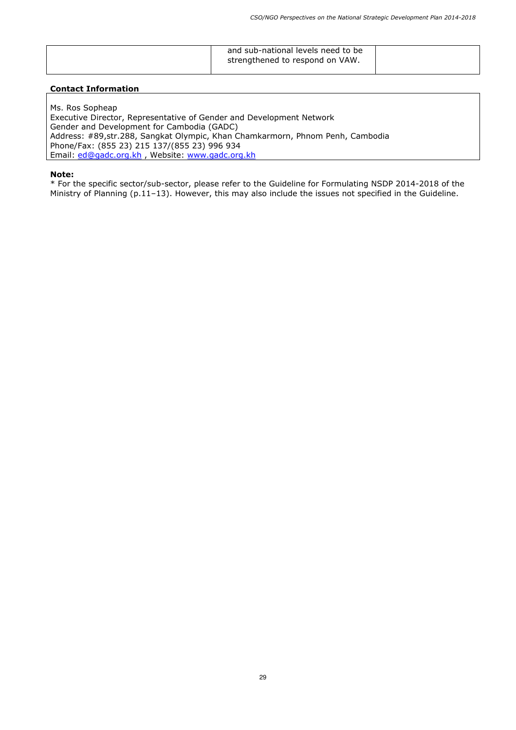| and sub-national levels need to be<br>strengthened to respond on VAW. |  |
|-----------------------------------------------------------------------|--|
|                                                                       |  |

Ms. Ros Sopheap Executive Director, Representative of Gender and Development Network Gender and Development for Cambodia (GADC) Address: #89,str.288, Sangkat Olympic, Khan Chamkarmorn, Phnom Penh, Cambodia Phone/Fax: (855 23) 215 137/(855 23) 996 934 Email: ed@gadc.org.kh, Website: www.gadc.org.kh

#### **Note:**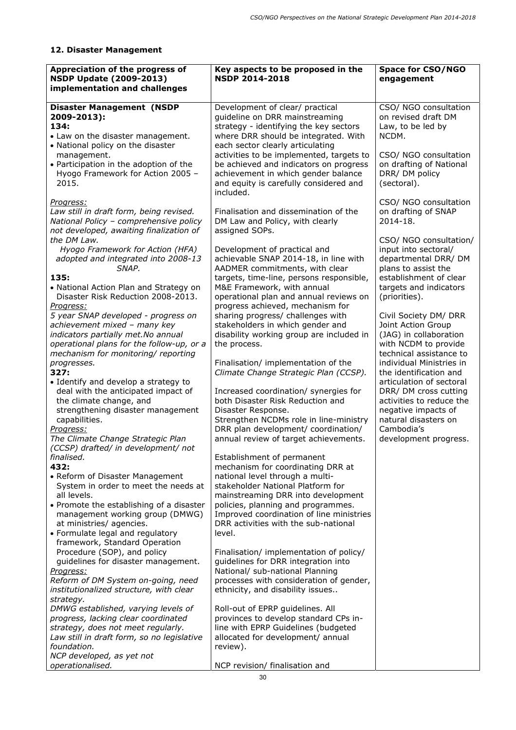# **12. Disaster Management**

| Appreciation of the progress of<br><b>NSDP Update (2009-2013)</b><br>implementation and challenges                                                      | Key aspects to be proposed in the<br><b>NSDP 2014-2018</b>                                                                                                                              | <b>Space for CSO/NGO</b><br>engagement                                                                                 |
|---------------------------------------------------------------------------------------------------------------------------------------------------------|-----------------------------------------------------------------------------------------------------------------------------------------------------------------------------------------|------------------------------------------------------------------------------------------------------------------------|
| <b>Disaster Management (NSDP</b><br>2009-2013):<br>134:<br>• Law on the disaster management.<br>• National policy on the disaster                       | Development of clear/ practical<br>guideline on DRR mainstreaming<br>strategy - identifying the key sectors<br>where DRR should be integrated. With<br>each sector clearly articulating | CSO/ NGO consultation<br>on revised draft DM<br>Law, to be led by<br>NCDM.                                             |
| management.<br>• Participation in the adoption of the<br>Hyogo Framework for Action 2005 -<br>2015.                                                     | activities to be implemented, targets to<br>be achieved and indicators on progress<br>achievement in which gender balance<br>and equity is carefully considered and<br>included.        | CSO/ NGO consultation<br>on drafting of National<br>DRR/DM policy<br>(sectoral).                                       |
| Progress:<br>Law still in draft form, being revised.<br>National Policy - comprehensive policy<br>not developed, awaiting finalization of               | Finalisation and dissemination of the<br>DM Law and Policy, with clearly<br>assigned SOPs.                                                                                              | CSO/ NGO consultation<br>on drafting of SNAP<br>2014-18.                                                               |
| the DM Law.<br>Hyogo Framework for Action (HFA)<br>adopted and integrated into 2008-13<br>SNAP.<br>135:                                                 | Development of practical and<br>achievable SNAP 2014-18, in line with<br>AADMER commitments, with clear<br>targets, time-line, persons responsible,                                     | CSO/ NGO consultation/<br>input into sectoral/<br>departmental DRR/DM<br>plans to assist the<br>establishment of clear |
| • National Action Plan and Strategy on<br>Disaster Risk Reduction 2008-2013.<br><u>Progress:</u><br>5 year SNAP developed - progress on                 | M&E Framework, with annual<br>operational plan and annual reviews on<br>progress achieved, mechanism for<br>sharing progress/ challenges with                                           | targets and indicators<br>(priorities).<br>Civil Society DM/ DRR                                                       |
| achievement mixed - many key<br>indicators partially met. No annual<br>operational plans for the follow-up, or a<br>mechanism for monitoring/ reporting | stakeholders in which gender and<br>disability working group are included in<br>the process.                                                                                            | Joint Action Group<br>(JAG) in collaboration<br>with NCDM to provide<br>technical assistance to                        |
| progresses.<br>327:<br>• Identify and develop a strategy to<br>deal with the anticipated impact of                                                      | Finalisation/ implementation of the<br>Climate Change Strategic Plan (CCSP).<br>Increased coordination/ synergies for                                                                   | individual Ministries in<br>the identification and<br>articulation of sectoral<br>DRR/ DM cross cutting                |
| the climate change, and<br>strengthening disaster management<br>capabilities.<br>Progress:                                                              | both Disaster Risk Reduction and<br>Disaster Response.<br>Strengthen NCDMs role in line-ministry<br>DRR plan development/ coordination/                                                 | activities to reduce the<br>negative impacts of<br>natural disasters on<br>Cambodia's                                  |
| The Climate Change Strategic Plan<br>(CCSP) drafted/ in development/ not<br>finalised.<br>432:                                                          | annual review of target achievements.<br>Establishment of permanent<br>mechanism for coordinating DRR at                                                                                | development progress.                                                                                                  |
| • Reform of Disaster Management<br>System in order to meet the needs at<br>all levels.                                                                  | national level through a multi-<br>stakeholder National Platform for<br>mainstreaming DRR into development                                                                              |                                                                                                                        |
| • Promote the establishing of a disaster<br>management working group (DMWG)<br>at ministries/ agencies.<br>• Formulate legal and regulatory             | policies, planning and programmes.<br>Improved coordination of line ministries<br>DRR activities with the sub-national<br>level.                                                        |                                                                                                                        |
| framework, Standard Operation<br>Procedure (SOP), and policy<br>guidelines for disaster management.<br>Progress:                                        | Finalisation/ implementation of policy/<br>guidelines for DRR integration into<br>National/ sub-national Planning                                                                       |                                                                                                                        |
| Reform of DM System on-going, need<br>institutionalized structure, with clear<br>strategy.<br>DMWG established, varying levels of                       | processes with consideration of gender,<br>ethnicity, and disability issues<br>Roll-out of EPRP guidelines. All                                                                         |                                                                                                                        |
| progress, lacking clear coordinated<br>strategy, does not meet regularly.<br>Law still in draft form, so no legislative<br>foundation.                  | provinces to develop standard CPs in-<br>line with EPRP Guidelines (budgeted<br>allocated for development/ annual<br>review).                                                           |                                                                                                                        |
| NCP developed, as yet not<br>operationalised.                                                                                                           | NCP revision/ finalisation and                                                                                                                                                          |                                                                                                                        |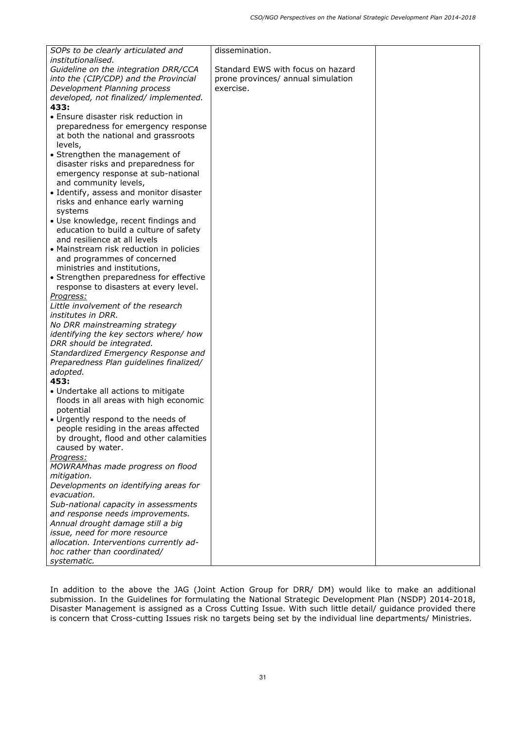| SOPs to be clearly articulated and              | dissemination.                     |  |
|-------------------------------------------------|------------------------------------|--|
| institutionalised.                              |                                    |  |
| Guideline on the integration DRR/CCA            | Standard EWS with focus on hazard  |  |
| into the (CIP/CDP) and the Provincial           | prone provinces/ annual simulation |  |
| Development Planning process                    | exercise.                          |  |
| developed, not finalized/ implemented.          |                                    |  |
| 433:                                            |                                    |  |
| • Ensure disaster risk reduction in             |                                    |  |
| preparedness for emergency response             |                                    |  |
| at both the national and grassroots             |                                    |  |
| levels,                                         |                                    |  |
| • Strengthen the management of                  |                                    |  |
| disaster risks and preparedness for             |                                    |  |
| emergency response at sub-national              |                                    |  |
| and community levels,                           |                                    |  |
| • Identify, assess and monitor disaster         |                                    |  |
| risks and enhance early warning                 |                                    |  |
| systems<br>• Use knowledge, recent findings and |                                    |  |
| education to build a culture of safety          |                                    |  |
| and resilience at all levels                    |                                    |  |
| • Mainstream risk reduction in policies         |                                    |  |
| and programmes of concerned                     |                                    |  |
| ministries and institutions,                    |                                    |  |
| • Strengthen preparedness for effective         |                                    |  |
| response to disasters at every level.           |                                    |  |
| Progress:                                       |                                    |  |
| Little involvement of the research              |                                    |  |
| institutes in DRR.                              |                                    |  |
| No DRR mainstreaming strategy                   |                                    |  |
| identifying the key sectors where/ how          |                                    |  |
| DRR should be integrated.                       |                                    |  |
| Standardized Emergency Response and             |                                    |  |
| Preparedness Plan guidelines finalized/         |                                    |  |
| adopted.                                        |                                    |  |
| 453:                                            |                                    |  |
| • Undertake all actions to mitigate             |                                    |  |
| floods in all areas with high economic          |                                    |  |
| potential                                       |                                    |  |
| • Urgently respond to the needs of              |                                    |  |
| people residing in the areas affected           |                                    |  |
| by drought, flood and other calamities          |                                    |  |
| caused by water.                                |                                    |  |
| Progress:                                       |                                    |  |
| MOWRAMhas made progress on flood                |                                    |  |
| mitigation.                                     |                                    |  |
| Developments on identifying areas for           |                                    |  |
| evacuation.                                     |                                    |  |
| Sub-national capacity in assessments            |                                    |  |
| and response needs improvements.                |                                    |  |
| Annual drought damage still a big               |                                    |  |
| issue, need for more resource                   |                                    |  |
| allocation. Interventions currently ad-         |                                    |  |
| hoc rather than coordinated/                    |                                    |  |
| systematic.                                     |                                    |  |

In addition to the above the JAG (Joint Action Group for DRR/ DM) would like to make an additional submission. In the Guidelines for formulating the National Strategic Development Plan (NSDP) 2014-2018, Disaster Management is assigned as a Cross Cutting Issue. With such little detail/ guidance provided there is concern that Cross-cutting Issues risk no targets being set by the individual line departments/ Ministries.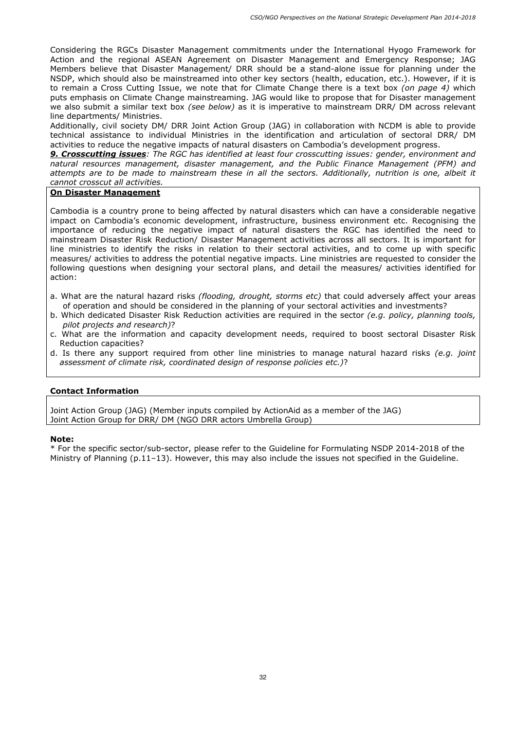Considering the RGCs Disaster Management commitments under the International Hyogo Framework for Action and the regional ASEAN Agreement on Disaster Management and Emergency Response; JAG Members believe that Disaster Management/ DRR should be a stand-alone issue for planning under the NSDP, which should also be mainstreamed into other key sectors (health, education, etc.). However, if it is to remain a Cross Cutting Issue, we note that for Climate Change there is a text box *(on page 4)* which puts emphasis on Climate Change mainstreaming. JAG would like to propose that for Disaster management we also submit a similar text box *(see below)* as it is imperative to mainstream DRR/ DM across relevant line departments/ Ministries.

Additionally, civil society DM/ DRR Joint Action Group (JAG) in collaboration with NCDM is able to provide technical assistance to individual Ministries in the identification and articulation of sectoral DRR/ DM activities to reduce the negative impacts of natural disasters on Cambodia's development progress.

*9. Crosscutting issues: The RGC has identified at least four crosscutting issues: gender, environment and natural resources management, disaster management, and the Public Finance Management (PFM) and attempts are to be made to mainstream these in all the sectors. Additionally, nutrition is one, albeit it cannot crosscut all activities.* 

### **On Disaster Management**

Cambodia is a country prone to being affected by natural disasters which can have a considerable negative impact on Cambodia's economic development, infrastructure, business environment etc. Recognising the importance of reducing the negative impact of natural disasters the RGC has identified the need to mainstream Disaster Risk Reduction/ Disaster Management activities across all sectors. It is important for line ministries to identify the risks in relation to their sectoral activities, and to come up with specific measures/ activities to address the potential negative impacts. Line ministries are requested to consider the following questions when designing your sectoral plans, and detail the measures/ activities identified for action:

- a. What are the natural hazard risks *(flooding, drought, storms etc)* that could adversely affect your areas of operation and should be considered in the planning of your sectoral activities and investments?
- b. Which dedicated Disaster Risk Reduction activities are required in the sector *(e.g. policy, planning tools, pilot projects and research)*?
- c. What are the information and capacity development needs, required to boost sectoral Disaster Risk Reduction capacities?
- d. Is there any support required from other line ministries to manage natural hazard risks *(e.g. joint assessment of climate risk, coordinated design of response policies etc.)*?

#### **Contact Information**

Joint Action Group (JAG) (Member inputs compiled by ActionAid as a member of the JAG) Joint Action Group for DRR/ DM (NGO DRR actors Umbrella Group)

#### **Note:**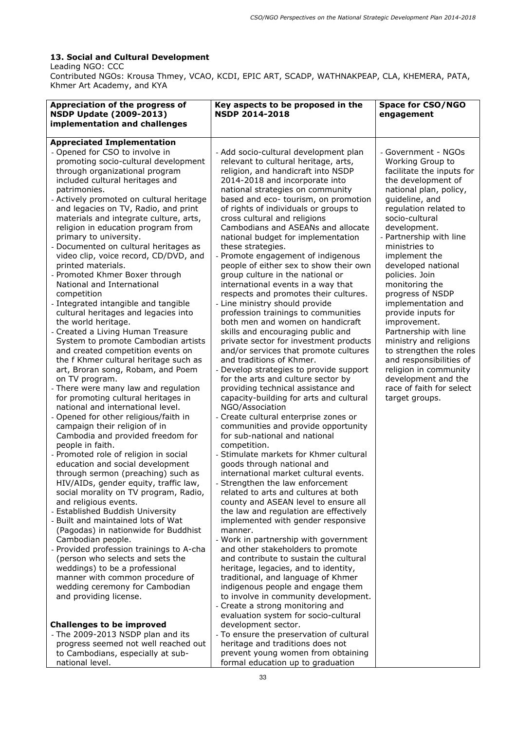## **13. Social and Cultural Development**

Leading NGO: CCC

Contributed NGOs: Krousa Thmey, VCAO, KCDI, EPIC ART, SCADP, WATHNAKPEAP, CLA, KHEMERA, PATA, Khmer Art Academy, and KYA

| Appreciation of the progress of<br><b>NSDP Update (2009-2013)</b><br>implementation and challenges                                                                                                                                                                                                                                                                                                                                                                                                                                                                                                                                                                                                                                                                                                                                                                                                                                                                                                                                                                                                                                                                                                                                                                                                                                                                                                                                                                                                                                                                                                                                                                                                                                                                                                                                  | Key aspects to be proposed in the<br><b>NSDP 2014-2018</b>                                                                                                                                                                                                                                                                                                                                                                                                                                                                                                                                                                                                                                                                                                                                                                                                                                                                                                                                                                                                                                                                                                                                                                                                                                                                                                                                                                                                                                                                                                                                                                                                                                                                                                                                                                                                                                                                                                              | <b>Space for CSO/NGO</b><br>engagement                                                                                                                                                                                                                                                                                                                                                                                                                                                                                                                                                                          |
|-------------------------------------------------------------------------------------------------------------------------------------------------------------------------------------------------------------------------------------------------------------------------------------------------------------------------------------------------------------------------------------------------------------------------------------------------------------------------------------------------------------------------------------------------------------------------------------------------------------------------------------------------------------------------------------------------------------------------------------------------------------------------------------------------------------------------------------------------------------------------------------------------------------------------------------------------------------------------------------------------------------------------------------------------------------------------------------------------------------------------------------------------------------------------------------------------------------------------------------------------------------------------------------------------------------------------------------------------------------------------------------------------------------------------------------------------------------------------------------------------------------------------------------------------------------------------------------------------------------------------------------------------------------------------------------------------------------------------------------------------------------------------------------------------------------------------------------|-------------------------------------------------------------------------------------------------------------------------------------------------------------------------------------------------------------------------------------------------------------------------------------------------------------------------------------------------------------------------------------------------------------------------------------------------------------------------------------------------------------------------------------------------------------------------------------------------------------------------------------------------------------------------------------------------------------------------------------------------------------------------------------------------------------------------------------------------------------------------------------------------------------------------------------------------------------------------------------------------------------------------------------------------------------------------------------------------------------------------------------------------------------------------------------------------------------------------------------------------------------------------------------------------------------------------------------------------------------------------------------------------------------------------------------------------------------------------------------------------------------------------------------------------------------------------------------------------------------------------------------------------------------------------------------------------------------------------------------------------------------------------------------------------------------------------------------------------------------------------------------------------------------------------------------------------------------------------|-----------------------------------------------------------------------------------------------------------------------------------------------------------------------------------------------------------------------------------------------------------------------------------------------------------------------------------------------------------------------------------------------------------------------------------------------------------------------------------------------------------------------------------------------------------------------------------------------------------------|
|                                                                                                                                                                                                                                                                                                                                                                                                                                                                                                                                                                                                                                                                                                                                                                                                                                                                                                                                                                                                                                                                                                                                                                                                                                                                                                                                                                                                                                                                                                                                                                                                                                                                                                                                                                                                                                     |                                                                                                                                                                                                                                                                                                                                                                                                                                                                                                                                                                                                                                                                                                                                                                                                                                                                                                                                                                                                                                                                                                                                                                                                                                                                                                                                                                                                                                                                                                                                                                                                                                                                                                                                                                                                                                                                                                                                                                         |                                                                                                                                                                                                                                                                                                                                                                                                                                                                                                                                                                                                                 |
| <b>Appreciated Implementation</b><br>- Opened for CSO to involve in<br>promoting socio-cultural development<br>through organizational program<br>included cultural heritages and<br>patrimonies.<br>- Actively promoted on cultural heritage<br>and legacies on TV, Radio, and print<br>materials and integrate culture, arts,<br>religion in education program from<br>primary to university.<br>- Documented on cultural heritages as<br>video clip, voice record, CD/DVD, and<br>printed materials.<br>- Promoted Khmer Boxer through<br>National and International<br>competition<br>- Integrated intangible and tangible<br>cultural heritages and legacies into<br>the world heritage.<br>- Created a Living Human Treasure<br>System to promote Cambodian artists<br>and created competition events on<br>the f Khmer cultural heritage such as<br>art, Broran song, Robam, and Poem<br>on TV program.<br>- There were many law and regulation<br>for promoting cultural heritages in<br>national and international level.<br>- Opened for other religious/faith in<br>campaign their religion of in<br>Cambodia and provided freedom for<br>people in faith.<br>- Promoted role of religion in social<br>education and social development<br>through sermon (preaching) such as<br>HIV/AIDs, gender equity, traffic law,<br>social morality on TV program, Radio,<br>and religious events.<br>- Established Buddish University<br>- Built and maintained lots of Wat<br>(Pagodas) in nationwide for Buddhist<br>Cambodian people.<br>- Provided profession trainings to A-cha<br>(person who selects and sets the<br>weddings) to be a professional<br>manner with common procedure of<br>wedding ceremony for Cambodian<br>and providing license.<br><b>Challenges to be improved</b><br>- The 2009-2013 NSDP plan and its | - Add socio-cultural development plan<br>relevant to cultural heritage, arts,<br>religion, and handicraft into NSDP<br>2014-2018 and incorporate into<br>national strategies on community<br>based and eco- tourism, on promotion<br>of rights of individuals or groups to<br>cross cultural and religions<br>Cambodians and ASEANs and allocate<br>national budget for implementation<br>these strategies.<br>- Promote engagement of indigenous<br>people of either sex to show their own<br>group culture in the national or<br>international events in a way that<br>respects and promotes their cultures.<br>- Line ministry should provide<br>profession trainings to communities<br>both men and women on handicraft<br>skills and encouraging public and<br>private sector for investment products<br>and/or services that promote cultures<br>and traditions of Khmer.<br>- Develop strategies to provide support<br>for the arts and culture sector by<br>providing technical assistance and<br>capacity-building for arts and cultural<br>NGO/Association<br>- Create cultural enterprise zones or<br>communities and provide opportunity<br>for sub-national and national<br>competition.<br>- Stimulate markets for Khmer cultural<br>goods through national and<br>international market cultural events.<br>- Strengthen the law enforcement<br>related to arts and cultures at both<br>county and ASEAN level to ensure all<br>the law and regulation are effectively<br>implemented with gender responsive<br>manner.<br>- Work in partnership with government<br>and other stakeholders to promote<br>and contribute to sustain the cultural<br>heritage, legacies, and to identity,<br>traditional, and language of Khmer<br>indigenous people and engage them<br>to involve in community development.<br>- Create a strong monitoring and<br>evaluation system for socio-cultural<br>development sector.<br>- To ensure the preservation of cultural | - Government - NGOs<br>Working Group to<br>facilitate the inputs for<br>the development of<br>national plan, policy,<br>guideline, and<br>regulation related to<br>socio-cultural<br>development.<br>- Partnership with line<br>ministries to<br>implement the<br>developed national<br>policies. Join<br>monitoring the<br>progress of NSDP<br>implementation and<br>provide inputs for<br>improvement.<br>Partnership with line<br>ministry and religions<br>to strengthen the roles<br>and responsibilities of<br>religion in community<br>development and the<br>race of faith for select<br>target groups. |
| progress seemed not well reached out                                                                                                                                                                                                                                                                                                                                                                                                                                                                                                                                                                                                                                                                                                                                                                                                                                                                                                                                                                                                                                                                                                                                                                                                                                                                                                                                                                                                                                                                                                                                                                                                                                                                                                                                                                                                | heritage and traditions does not                                                                                                                                                                                                                                                                                                                                                                                                                                                                                                                                                                                                                                                                                                                                                                                                                                                                                                                                                                                                                                                                                                                                                                                                                                                                                                                                                                                                                                                                                                                                                                                                                                                                                                                                                                                                                                                                                                                                        |                                                                                                                                                                                                                                                                                                                                                                                                                                                                                                                                                                                                                 |
| to Cambodians, especially at sub-                                                                                                                                                                                                                                                                                                                                                                                                                                                                                                                                                                                                                                                                                                                                                                                                                                                                                                                                                                                                                                                                                                                                                                                                                                                                                                                                                                                                                                                                                                                                                                                                                                                                                                                                                                                                   | prevent young women from obtaining                                                                                                                                                                                                                                                                                                                                                                                                                                                                                                                                                                                                                                                                                                                                                                                                                                                                                                                                                                                                                                                                                                                                                                                                                                                                                                                                                                                                                                                                                                                                                                                                                                                                                                                                                                                                                                                                                                                                      |                                                                                                                                                                                                                                                                                                                                                                                                                                                                                                                                                                                                                 |
| national level.                                                                                                                                                                                                                                                                                                                                                                                                                                                                                                                                                                                                                                                                                                                                                                                                                                                                                                                                                                                                                                                                                                                                                                                                                                                                                                                                                                                                                                                                                                                                                                                                                                                                                                                                                                                                                     | formal education up to graduation                                                                                                                                                                                                                                                                                                                                                                                                                                                                                                                                                                                                                                                                                                                                                                                                                                                                                                                                                                                                                                                                                                                                                                                                                                                                                                                                                                                                                                                                                                                                                                                                                                                                                                                                                                                                                                                                                                                                       |                                                                                                                                                                                                                                                                                                                                                                                                                                                                                                                                                                                                                 |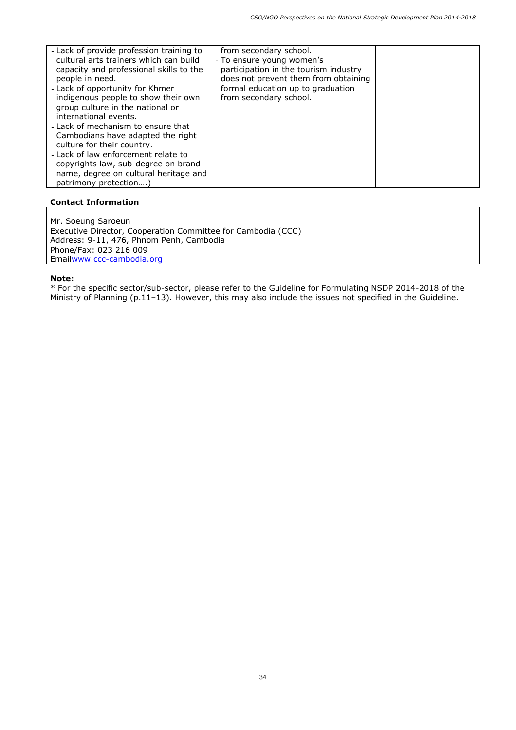Mr. Soeung Saroeun Executive Director, Cooperation Committee for Cambodia (CCC) Address: 9-11, 476, Phnom Penh, Cambodia Phone/Fax: 023 216 009 Emailwww.ccc-cambodia.org

#### **Note:**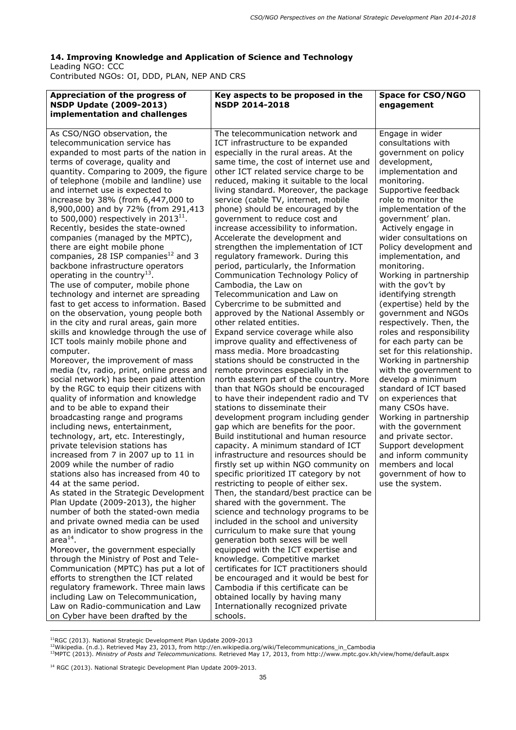## **14. Improving Knowledge and Application of Science and Technology**  Leading NGO: CCC

Contributed NGOs: OI, DDD, PLAN, NEP AND CRS

| Appreciation of the progress of<br><b>NSDP Update (2009-2013)</b><br>implementation and challenges                                                                                                                                                                                                                                                                                                                                                                                                                                                                                                                                                                                                                                                                                                                                                                                                                                                                                                                                                                                                                                                                                                                                                                                                                                                                                                                                                                                                                                                                                                                                                                                                                                                                                                                                                                                                                                                                             | Key aspects to be proposed in the<br><b>NSDP 2014-2018</b>                                                                                                                                                                                                                                                                                                                                                                                                                                                                                                                                                                                                                                                                                                                                                                                                                                                                                                                                                                                                                                                                                                                                                                                                                                                                                                                                                                                                                                                                                                                                                                                                                                                                                                                                                                                                                                                                                                                                            | <b>Space for CSO/NGO</b><br>engagement                                                                                                                                                                                                                                                                                                                                                                                                                                                                                                                                                                                                                                                                                                                                                                                                                                                                   |
|--------------------------------------------------------------------------------------------------------------------------------------------------------------------------------------------------------------------------------------------------------------------------------------------------------------------------------------------------------------------------------------------------------------------------------------------------------------------------------------------------------------------------------------------------------------------------------------------------------------------------------------------------------------------------------------------------------------------------------------------------------------------------------------------------------------------------------------------------------------------------------------------------------------------------------------------------------------------------------------------------------------------------------------------------------------------------------------------------------------------------------------------------------------------------------------------------------------------------------------------------------------------------------------------------------------------------------------------------------------------------------------------------------------------------------------------------------------------------------------------------------------------------------------------------------------------------------------------------------------------------------------------------------------------------------------------------------------------------------------------------------------------------------------------------------------------------------------------------------------------------------------------------------------------------------------------------------------------------------|-------------------------------------------------------------------------------------------------------------------------------------------------------------------------------------------------------------------------------------------------------------------------------------------------------------------------------------------------------------------------------------------------------------------------------------------------------------------------------------------------------------------------------------------------------------------------------------------------------------------------------------------------------------------------------------------------------------------------------------------------------------------------------------------------------------------------------------------------------------------------------------------------------------------------------------------------------------------------------------------------------------------------------------------------------------------------------------------------------------------------------------------------------------------------------------------------------------------------------------------------------------------------------------------------------------------------------------------------------------------------------------------------------------------------------------------------------------------------------------------------------------------------------------------------------------------------------------------------------------------------------------------------------------------------------------------------------------------------------------------------------------------------------------------------------------------------------------------------------------------------------------------------------------------------------------------------------------------------------------------------------|----------------------------------------------------------------------------------------------------------------------------------------------------------------------------------------------------------------------------------------------------------------------------------------------------------------------------------------------------------------------------------------------------------------------------------------------------------------------------------------------------------------------------------------------------------------------------------------------------------------------------------------------------------------------------------------------------------------------------------------------------------------------------------------------------------------------------------------------------------------------------------------------------------|
| As CSO/NGO observation, the<br>telecommunication service has<br>expanded to most parts of the nation in<br>terms of coverage, quality and<br>quantity. Comparing to 2009, the figure<br>of telephone (mobile and landline) use<br>and internet use is expected to<br>increase by 38% (from 6,447,000 to<br>8,900,000) and by 72% (from 291,413<br>to 500,000) respectively in $201311$ .<br>Recently, besides the state-owned<br>companies (managed by the MPTC),<br>there are eight mobile phone<br>companies, 28 ISP companies <sup>12</sup> and 3<br>backbone infrastructure operators<br>operating in the country <sup>13</sup> .<br>The use of computer, mobile phone<br>technology and internet are spreading<br>fast to get access to information. Based<br>on the observation, young people both<br>in the city and rural areas, gain more<br>skills and knowledge through the use of<br>ICT tools mainly mobile phone and<br>computer.<br>Moreover, the improvement of mass<br>media (tv, radio, print, online press and<br>social network) has been paid attention<br>by the RGC to equip their citizens with<br>quality of information and knowledge<br>and to be able to expand their<br>broadcasting range and programs<br>including news, entertainment,<br>technology, art, etc. Interestingly,<br>private television stations has<br>increased from 7 in 2007 up to 11 in<br>2009 while the number of radio<br>stations also has increased from 40 to<br>44 at the same period.<br>As stated in the Strategic Development<br>Plan Update (2009-2013), the higher<br>number of both the stated-own media<br>and private owned media can be used<br>as an indicator to show progress in the<br>area $^{14}$ .<br>Moreover, the government especially<br>through the Ministry of Post and Tele-<br>Communication (MPTC) has put a lot of<br>efforts to strengthen the ICT related<br>regulatory framework. Three main laws<br>including Law on Telecommunication, | The telecommunication network and<br>ICT infrastructure to be expanded<br>especially in the rural areas. At the<br>same time, the cost of internet use and<br>other ICT related service charge to be<br>reduced, making it suitable to the local<br>living standard. Moreover, the package<br>service (cable TV, internet, mobile<br>phone) should be encouraged by the<br>government to reduce cost and<br>increase accessibility to information.<br>Accelerate the development and<br>strengthen the implementation of ICT<br>regulatory framework. During this<br>period, particularly, the Information<br>Communication Technology Policy of<br>Cambodia, the Law on<br>Telecommunication and Law on<br>Cybercrime to be submitted and<br>approved by the National Assembly or<br>other related entities.<br>Expand service coverage while also<br>improve quality and effectiveness of<br>mass media. More broadcasting<br>stations should be constructed in the<br>remote provinces especially in the<br>north eastern part of the country. More<br>than that NGOs should be encouraged<br>to have their independent radio and TV<br>stations to disseminate their<br>development program including gender<br>gap which are benefits for the poor.<br>Build institutional and human resource<br>capacity. A minimum standard of ICT<br>infrastructure and resources should be<br>firstly set up within NGO community on<br>specific prioritized IT category by not<br>restricting to people of either sex.<br>Then, the standard/best practice can be<br>shared with the government. The<br>science and technology programs to be<br>included in the school and university<br>curriculum to make sure that young<br>generation both sexes will be well<br>equipped with the ICT expertise and<br>knowledge. Competitive market<br>certificates for ICT practitioners should<br>be encouraged and it would be best for<br>Cambodia if this certificate can be<br>obtained locally by having many | Engage in wider<br>consultations with<br>government on policy<br>development,<br>implementation and<br>monitoring.<br>Supportive feedback<br>role to monitor the<br>implementation of the<br>government' plan.<br>Actively engage in<br>wider consultations on<br>Policy development and<br>implementation, and<br>monitoring.<br>Working in partnership<br>with the gov't by<br>identifying strength<br>(expertise) held by the<br>government and NGOs<br>respectively. Then, the<br>roles and responsibility<br>for each party can be<br>set for this relationship.<br>Working in partnership<br>with the government to<br>develop a minimum<br>standard of ICT based<br>on experiences that<br>many CSOs have.<br>Working in partnership<br>with the government<br>and private sector.<br>Support development<br>and inform community<br>members and local<br>government of how to<br>use the system. |
| Law on Radio-communication and Law<br>on Cyber have been drafted by the                                                                                                                                                                                                                                                                                                                                                                                                                                                                                                                                                                                                                                                                                                                                                                                                                                                                                                                                                                                                                                                                                                                                                                                                                                                                                                                                                                                                                                                                                                                                                                                                                                                                                                                                                                                                                                                                                                        | Internationally recognized private<br>schools.                                                                                                                                                                                                                                                                                                                                                                                                                                                                                                                                                                                                                                                                                                                                                                                                                                                                                                                                                                                                                                                                                                                                                                                                                                                                                                                                                                                                                                                                                                                                                                                                                                                                                                                                                                                                                                                                                                                                                        |                                                                                                                                                                                                                                                                                                                                                                                                                                                                                                                                                                                                                                                                                                                                                                                                                                                                                                          |

ł

<sup>&</sup>lt;sup>11</sup>RGC (2013). National Strategic Development Plan Update 2009-2013<br><sup>12</sup>Wikipedia. (n.d.). Retrieved May 23, 2013, from http://en.wikipedia.org/wiki/Telecommunications\_in\_Cambodia<br><sup>13</sup>MPTC (2013). *Ministry of Posts and T* 

<sup>&</sup>lt;sup>14</sup> RGC (2013). National Strategic Development Plan Update 2009-2013.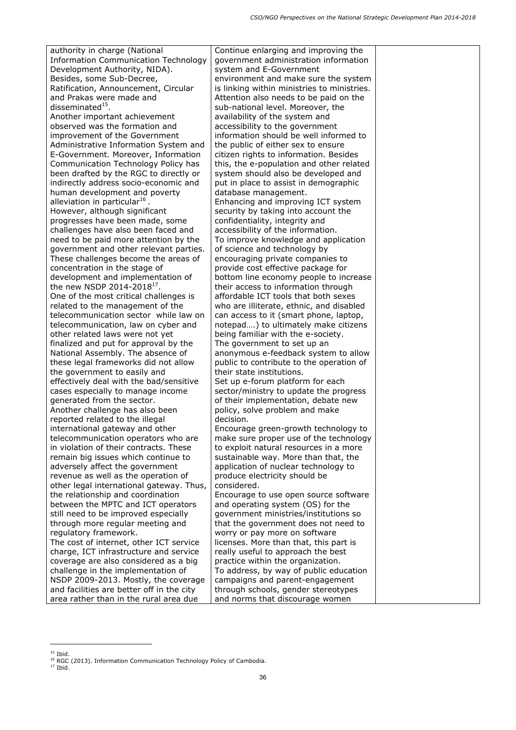authority in charge (National Information Communication Technology Development Authority, NIDA). Besides, some Sub-Decree, Ratification, Announcement, Circular and Prakas were made and disseminated $15$ . Another important achievement observed was the formation and improvement of the Government Administrative Information System and E-Government. Moreover, Information Communication Technology Policy has been drafted by the RGC to directly or indirectly address socio-economic and human development and poverty alleviation in particular<sup>16</sup>. However, although significant progresses have been made, some challenges have also been faced and need to be paid more attention by the government and other relevant parties. These challenges become the areas of concentration in the stage of development and implementation of the new NSDP 2014-2018 $^{17}$ . One of the most critical challenges is related to the management of the telecommunication sector while law on telecommunication, law on cyber and other related laws were not yet finalized and put for approval by the National Assembly. The absence of these legal frameworks did not allow the government to easily and effectively deal with the bad/sensitive cases especially to manage income generated from the sector. Another challenge has also been reported related to the illegal international gateway and other telecommunication operators who are in violation of their contracts. These remain big issues which continue to adversely affect the government revenue as well as the operation of other legal international gateway. Thus, the relationship and coordination between the MPTC and ICT operators still need to be improved especially through more regular meeting and regulatory framework. The cost of internet, other ICT service charge, ICT infrastructure and service coverage are also considered as a big challenge in the implementation of NSDP 2009-2013. Mostly, the coverage and facilities are better off in the city area rather than in the rural area due

Continue enlarging and improving the government administration information system and E-Government environment and make sure the system is linking within ministries to ministries. Attention also needs to be paid on the sub-national level. Moreover, the availability of the system and accessibility to the government information should be well informed to the public of either sex to ensure citizen rights to information. Besides this, the e-population and other related system should also be developed and put in place to assist in demographic database management. Enhancing and improving ICT system security by taking into account the confidentiality, integrity and accessibility of the information. To improve knowledge and application of science and technology by encouraging private companies to provide cost effective package for bottom line economy people to increase their access to information through affordable ICT tools that both sexes who are illiterate, ethnic, and disabled can access to it (smart phone, laptop, notepad….) to ultimately make citizens being familiar with the e-society. The government to set up an anonymous e-feedback system to allow public to contribute to the operation of their state institutions. Set up e-forum platform for each sector/ministry to update the progress of their implementation, debate new policy, solve problem and make decision. Encourage green-growth technology to make sure proper use of the technology to exploit natural resources in a more sustainable way. More than that, the application of nuclear technology to produce electricity should be considered. Encourage to use open source software and operating system (OS) for the government ministries/institutions so that the government does not need to worry or pay more on software licenses. More than that, this part is really useful to approach the best practice within the organization. To address, by way of public education campaigns and parent-engagement through schools, gender stereotypes and norms that discourage women

ł

<sup>&</sup>lt;sup>15</sup> Ibid.<br><sup>16</sup> RGC (2013). Information Communication Technology Policy of Cambodia.<br><sup>17</sup> Ibid.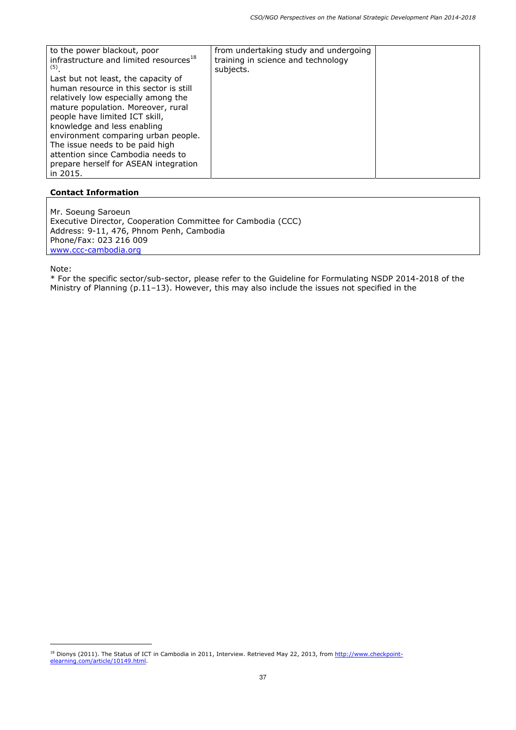| to the power blackout, poor<br>infrastructure and limited resources <sup>18</sup><br>(5)<br>Last but not least, the capacity of<br>human resource in this sector is still<br>relatively low especially among the<br>mature population. Moreover, rural<br>people have limited ICT skill,<br>knowledge and less enabling | from undertaking study and undergoing<br>training in science and technology<br>subjects. |  |
|-------------------------------------------------------------------------------------------------------------------------------------------------------------------------------------------------------------------------------------------------------------------------------------------------------------------------|------------------------------------------------------------------------------------------|--|
| environment comparing urban people.<br>The issue needs to be paid high                                                                                                                                                                                                                                                  |                                                                                          |  |
| attention since Cambodia needs to                                                                                                                                                                                                                                                                                       |                                                                                          |  |
| prepare herself for ASEAN integration<br>in 2015.                                                                                                                                                                                                                                                                       |                                                                                          |  |

Mr. Soeung Saroeun Executive Director, Cooperation Committee for Cambodia (CCC) Address: 9-11, 476, Phnom Penh, Cambodia Phone/Fax: 023 216 009 www.ccc-cambodia.org

Note:

ł

<sup>&</sup>lt;sup>18</sup> Dionys (2011). The Status of ICT in Cambodia in 2011, Interview. Retrieved May 22, 2013, from http://www.checkpointelearning.com/article/10149.html.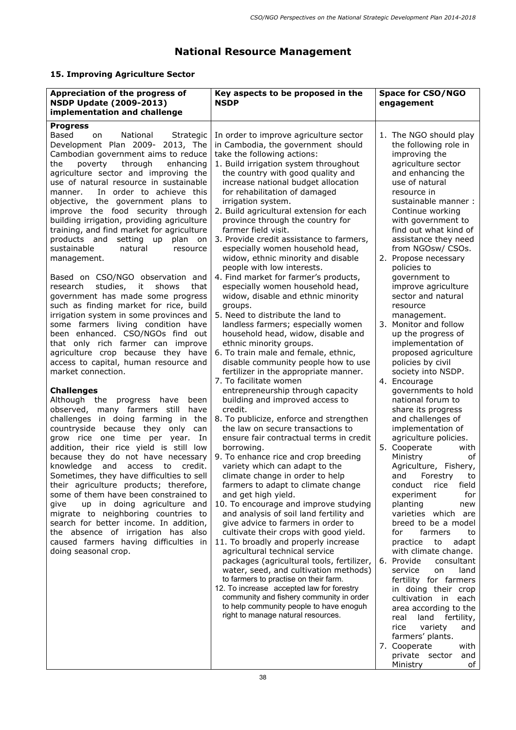# **National Resource Management**

# **15. Improving Agriculture Sector**

| Appreciation of the progress of<br><b>NSDP Update (2009-2013)</b><br>implementation and challenge                                                                                                                                                                                                                                                                                                                                                                                                                                                                                                                                                                                                                                                                                                                                                                                                          | Key aspects to be proposed in the<br><b>NSDP</b>                                                                                                                                                                                                                                                                                                                                                                                                                                                                                                                                                                                                                                                                                                                                                                             | <b>Space for CSO/NGO</b><br>engagement                                                                                                                                                                                                                                                                                                                                                                                                                                                                    |
|------------------------------------------------------------------------------------------------------------------------------------------------------------------------------------------------------------------------------------------------------------------------------------------------------------------------------------------------------------------------------------------------------------------------------------------------------------------------------------------------------------------------------------------------------------------------------------------------------------------------------------------------------------------------------------------------------------------------------------------------------------------------------------------------------------------------------------------------------------------------------------------------------------|------------------------------------------------------------------------------------------------------------------------------------------------------------------------------------------------------------------------------------------------------------------------------------------------------------------------------------------------------------------------------------------------------------------------------------------------------------------------------------------------------------------------------------------------------------------------------------------------------------------------------------------------------------------------------------------------------------------------------------------------------------------------------------------------------------------------------|-----------------------------------------------------------------------------------------------------------------------------------------------------------------------------------------------------------------------------------------------------------------------------------------------------------------------------------------------------------------------------------------------------------------------------------------------------------------------------------------------------------|
|                                                                                                                                                                                                                                                                                                                                                                                                                                                                                                                                                                                                                                                                                                                                                                                                                                                                                                            |                                                                                                                                                                                                                                                                                                                                                                                                                                                                                                                                                                                                                                                                                                                                                                                                                              |                                                                                                                                                                                                                                                                                                                                                                                                                                                                                                           |
| <b>Progress</b><br><b>Based</b><br>National<br>Strategic<br>on.<br>Development Plan 2009- 2013, The<br>Cambodian government aims to reduce<br>the<br>through<br>enhancing<br>poverty<br>agriculture sector and improving the<br>use of natural resource in sustainable<br>In order to achieve this<br>manner.<br>objective, the government plans to<br>improve the food security through<br>building irrigation, providing agriculture<br>training, and find market for agriculture<br>products and<br>setting up<br>plan on<br>sustainable<br>natural<br>resource<br>management.<br>Based on CSO/NGO observation and<br>studies, it<br>shows<br>that<br>research<br>government has made some progress<br>such as finding market for rice, build<br>irrigation system in some provinces and<br>some farmers living condition have<br>been enhanced. CSO/NGOs find out<br>that only rich farmer can improve | In order to improve agriculture sector<br>in Cambodia, the government should<br>take the following actions:<br>1. Build irrigation system throughout<br>the country with good quality and<br>increase national budget allocation<br>for rehabilitation of damaged<br>irrigation system.<br>2. Build agricultural extension for each<br>province through the country for<br>farmer field visit.<br>3. Provide credit assistance to farmers,<br>especially women household head,<br>widow, ethnic minority and disable<br>people with low interests.<br>4. Find market for farmer's products,<br>especially women household head,<br>widow, disable and ethnic minority<br>groups.<br>5. Need to distribute the land to<br>landless farmers; especially women<br>household head, widow, disable and<br>ethnic minority groups. | 1. The NGO should play<br>the following role in<br>improving the<br>agriculture sector<br>and enhancing the<br>use of natural<br>resource in<br>sustainable manner:<br>Continue working<br>with government to<br>find out what kind of<br>assistance they need<br>from NGOsw/ CSOs.<br>Propose necessary<br>2.<br>policies to<br>government to<br>improve agriculture<br>sector and natural<br>resource<br>management.<br>3 <sub>1</sub><br>Monitor and follow<br>up the progress of<br>implementation of |
| agriculture crop because they have<br>access to capital, human resource and<br>market connection.                                                                                                                                                                                                                                                                                                                                                                                                                                                                                                                                                                                                                                                                                                                                                                                                          | 6. To train male and female, ethnic,<br>disable community people how to use<br>fertilizer in the appropriate manner.<br>7. To facilitate women                                                                                                                                                                                                                                                                                                                                                                                                                                                                                                                                                                                                                                                                               | proposed agriculture<br>policies by civil<br>society into NSDP.<br>Encourage<br>4.                                                                                                                                                                                                                                                                                                                                                                                                                        |
| <b>Challenges</b><br>Although the progress have been<br>observed, many farmers still have<br>challenges in doing farming in the<br>countryside because they only<br>can<br>grow rice one time per year.<br>In<br>addition, their rice yield is still low<br>because they do not have necessary<br>knowledge and access to credit.<br>Sometimes, they have difficulties to sell<br>their agriculture products; therefore,<br>some of them have been constrained to<br>up in doing agriculture and<br>give<br>migrate to neighboring countries to<br>search for better income. In addition,<br>the absence of irrigation has also<br>caused farmers having difficulties in<br>doing seasonal crop.                                                                                                                                                                                                           | entrepreneurship through capacity<br>building and improved access to<br>credit.<br>8. To publicize, enforce and strengthen<br>the law on secure transactions to<br>ensure fair contractual terms in credit<br>borrowing.<br>9. To enhance rice and crop breeding<br>variety which can adapt to the<br>climate change in order to help<br>farmers to adapt to climate change<br>and get high yield.<br>10. To encourage and improve studying<br>and analysis of soil land fertility and<br>give advice to farmers in order to<br>cultivate their crops with good yield.<br>11. To broadly and properly increase<br>agricultural technical service<br>packages (agricultural tools, fertilizer,<br>water, seed, and cultivation methods)                                                                                       | governments to hold<br>national forum to<br>share its progress<br>and challenges of<br>implementation of<br>agriculture policies.<br>Cooperate<br>5.<br>with<br>Ministry<br>of<br>Agriculture, Fishery,<br>and<br>Forestry<br>to<br>conduct<br>rice<br>field<br>for<br>experiment<br>planting<br>new<br>varieties which are<br>breed to be a model<br>farmers<br>for<br>to<br>practice<br>to<br>adapt<br>with climate change.<br>Provide<br>consultant<br>6.<br>service<br>land<br>on                     |
|                                                                                                                                                                                                                                                                                                                                                                                                                                                                                                                                                                                                                                                                                                                                                                                                                                                                                                            | to farmers to practise on their farm.<br>12. To increase accepted law for forestry<br>community and fishery community in order<br>to help community people to have enoguh<br>right to manage natural resources.                                                                                                                                                                                                                                                                                                                                                                                                                                                                                                                                                                                                              | fertility for farmers<br>in doing their crop<br>cultivation in each<br>area according to the<br>real land fertility,<br>variety<br>and<br>rice<br>farmers' plants.<br>7. Cooperate<br>with<br>private sector and                                                                                                                                                                                                                                                                                          |

Ministry of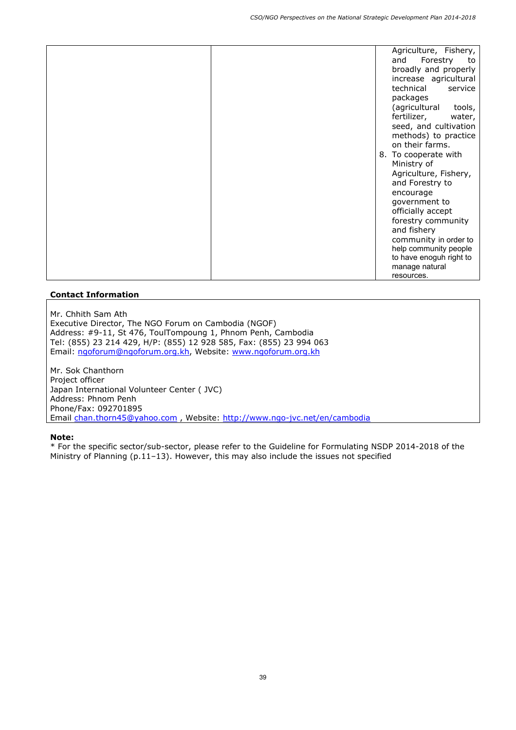|  | Agriculture, Fishery,<br>Forestry<br>and<br>to<br>broadly and properly<br>increase agricultural<br>technical<br>service<br>packages<br>(agricultural<br>tools,<br>fertilizer,<br>water,<br>seed, and cultivation<br>methods) to practice<br>on their farms.<br>8. To cooperate with<br>Ministry of<br>Agriculture, Fishery,<br>and Forestry to<br>encourage<br>government to<br>officially accept<br>forestry community<br>and fishery<br>community in order to |
|--|-----------------------------------------------------------------------------------------------------------------------------------------------------------------------------------------------------------------------------------------------------------------------------------------------------------------------------------------------------------------------------------------------------------------------------------------------------------------|
|  | help community people<br>to have enoguh right to<br>manage natural<br>resources.                                                                                                                                                                                                                                                                                                                                                                                |

Mr. Chhith Sam Ath Executive Director, The NGO Forum on Cambodia (NGOF) Address: #9-11, St 476, ToulTompoung 1, Phnom Penh, Cambodia Tel: (855) 23 214 429, H/P: (855) 12 928 585, Fax: (855) 23 994 063 Email: ngoforum@ngoforum.org.kh, Website: www.ngoforum.org.kh

Mr. Sok Chanthorn Project officer Japan International Volunteer Center ( JVC) Address: Phnom Penh Phone/Fax: 092701895 Email chan.thorn45@yahoo.com , Website: http://www.ngo-jvc.net/en/cambodia

#### **Note:**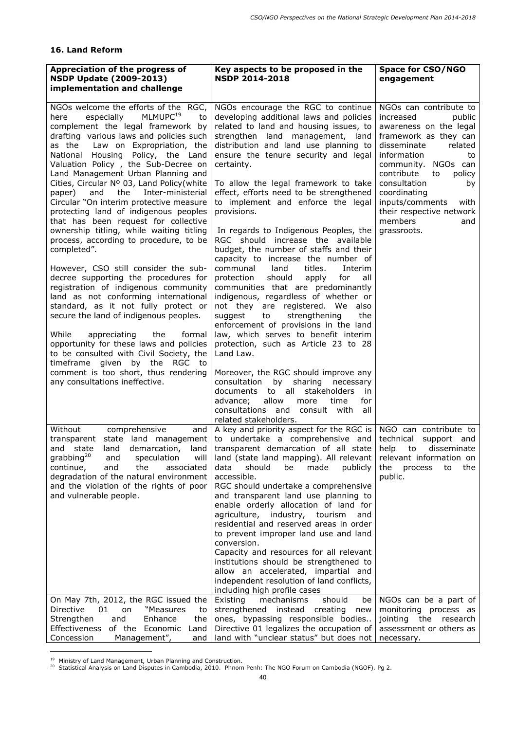## **16. Land Reform**

| Appreciation of the progress of<br><b>NSDP Update (2009-2013)</b><br>implementation and challenge                                                                                                                                                                                                                                                                                                                                                                                                                                                                                                                                                                                                                                                                                                                                                                                                                                                                                                                                                                                   | Key aspects to be proposed in the<br><b>NSDP 2014-2018</b>                                                                                                                                                                                                                                                                                                                                                                                                                                                                                                                                                                                                                                                                                                                                                                                                                                                                                                 | <b>Space for CSO/NGO</b><br>engagement                                                                                                                                                                                                                                                                                             |
|-------------------------------------------------------------------------------------------------------------------------------------------------------------------------------------------------------------------------------------------------------------------------------------------------------------------------------------------------------------------------------------------------------------------------------------------------------------------------------------------------------------------------------------------------------------------------------------------------------------------------------------------------------------------------------------------------------------------------------------------------------------------------------------------------------------------------------------------------------------------------------------------------------------------------------------------------------------------------------------------------------------------------------------------------------------------------------------|------------------------------------------------------------------------------------------------------------------------------------------------------------------------------------------------------------------------------------------------------------------------------------------------------------------------------------------------------------------------------------------------------------------------------------------------------------------------------------------------------------------------------------------------------------------------------------------------------------------------------------------------------------------------------------------------------------------------------------------------------------------------------------------------------------------------------------------------------------------------------------------------------------------------------------------------------------|------------------------------------------------------------------------------------------------------------------------------------------------------------------------------------------------------------------------------------------------------------------------------------------------------------------------------------|
|                                                                                                                                                                                                                                                                                                                                                                                                                                                                                                                                                                                                                                                                                                                                                                                                                                                                                                                                                                                                                                                                                     |                                                                                                                                                                                                                                                                                                                                                                                                                                                                                                                                                                                                                                                                                                                                                                                                                                                                                                                                                            |                                                                                                                                                                                                                                                                                                                                    |
| NGOs welcome the efforts of the RGC,<br>especially<br>MLMUPC <sup>19</sup><br>to<br>here<br>complement the legal framework by<br>drafting various laws and policies such<br>as the<br>Law on Expropriation, the<br>National Housing Policy, the Land<br>Valuation Policy, the Sub-Decree on<br>Land Management Urban Planning and<br>Cities, Circular Nº 03, Land Policy (white<br>the<br>and<br>Inter-ministerial<br>paper)<br>Circular "On interim protective measure<br>protecting land of indigenous peoples<br>that has been request for collective<br>ownership titling, while waiting titling<br>process, according to procedure, to be<br>completed".<br>However, CSO still consider the sub-<br>decree supporting the procedures for<br>registration of indigenous community<br>land as not conforming international<br>standard, as it not fully protect or<br>secure the land of indigenous peoples.<br>While<br>appreciating<br>the<br>formal<br>opportunity for these laws and policies<br>to be consulted with Civil Society, the<br>timeframe given by the<br>RGC to | NGOs encourage the RGC to continue<br>developing additional laws and policies<br>related to land and housing issues, to<br>strengthen land management, land<br>distribution and land use planning to<br>ensure the tenure security and legal<br>certainty.<br>To allow the legal framework to take<br>effect, efforts need to be strengthened<br>to implement and enforce the legal<br>provisions.<br>In regards to Indigenous Peoples, the<br>RGC should increase the available<br>budget, the number of staffs and their<br>capacity to increase the number of<br>communal<br>land<br>titles.<br>Interim<br>protection<br>should<br>apply<br>for<br>all<br>communities that are predominantly<br>indigenous, regardless of whether or<br>not they are registered. We also<br>suggest<br>strengthening<br>the<br>to<br>enforcement of provisions in the land<br>law, which serves to benefit interim<br>protection, such as Article 23 to 28<br>Land Law. | NGOs can contribute to<br>increased<br>public<br>awareness on the legal<br>framework as they can<br>disseminate<br>related<br>information<br>to<br>community. NGOs can<br>contribute<br>to<br>policy<br>consultation<br>by<br>coordinating<br>inputs/comments<br>with<br>their respective network<br>members<br>and<br>grassroots. |
| comment is too short, thus rendering<br>any consultations ineffective.<br>Without<br>comprehensive<br>and                                                                                                                                                                                                                                                                                                                                                                                                                                                                                                                                                                                                                                                                                                                                                                                                                                                                                                                                                                           | Moreover, the RGC should improve any<br>by<br>sharing necessary<br>consultation<br>stakeholders<br>documents<br>all<br>to<br>in.<br>allow<br>advance;<br>time<br>for<br>more<br>consultations and<br>consult with<br>all<br>related stakeholders.<br>A key and priority aspect for the RGC is $ $                                                                                                                                                                                                                                                                                                                                                                                                                                                                                                                                                                                                                                                          | NGO can contribute to                                                                                                                                                                                                                                                                                                              |
| transparent<br>state<br>land management<br>state<br>demarcation,<br>and<br>land<br>land<br>grabbing <sup>20</sup><br>and<br>speculation<br>will<br>continue,<br>the<br>associated<br>and<br>degradation of the natural environment<br>and the violation of the rights of poor<br>and vulnerable people.                                                                                                                                                                                                                                                                                                                                                                                                                                                                                                                                                                                                                                                                                                                                                                             | to undertake a comprehensive and<br>transparent demarcation of all state<br>land (state land mapping). All relevant<br>data<br>should<br>be<br>made<br>publicly<br>accessible.<br>RGC should undertake a comprehensive<br>and transparent land use planning to<br>enable orderly allocation of land for<br>agriculture, industry, tourism<br>and<br>residential and reserved areas in order<br>to prevent improper land use and land<br>conversion.<br>Capacity and resources for all relevant<br>institutions should be strengthened to<br>allow an accelerated, impartial and<br>independent resolution of land conflicts,<br>including high profile cases                                                                                                                                                                                                                                                                                               | technical<br>support and<br>help<br>to<br>disseminate<br>relevant information on<br>the<br>the process<br>to<br>public.                                                                                                                                                                                                            |
| On May 7th, 2012, the RGC issued the<br>"Measures<br>Directive<br>01<br>on<br>to<br>Strengthen<br>and<br>Enhance<br>the<br>of the Economic<br>Effectiveness<br>Land<br>Concession<br>Management",<br>and                                                                                                                                                                                                                                                                                                                                                                                                                                                                                                                                                                                                                                                                                                                                                                                                                                                                            | mechanisms<br>should<br>Existing<br>be<br>strengthened<br>instead<br>creating<br>new<br>ones, bypassing responsible bodies<br>Directive 01 legalizes the occupation of<br>land with "unclear status" but does not                                                                                                                                                                                                                                                                                                                                                                                                                                                                                                                                                                                                                                                                                                                                          | NGOs can be a part of<br>monitoring process as<br>jointing the research<br>assessment or others as<br>necessary.                                                                                                                                                                                                                   |

ł

<sup>&</sup>lt;sup>19</sup> Ministry of Land Management, Urban Planning and Construction.<br><sup>20</sup> Statistical Analysis on Land Disputes in Cambodia, 2010. Phnom Penh: The NGO Forum on Cambodia (NGOF). Pg 2.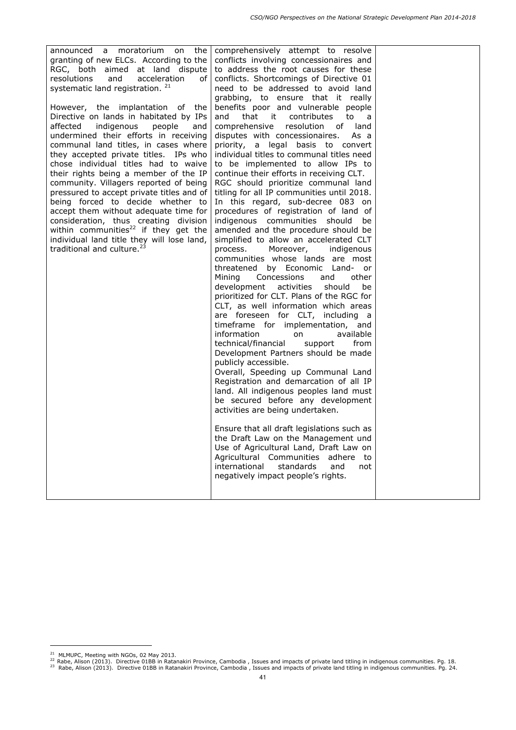| announced a moratorium<br>the  <br>on<br>granting of new ELCs. According to the<br>RGC, both aimed at land dispute<br>and<br>acceleration<br>resolutions<br>of <sub>l</sub><br>systematic land registration. <sup>21</sup><br>However, the implantation of the<br>Directive on lands in habitated by IPs<br>affected<br>indigenous<br>people<br>and<br>undermined their efforts in receiving<br>communal land titles, in cases where<br>they accepted private titles. IPs who<br>chose individual titles had to waive<br>their rights being a member of the IP<br>community. Villagers reported of being<br>pressured to accept private titles and of<br>being forced to decide whether to<br>accept them without adequate time for<br>consideration, thus creating division<br>within communities <sup>22</sup> if they get the<br>individual land title they will lose land,<br>traditional and culture. <sup>23</sup> | comprehensively attempt to resolve<br>conflicts involving concessionaires and<br>to address the root causes for these<br>conflicts. Shortcomings of Directive 01<br>need to be addressed to avoid land<br>grabbing, to ensure that it really<br>benefits poor and vulnerable people<br>and<br>that<br>it contributes<br>to<br>a a<br>comprehensive<br>resolution of land<br>disputes with concessionaires.<br>As a<br>priority, a legal basis to convert<br>individual titles to communal titles need<br>to be implemented to allow IPs to<br>continue their efforts in receiving CLT.<br>RGC should prioritize communal land<br>titling for all IP communities until 2018.<br>In this regard, sub-decree 083 on<br>procedures of registration of land of<br>indigenous communities should<br>be<br>amended and the procedure should be<br>simplified to allow an accelerated CLT<br>Moreover,<br>process.<br>indigenous<br>communities whose lands are most<br>threatened by Economic Land- or<br>Mining<br>Concessions<br>and<br>other<br>development<br>activities<br>should<br>be<br>prioritized for CLT. Plans of the RGC for<br>CLT, as well information which areas<br>are foreseen for CLT, including a<br>timeframe for implementation, and<br>information<br>available<br>on<br>technical/financial<br>support<br>from<br>Development Partners should be made<br>publicly accessible.<br>Overall, Speeding up Communal Land<br>Registration and demarcation of all IP<br>land. All indigenous peoples land must<br>be secured before any development<br>activities are being undertaken.<br>Ensure that all draft legislations such as<br>the Draft Law on the Management und<br>Use of Agricultural Land, Draft Law on<br>Agricultural Communities<br>adhere<br>to.<br>international<br>standards<br>and<br>not<br>negatively impact people's rights. |  |
|--------------------------------------------------------------------------------------------------------------------------------------------------------------------------------------------------------------------------------------------------------------------------------------------------------------------------------------------------------------------------------------------------------------------------------------------------------------------------------------------------------------------------------------------------------------------------------------------------------------------------------------------------------------------------------------------------------------------------------------------------------------------------------------------------------------------------------------------------------------------------------------------------------------------------|------------------------------------------------------------------------------------------------------------------------------------------------------------------------------------------------------------------------------------------------------------------------------------------------------------------------------------------------------------------------------------------------------------------------------------------------------------------------------------------------------------------------------------------------------------------------------------------------------------------------------------------------------------------------------------------------------------------------------------------------------------------------------------------------------------------------------------------------------------------------------------------------------------------------------------------------------------------------------------------------------------------------------------------------------------------------------------------------------------------------------------------------------------------------------------------------------------------------------------------------------------------------------------------------------------------------------------------------------------------------------------------------------------------------------------------------------------------------------------------------------------------------------------------------------------------------------------------------------------------------------------------------------------------------------------------------------------------------------------------------------------------------------------------------------------------------------------------------------------------|--|

ł

<sup>&</sup>lt;sup>21</sup> MLMUPC, Meeting with NGOs, 02 May 2013.<br><sup>22</sup> Rabe, Alison (2013). Directive 01BB in Ratanakiri Province, Cambodia , Issues and impacts of private land titling in indigenous communities. Pg. 18.<br><sup>23</sup> Rabe, Alison (2013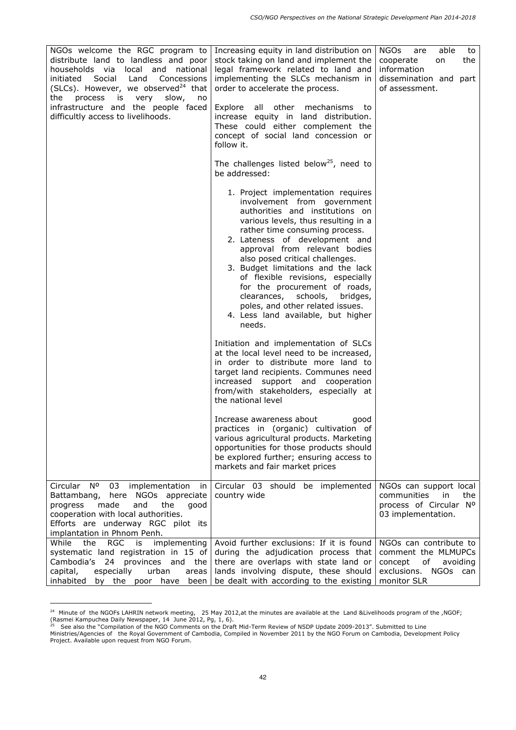| NGOs welcome the RGC program to<br>distribute land to landless and poor<br>households via<br>local<br>and<br>national<br>initiated Social Land<br>Concessions<br>(SLCs). However, we observed <sup>24</sup> that<br>process is<br>the<br>very<br>slow,<br>no<br>infrastructure and the people faced<br>difficultly access to livelihoods. | Increasing equity in land distribution on<br>stock taking on land and implement the<br>legal framework related to land and<br>implementing the SLCs mechanism in<br>order to accelerate the process.<br>Explore all other<br>mechanisms<br>to<br>increase equity in land distribution.<br>These could either complement the<br>concept of social land concession or<br>follow it.                                                                                                                                    | <b>NGOs</b><br>able<br>are<br>to<br>the<br>cooperate<br>on<br>information<br>dissemination and part<br>of assessment. |
|-------------------------------------------------------------------------------------------------------------------------------------------------------------------------------------------------------------------------------------------------------------------------------------------------------------------------------------------|----------------------------------------------------------------------------------------------------------------------------------------------------------------------------------------------------------------------------------------------------------------------------------------------------------------------------------------------------------------------------------------------------------------------------------------------------------------------------------------------------------------------|-----------------------------------------------------------------------------------------------------------------------|
|                                                                                                                                                                                                                                                                                                                                           | The challenges listed below <sup>25</sup> , need to<br>be addressed:                                                                                                                                                                                                                                                                                                                                                                                                                                                 |                                                                                                                       |
|                                                                                                                                                                                                                                                                                                                                           | 1. Project implementation requires<br>involvement from government<br>authorities and institutions on<br>various levels, thus resulting in a<br>rather time consuming process.<br>2. Lateness of development and<br>approval from relevant bodies<br>also posed critical challenges.<br>3. Budget limitations and the lack<br>of flexible revisions, especially<br>for the procurement of roads,<br>clearances, schools, bridges,<br>poles, and other related issues.<br>4. Less land available, but higher<br>needs. |                                                                                                                       |
|                                                                                                                                                                                                                                                                                                                                           | Initiation and implementation of SLCs<br>at the local level need to be increased,<br>in order to distribute more land to<br>target land recipients. Communes need<br>increased support and cooperation<br>from/with stakeholders, especially at<br>the national level                                                                                                                                                                                                                                                |                                                                                                                       |
|                                                                                                                                                                                                                                                                                                                                           | Increase awareness about<br>good<br>practices in (organic) cultivation of<br>various agricultural products. Marketing<br>opportunities for those products should<br>be explored further; ensuring access to<br>markets and fair market prices                                                                                                                                                                                                                                                                        |                                                                                                                       |
| Circular Nº<br>03<br>implementation<br>in<br>Battambang, here NGOs appreciate<br>the<br>made<br>and<br>good<br>progress<br>cooperation with local authorities.<br>Efforts are underway RGC pilot its<br>implantation in Phnom Penh.                                                                                                       | Circular 03 should be implemented<br>country wide                                                                                                                                                                                                                                                                                                                                                                                                                                                                    | NGOs can support local<br>communities<br>in in<br>the<br>process of Circular Nº<br>03 implementation.                 |
| While<br>RGC is<br>implementing<br>the<br>systematic land registration in 15 of<br>Cambodia's 24 provinces and the<br>urban<br>capital,<br>especially<br>area <sub>s</sub><br>inhabited                                                                                                                                                   | Avoid further exclusions: If it is found<br>during the adjudication process that<br>there are overlaps with state land or<br>lands involving dispute, these should<br>by the poor have been   be dealt with according to the existing $ $                                                                                                                                                                                                                                                                            | NGOs can contribute to<br>comment the MLMUPCs<br>concept<br>of<br>avoiding<br>exclusions. NGOs can<br>monitor SLR     |

<sup>&</sup>lt;sup>24</sup> Minute of the NGOFs LAHRIN network meeting, 25 May 2012,at the minutes are available at the Land &Livelihoods program of the ,NGOF; (Rasmei Kampuchea Daily Newspaper, 14 June 2012, Pg, 1, 6).

 $\overline{a}$ 

<sup>&</sup>lt;sup>25</sup> See also the "Compilation of the NGO Comments on the Draft Mid-Term Review of NSDP Update 2009-2013". Submitted to Line

Ministries/Agencies of the Royal Government of Cambodia, Compiled in November 2011 by the NGO Forum on Cambodia, Development Policy Project. Available upon request from NGO Forum.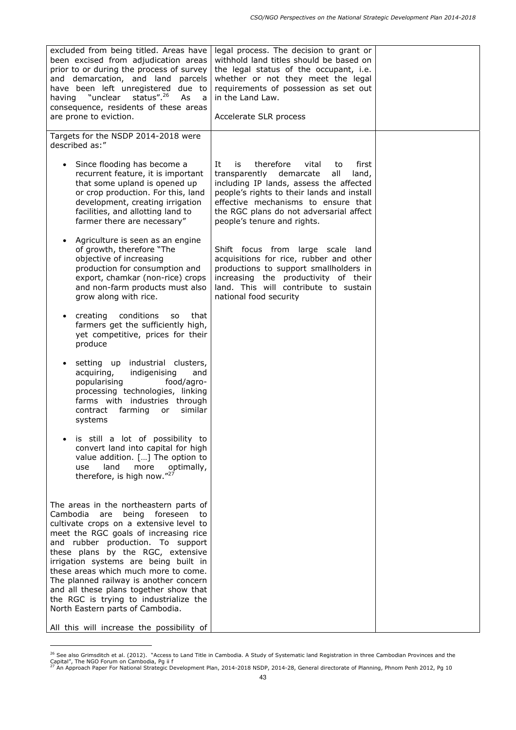| excluded from being titled. Areas have<br>been excised from adjudication areas<br>prior to or during the process of survey<br>and demarcation, and land parcels<br>have been left unregistered due to<br>status". <sup>26</sup><br>"unclear<br>As<br>having<br>a<br>consequence, residents of these areas<br>are prone to eviction.                                                                                                                                                                                                                | legal process. The decision to grant or<br>withhold land titles should be based on<br>the legal status of the occupant, i.e.<br>whether or not they meet the legal<br>requirements of possession as set out<br>in the Land Law.<br>Accelerate SLR process                                          |  |
|----------------------------------------------------------------------------------------------------------------------------------------------------------------------------------------------------------------------------------------------------------------------------------------------------------------------------------------------------------------------------------------------------------------------------------------------------------------------------------------------------------------------------------------------------|----------------------------------------------------------------------------------------------------------------------------------------------------------------------------------------------------------------------------------------------------------------------------------------------------|--|
| Targets for the NSDP 2014-2018 were<br>described as:"                                                                                                                                                                                                                                                                                                                                                                                                                                                                                              |                                                                                                                                                                                                                                                                                                    |  |
| Since flooding has become a<br>$\bullet$<br>recurrent feature, it is important<br>that some upland is opened up<br>or crop production. For this, land<br>development, creating irrigation<br>facilities, and allotting land to<br>farmer there are necessary"                                                                                                                                                                                                                                                                                      | therefore<br>It<br>vital<br>first<br>is<br>to<br>transparently demarcate<br>all<br>land,<br>including IP lands, assess the affected<br>people's rights to their lands and install<br>effective mechanisms to ensure that<br>the RGC plans do not adversarial affect<br>people's tenure and rights. |  |
| Agriculture is seen as an engine<br>of growth, therefore "The<br>objective of increasing<br>production for consumption and<br>export, chamkar (non-rice) crops<br>and non-farm products must also<br>grow along with rice.                                                                                                                                                                                                                                                                                                                         | Shift focus from large scale<br>land<br>acquisitions for rice, rubber and other<br>productions to support smallholders in<br>increasing the productivity of their<br>land. This will contribute to sustain<br>national food security                                                               |  |
| conditions<br>creating<br>that<br><b>SO</b><br>$\bullet$<br>farmers get the sufficiently high,<br>yet competitive, prices for their<br>produce                                                                                                                                                                                                                                                                                                                                                                                                     |                                                                                                                                                                                                                                                                                                    |  |
| setting up industrial clusters,<br>acquiring,<br>indigenising<br>and<br>food/agro-<br>popularising<br>processing technologies, linking<br>farms with industries through<br>farming or<br>similar<br>contract<br>systems                                                                                                                                                                                                                                                                                                                            |                                                                                                                                                                                                                                                                                                    |  |
| is still a lot of possibility to<br>$\bullet$<br>convert land into capital for high<br>value addition. [] The option to<br>more<br>land<br>optimally,<br>use<br>therefore, is high now."27                                                                                                                                                                                                                                                                                                                                                         |                                                                                                                                                                                                                                                                                                    |  |
| The areas in the northeastern parts of<br>Cambodia<br>being<br>foreseen<br>are<br>to<br>cultivate crops on a extensive level to<br>meet the RGC goals of increasing rice<br>and rubber production. To support<br>these plans by the RGC, extensive<br>irrigation systems are being built in<br>these areas which much more to come.<br>The planned railway is another concern<br>and all these plans together show that<br>the RGC is trying to industrialize the<br>North Eastern parts of Cambodia.<br>All this will increase the possibility of |                                                                                                                                                                                                                                                                                                    |  |

<sup>&</sup>lt;sup>26</sup> See also Grimsditch et al. (2012). "Access to Land Title in Cambodia. A Study of Systematic land Registration in three Cambodian Provinces and the Capital", The NGO Forum on Cambodia, Pg ii f<br><sup>27</sup> An Approach Paper For National Strategic Development Plan, 2014-2018 NSDP, 2014-28, General directorate of Planning, Phnom Penh 2012, Pg 10

ł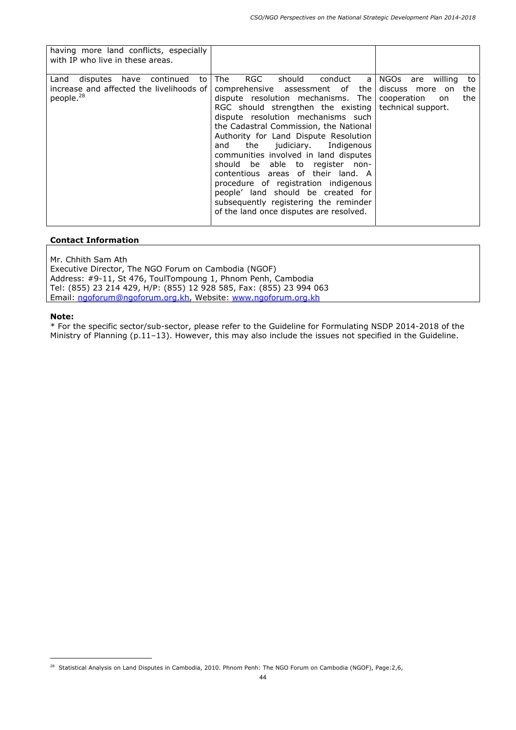| having more land conflicts, especially<br>with IP who live in these areas.                                 |                                                                                                                                                                                                                                                                                                                                                                                                                                                                                                                                                                                                                |                                                                                  |
|------------------------------------------------------------------------------------------------------------|----------------------------------------------------------------------------------------------------------------------------------------------------------------------------------------------------------------------------------------------------------------------------------------------------------------------------------------------------------------------------------------------------------------------------------------------------------------------------------------------------------------------------------------------------------------------------------------------------------------|----------------------------------------------------------------------------------|
| disputes have continued<br>Land<br>to<br>increase and affected the livelihoods of<br>people. <sup>28</sup> | RGC<br>should conduct<br>The<br>comprehensive assessment of the<br>dispute resolution mechanisms. The<br>RGC should strengthen the existing   technical support.<br>dispute resolution mechanisms such<br>the Cadastral Commission, the National<br>Authority for Land Dispute Resolution<br>and the judiciary. Indigenous<br>communities involved in land disputes<br>should be able to register non-<br>contentious areas of their land. A<br>procedure of registration indigenous<br>people' land should be created for<br>subsequently registering the reminder<br>of the land once disputes are resolved. | a   NGOs are willing<br>to<br>discuss more on<br>the<br>the<br>cooperation<br>on |

Mr. Chhith Sam Ath

Executive Director, The NGO Forum on Cambodia (NGOF) Address: #9-11, St 476, ToulTompoung 1, Phnom Penh, Cambodia Tel: (855) 23 214 429, H/P: (855) 12 928 585, Fax: (855) 23 994 063 Email: ngoforum@ngoforum.org.kh, Website: www.ngoforum.org.kh

#### **Note:**

ł

<sup>&</sup>lt;sup>28</sup> Statistical Analysis on Land Disputes in Cambodia, 2010. Phnom Penh: The NGO Forum on Cambodia (NGOF), Page:2,6,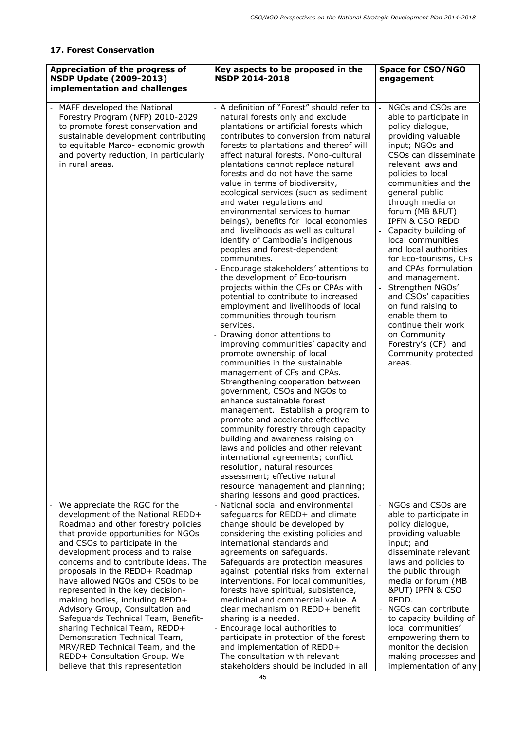## **17. Forest Conservation**

| Appreciation of the progress of<br><b>NSDP Update (2009-2013)</b><br>implementation and challenges                                                                                                                                                                                                                                                                                                                                                                                                                                                                                                                                                              | Key aspects to be proposed in the<br><b>NSDP 2014-2018</b>                                                                                                                                                                                                                                                                                                                                                                                                                                                                                                                                                                                                                                                                                                                                                                                                                                                                                                                                                                                                                                                                                                                                                                                                                                                                                                                                                                                                                                                                                                     | <b>Space for CSO/NGO</b><br>engagement                                                                                                                                                                                                                                                                                                                                                                                                                                                                                                                                                                      |
|-----------------------------------------------------------------------------------------------------------------------------------------------------------------------------------------------------------------------------------------------------------------------------------------------------------------------------------------------------------------------------------------------------------------------------------------------------------------------------------------------------------------------------------------------------------------------------------------------------------------------------------------------------------------|----------------------------------------------------------------------------------------------------------------------------------------------------------------------------------------------------------------------------------------------------------------------------------------------------------------------------------------------------------------------------------------------------------------------------------------------------------------------------------------------------------------------------------------------------------------------------------------------------------------------------------------------------------------------------------------------------------------------------------------------------------------------------------------------------------------------------------------------------------------------------------------------------------------------------------------------------------------------------------------------------------------------------------------------------------------------------------------------------------------------------------------------------------------------------------------------------------------------------------------------------------------------------------------------------------------------------------------------------------------------------------------------------------------------------------------------------------------------------------------------------------------------------------------------------------------|-------------------------------------------------------------------------------------------------------------------------------------------------------------------------------------------------------------------------------------------------------------------------------------------------------------------------------------------------------------------------------------------------------------------------------------------------------------------------------------------------------------------------------------------------------------------------------------------------------------|
| MAFF developed the National<br>Forestry Program (NFP) 2010-2029<br>to promote forest conservation and<br>sustainable development contributing<br>to equitable Marco- economic growth<br>and poverty reduction, in particularly<br>in rural areas.                                                                                                                                                                                                                                                                                                                                                                                                               | - A definition of "Forest" should refer to<br>natural forests only and exclude<br>plantations or artificial forests which<br>contributes to conversion from natural<br>forests to plantations and thereof will<br>affect natural forests. Mono-cultural<br>plantations cannot replace natural<br>forests and do not have the same<br>value in terms of biodiversity,<br>ecological services (such as sediment<br>and water regulations and<br>environmental services to human<br>beings), benefits for local economies<br>and livelihoods as well as cultural<br>identify of Cambodia's indigenous<br>peoples and forest-dependent<br>communities.<br>- Encourage stakeholders' attentions to<br>the development of Eco-tourism<br>projects within the CFs or CPAs with<br>potential to contribute to increased<br>employment and livelihoods of local<br>communities through tourism<br>services.<br>- Drawing donor attentions to<br>improving communities' capacity and<br>promote ownership of local<br>communities in the sustainable<br>management of CFs and CPAs.<br>Strengthening cooperation between<br>government, CSOs and NGOs to<br>enhance sustainable forest<br>management. Establish a program to<br>promote and accelerate effective<br>community forestry through capacity<br>building and awareness raising on<br>laws and policies and other relevant<br>international agreements; conflict<br>resolution, natural resources<br>assessment; effective natural<br>resource management and planning;<br>sharing lessons and good practices. | NGOs and CSOs are<br>able to participate in<br>policy dialogue,<br>providing valuable<br>input; NGOs and<br>CSOs can disseminate<br>relevant laws and<br>policies to local<br>communities and the<br>general public<br>through media or<br>forum (MB &PUT)<br>IPFN & CSO REDD.<br>Capacity building of<br>local communities<br>and local authorities<br>for Eco-tourisms, CFs<br>and CPAs formulation<br>and management.<br>Strengthen NGOs'<br>and CSOs' capacities<br>on fund raising to<br>enable them to<br>continue their work<br>on Community<br>Forestry's (CF) and<br>Community protected<br>areas. |
| We appreciate the RGC for the<br>development of the National REDD+<br>Roadmap and other forestry policies<br>that provide opportunities for NGOs<br>and CSOs to participate in the<br>development process and to raise<br>concerns and to contribute ideas. The<br>proposals in the REDD+ Roadmap<br>have allowed NGOs and CSOs to be<br>represented in the key decision-<br>making bodies, including REDD+<br>Advisory Group, Consultation and<br>Safeguards Technical Team, Benefit-<br>sharing Technical Team, REDD+<br>Demonstration Technical Team,<br>MRV/RED Technical Team, and the<br>REDD+ Consultation Group. We<br>believe that this representation | National social and environmental<br>safeguards for REDD+ and climate<br>change should be developed by<br>considering the existing policies and<br>international standards and<br>agreements on safeguards.<br>Safeguards are protection measures<br>against potential risks from external<br>interventions. For local communities,<br>forests have spiritual, subsistence,<br>medicinal and commercial value. A<br>clear mechanism on REDD+ benefit<br>sharing is a needed.<br>Encourage local authorities to<br>participate in protection of the forest<br>and implementation of REDD+<br>- The consultation with relevant<br>stakeholders should be included in all                                                                                                                                                                                                                                                                                                                                                                                                                                                                                                                                                                                                                                                                                                                                                                                                                                                                                         | NGOs and CSOs are<br>able to participate in<br>policy dialogue,<br>providing valuable<br>input; and<br>disseminate relevant<br>laws and policies to<br>the public through<br>media or forum (MB<br>&PUT) IPFN & CSO<br>REDD.<br>NGOs can contribute<br>to capacity building of<br>local communities'<br>empowering them to<br>monitor the decision<br>making processes and<br>implementation of any                                                                                                                                                                                                         |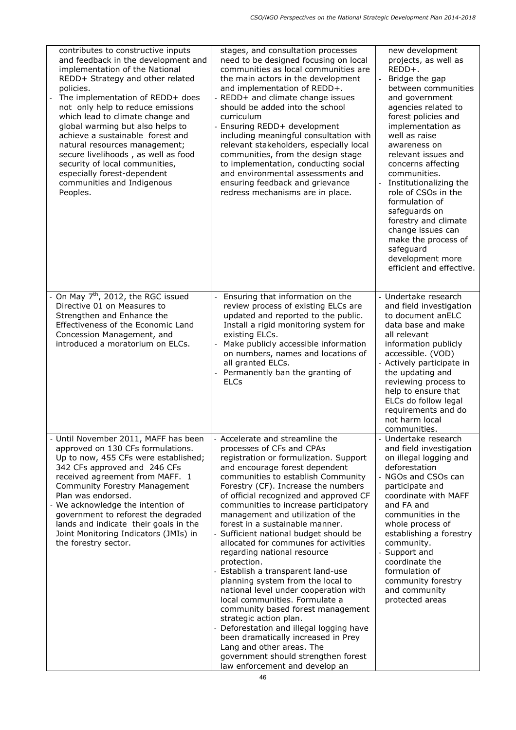| contributes to constructive inputs<br>and feedback in the development and<br>implementation of the National<br>REDD+ Strategy and other related<br>policies.<br>The implementation of REDD+ does<br>not only help to reduce emissions<br>which lead to climate change and<br>global warming but also helps to<br>achieve a sustainable forest and<br>natural resources management;<br>secure livelihoods, as well as food<br>security of local communities,<br>especially forest-dependent<br>communities and Indigenous<br>Peoples. | stages, and consultation processes<br>need to be designed focusing on local<br>communities as local communities are<br>the main actors in the development<br>and implementation of REDD+.<br>- REDD+ and climate change issues<br>should be added into the school<br>curriculum<br>- Ensuring REDD+ development<br>including meaningful consultation with<br>relevant stakeholders, especially local<br>communities, from the design stage<br>to implementation, conducting social<br>and environmental assessments and<br>ensuring feedback and grievance<br>redress mechanisms are in place.                                                                                                                                                                                                                                                                                                                                  | new development<br>projects, as well as<br>REDD+.<br>Bridge the gap<br>between communities<br>and government<br>agencies related to<br>forest policies and<br>implementation as<br>well as raise<br>awareness on<br>relevant issues and<br>concerns affecting<br>communities.<br>Institutionalizing the<br>role of CSOs in the<br>formulation of<br>safeguards on<br>forestry and climate<br>change issues can |
|--------------------------------------------------------------------------------------------------------------------------------------------------------------------------------------------------------------------------------------------------------------------------------------------------------------------------------------------------------------------------------------------------------------------------------------------------------------------------------------------------------------------------------------|---------------------------------------------------------------------------------------------------------------------------------------------------------------------------------------------------------------------------------------------------------------------------------------------------------------------------------------------------------------------------------------------------------------------------------------------------------------------------------------------------------------------------------------------------------------------------------------------------------------------------------------------------------------------------------------------------------------------------------------------------------------------------------------------------------------------------------------------------------------------------------------------------------------------------------|----------------------------------------------------------------------------------------------------------------------------------------------------------------------------------------------------------------------------------------------------------------------------------------------------------------------------------------------------------------------------------------------------------------|
|                                                                                                                                                                                                                                                                                                                                                                                                                                                                                                                                      |                                                                                                                                                                                                                                                                                                                                                                                                                                                                                                                                                                                                                                                                                                                                                                                                                                                                                                                                 | make the process of<br>safeguard<br>development more<br>efficient and effective.                                                                                                                                                                                                                                                                                                                               |
| $\overline{10}$ May 7 <sup>th</sup> , 2012, the RGC issued<br>Directive 01 on Measures to<br>Strengthen and Enhance the<br>Effectiveness of the Economic Land<br>Concession Management, and<br>introduced a moratorium on ELCs.                                                                                                                                                                                                                                                                                                      | Ensuring that information on the<br>review process of existing ELCs are<br>updated and reported to the public.<br>Install a rigid monitoring system for<br>existing ELCs.<br>Make publicly accessible information<br>on numbers, names and locations of<br>all granted ELCs.<br>Permanently ban the granting of<br><b>ELCs</b>                                                                                                                                                                                                                                                                                                                                                                                                                                                                                                                                                                                                  | - Undertake research<br>and field investigation<br>to document anELC<br>data base and make<br>all relevant<br>information publicly<br>accessible. (VOD)<br>- Actively participate in<br>the updating and<br>reviewing process to<br>help to ensure that<br>ELCs do follow legal<br>requirements and do<br>not harm local<br>communities.                                                                       |
| - Until November 2011, MAFF has been<br>approved on 130 CFs formulations.<br>Up to now, 455 CFs were established;<br>342 CFs approved and 246 CFs<br>received agreement from MAFF. 1<br><b>Community Forestry Management</b><br>Plan was endorsed.<br>- We acknowledge the intention of<br>government to reforest the degraded<br>lands and indicate their goals in the<br>Joint Monitoring Indicators (JMIs) in<br>the forestry sector.                                                                                             | - Accelerate and streamline the<br>processes of CFs and CPAs<br>registration or formulization. Support<br>and encourage forest dependent<br>communities to establish Community<br>Forestry (CF). Increase the numbers<br>of official recognized and approved CF<br>communities to increase participatory<br>management and utilization of the<br>forest in a sustainable manner.<br>- Sufficient national budget should be<br>allocated for communes for activities<br>regarding national resource<br>protection.<br>- Establish a transparent land-use<br>planning system from the local to<br>national level under cooperation with<br>local communities. Formulate a<br>community based forest management<br>strategic action plan.<br>- Deforestation and illegal logging have<br>been dramatically increased in Prey<br>Lang and other areas. The<br>government should strengthen forest<br>law enforcement and develop an | - Undertake research<br>and field investigation<br>on illegal logging and<br>deforestation<br>- NGOs and CSOs can<br>participate and<br>coordinate with MAFF<br>and FA and<br>communities in the<br>whole process of<br>establishing a forestry<br>community.<br>- Support and<br>coordinate the<br>formulation of<br>community forestry<br>and community<br>protected areas                                   |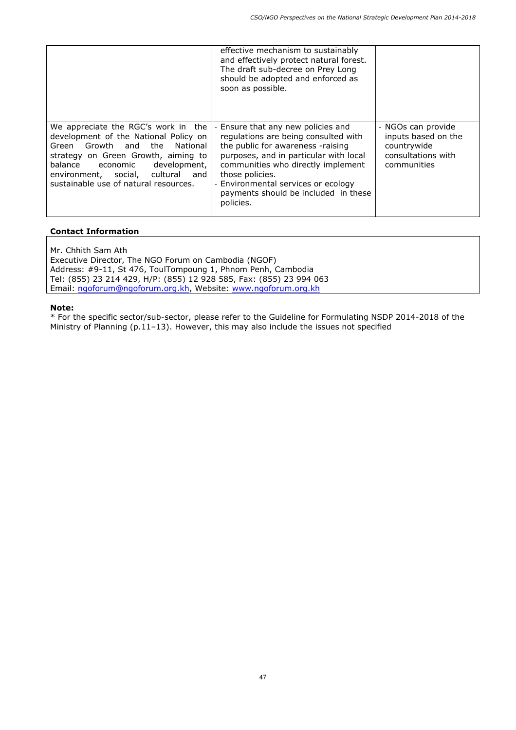|                                                                                                                                                                                                                                                                        | effective mechanism to sustainably<br>and effectively protect natural forest.<br>The draft sub-decree on Prey Long<br>should be adopted and enforced as<br>soon as possible.                                                                                                                                   |                                                                                               |
|------------------------------------------------------------------------------------------------------------------------------------------------------------------------------------------------------------------------------------------------------------------------|----------------------------------------------------------------------------------------------------------------------------------------------------------------------------------------------------------------------------------------------------------------------------------------------------------------|-----------------------------------------------------------------------------------------------|
| We appreciate the RGC's work in the<br>development of the National Policy on<br>Green Growth and the<br>National<br>strategy on Green Growth, aiming to<br>balance economic development,<br>environment, social, cultural and<br>sustainable use of natural resources. | - Ensure that any new policies and<br>regulations are being consulted with<br>the public for awareness -raising<br>purposes, and in particular with local<br>communities who directly implement<br>those policies.<br>- Environmental services or ecology<br>payments should be included in these<br>policies. | - NGOs can provide<br>inputs based on the<br>countrywide<br>consultations with<br>communities |

Mr. Chhith Sam Ath

Executive Director, The NGO Forum on Cambodia (NGOF) Address: #9-11, St 476, ToulTompoung 1, Phnom Penh, Cambodia Tel: (855) 23 214 429, H/P: (855) 12 928 585, Fax: (855) 23 994 063 Email: ngoforum@ngoforum.org.kh, Website: www.ngoforum.org.kh

#### **Note:**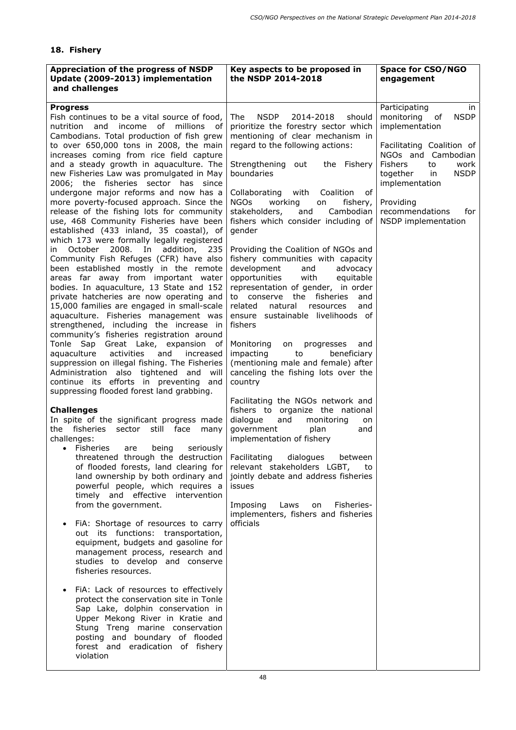# **18. Fishery**

| Appreciation of the progress of NSDP<br>Update (2009-2013) implementation<br>and challenges                                                                                                                                                                                                                                                                                                                                                                                                                                                                                                                                                                                                                                                                                                                                                                                                                                                                                                                                                                                                                                                                                                                                                                                                                               | Key aspects to be proposed in<br>the NSDP 2014-2018                                                                                                                                                                                                                                                                                                                                                                                                                                                                                                                                                                                                                                                                                                                                                                                                                                            | <b>Space for CSO/NGO</b><br>engagement                                                                                                                                                                                                                                    |
|---------------------------------------------------------------------------------------------------------------------------------------------------------------------------------------------------------------------------------------------------------------------------------------------------------------------------------------------------------------------------------------------------------------------------------------------------------------------------------------------------------------------------------------------------------------------------------------------------------------------------------------------------------------------------------------------------------------------------------------------------------------------------------------------------------------------------------------------------------------------------------------------------------------------------------------------------------------------------------------------------------------------------------------------------------------------------------------------------------------------------------------------------------------------------------------------------------------------------------------------------------------------------------------------------------------------------|------------------------------------------------------------------------------------------------------------------------------------------------------------------------------------------------------------------------------------------------------------------------------------------------------------------------------------------------------------------------------------------------------------------------------------------------------------------------------------------------------------------------------------------------------------------------------------------------------------------------------------------------------------------------------------------------------------------------------------------------------------------------------------------------------------------------------------------------------------------------------------------------|---------------------------------------------------------------------------------------------------------------------------------------------------------------------------------------------------------------------------------------------------------------------------|
| <b>Progress</b><br>Fish continues to be a vital source of food,<br>nutrition and income of millions of<br>Cambodians. Total production of fish grew<br>to over 650,000 tons in 2008, the main<br>increases coming from rice field capture<br>and a steady growth in aquaculture. The<br>new Fisheries Law was promulgated in May<br>2006; the fisheries sector has since<br>undergone major reforms and now has a<br>more poverty-focused approach. Since the<br>release of the fishing lots for community<br>use, 468 Community Fisheries have been<br>established (433 inland, 35 coastal), of<br>which 173 were formally legally registered<br>2008. In<br>addition, 235<br>October<br>ın<br>Community Fish Refuges (CFR) have also<br>been established mostly in the remote<br>areas far away from important water<br>bodies. In aquaculture, 13 State and 152<br>private hatcheries are now operating and<br>15,000 families are engaged in small-scale<br>aquaculture. Fisheries management was<br>strengthened, including the increase in<br>community's fisheries registration around<br>Tonle Sap Great Lake, expansion of<br>activities<br>and<br>increased<br>aquaculture<br>suppression on illegal fishing. The Fisheries<br>Administration also tightened and will<br>continue its efforts in preventing and | <b>NSDP</b><br>2014-2018<br>should<br><b>The</b><br>prioritize the forestry sector which<br>mentioning of clear mechanism in<br>regard to the following actions:<br>Strengthening<br>the Fishery<br>out<br>boundaries<br>0f<br>Collaborating<br>with<br>Coalition<br><b>NGOs</b><br>working<br>fishery,<br>on<br>Cambodian<br>stakeholders,<br>and<br>fishers which consider including of<br>gender<br>Providing the Coalition of NGOs and<br>fishery communities with capacity<br>development<br>and<br>advocacy<br>with<br>opportunities<br>equitable<br>representation of gender, in order<br>to conserve the fisheries<br>and<br>related<br>natural<br>resources<br>and<br>ensure sustainable livelihoods of<br>fishers<br>Monitoring<br>progresses<br>on<br>and<br>impacting<br>to<br>beneficiary<br>(mentioning male and female) after<br>canceling the fishing lots over the<br>country | Participating<br>in<br>monitoring of<br><b>NSDP</b><br>implementation<br>Facilitating Coalition of<br>NGOs and Cambodian<br><b>Fishers</b><br>work<br>to<br><b>NSDP</b><br>together<br>in<br>implementation<br>Providing<br>recommendations<br>for<br>NSDP implementation |
| suppressing flooded forest land grabbing.<br><b>Challenges</b><br>In spite of the significant progress made<br>the fisheries<br>still face<br>sector<br>many<br>challenges:<br><b>Fisheries</b><br>being<br>are<br>seriously<br>$\bullet$<br>threatened through the destruction<br>of flooded forests, land clearing for<br>land ownership by both ordinary and<br>powerful people, which requires a<br>timely and effective<br>intervention<br>from the government.<br>FIA: Shortage of resources to carry<br>out its functions: transportation,<br>equipment, budgets and gasoline for<br>management process, research and<br>studies to develop and conserve<br>fisheries resources.<br>FiA: Lack of resources to effectively<br>protect the conservation site in Tonle<br>Sap Lake, dolphin conservation in<br>Upper Mekong River in Kratie and<br>Stung Treng marine conservation<br>posting and boundary of flooded<br>forest and eradication of fishery<br>violation                                                                                                                                                                                                                                                                                                                                               | Facilitating the NGOs network and<br>fishers to organize the national<br>and<br>dialogue<br>monitoring<br>on<br>government<br>plan<br>and<br>implementation of fishery<br>Facilitating<br>dialogues<br>between<br>relevant stakeholders LGBT, to<br>jointly debate and address fisheries<br>issues<br>Imposing<br>Laws<br>Fisheries-<br>on<br>implementers, fishers and fisheries<br>officials                                                                                                                                                                                                                                                                                                                                                                                                                                                                                                 |                                                                                                                                                                                                                                                                           |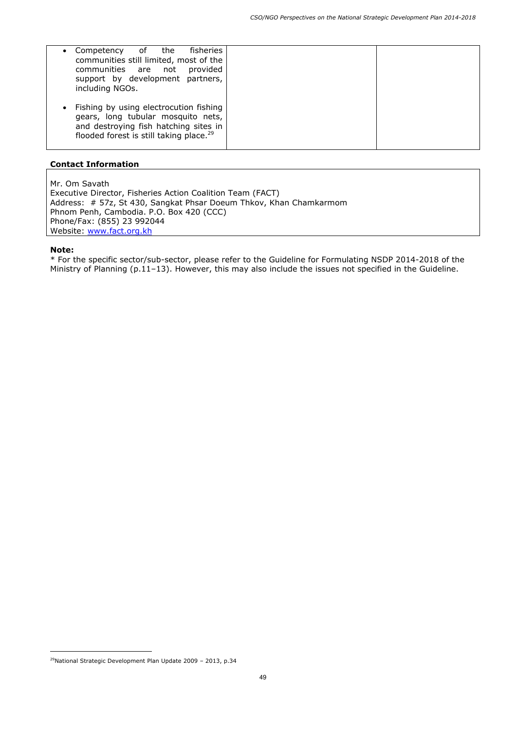| of the fisheries<br>Competency<br>communities still limited, most of the<br>provided<br>communities are not<br>support by development partners,<br>including NGOs.           |  |
|------------------------------------------------------------------------------------------------------------------------------------------------------------------------------|--|
| Fishing by using electrocution fishing<br>gears, long tubular mosquito nets,<br>and destroying fish hatching sites in<br>flooded forest is still taking place. <sup>29</sup> |  |

Mr. Om Savath Executive Director, Fisheries Action Coalition Team (FACT) Address: # 57z, St 430, Sangkat Phsar Doeum Thkov, Khan Chamkarmom Phnom Penh, Cambodia. P.O. Box 420 (CCC) Phone/Fax: (855) 23 992044 Website: www.fact.org.kh

#### **Note:**

ł

<sup>29</sup>National Strategic Development Plan Update 2009 – 2013, p.34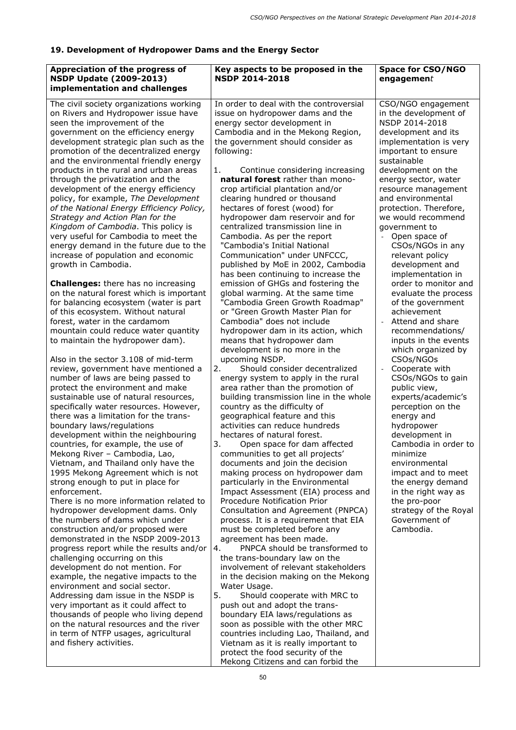# **19. Development of Hydropower Dams and the Energy Sector**

| Appreciation of the progress of<br><b>NSDP Update (2009-2013)</b><br>implementation and challenges                                                                                                                                                                                                                                                                                                                                                                                                                                                                                                                                                                                                                                                                                                                                                                                                                                                                                                                                                                                                                                                                                                                                                                                                                                                                                                                                                                                                                                                                                                                                                                                                                                                                                                                                                                                                                                                                                                                                                                                                                                                                                                           | Key aspects to be proposed in the<br><b>NSDP 2014-2018</b>                                                                                                                                                                                                                                                                                                                                                                                                                                                                                                                                                                                                                                                                                                                                                                                                                                                                                                                                                                                                                                                                                                                                                                                                                                                                                                                                                                                                                                                                                                                                                                                                                                                                                                                                                                                                                                                                                                                                                                                                                                                                                             | <b>Space for CSO/NGO</b><br>engagement                                                                                                                                                                                                                                                                                                                                                                                                                                                                                                                                                                                                                                                                                                                                                                                                                                                                                                               |
|--------------------------------------------------------------------------------------------------------------------------------------------------------------------------------------------------------------------------------------------------------------------------------------------------------------------------------------------------------------------------------------------------------------------------------------------------------------------------------------------------------------------------------------------------------------------------------------------------------------------------------------------------------------------------------------------------------------------------------------------------------------------------------------------------------------------------------------------------------------------------------------------------------------------------------------------------------------------------------------------------------------------------------------------------------------------------------------------------------------------------------------------------------------------------------------------------------------------------------------------------------------------------------------------------------------------------------------------------------------------------------------------------------------------------------------------------------------------------------------------------------------------------------------------------------------------------------------------------------------------------------------------------------------------------------------------------------------------------------------------------------------------------------------------------------------------------------------------------------------------------------------------------------------------------------------------------------------------------------------------------------------------------------------------------------------------------------------------------------------------------------------------------------------------------------------------------------------|--------------------------------------------------------------------------------------------------------------------------------------------------------------------------------------------------------------------------------------------------------------------------------------------------------------------------------------------------------------------------------------------------------------------------------------------------------------------------------------------------------------------------------------------------------------------------------------------------------------------------------------------------------------------------------------------------------------------------------------------------------------------------------------------------------------------------------------------------------------------------------------------------------------------------------------------------------------------------------------------------------------------------------------------------------------------------------------------------------------------------------------------------------------------------------------------------------------------------------------------------------------------------------------------------------------------------------------------------------------------------------------------------------------------------------------------------------------------------------------------------------------------------------------------------------------------------------------------------------------------------------------------------------------------------------------------------------------------------------------------------------------------------------------------------------------------------------------------------------------------------------------------------------------------------------------------------------------------------------------------------------------------------------------------------------------------------------------------------------------------------------------------------------|------------------------------------------------------------------------------------------------------------------------------------------------------------------------------------------------------------------------------------------------------------------------------------------------------------------------------------------------------------------------------------------------------------------------------------------------------------------------------------------------------------------------------------------------------------------------------------------------------------------------------------------------------------------------------------------------------------------------------------------------------------------------------------------------------------------------------------------------------------------------------------------------------------------------------------------------------|
| The civil society organizations working<br>on Rivers and Hydropower issue have<br>seen the improvement of the<br>government on the efficiency energy<br>development strategic plan such as the<br>promotion of the decentralized energy<br>and the environmental friendly energy<br>products in the rural and urban areas<br>through the privatization and the<br>development of the energy efficiency<br>policy, for example, The Development<br>of the National Energy Efficiency Policy,<br>Strategy and Action Plan for the<br>Kingdom of Cambodia. This policy is<br>very useful for Cambodia to meet the<br>energy demand in the future due to the<br>increase of population and economic<br>growth in Cambodia.<br><b>Challenges:</b> there has no increasing<br>on the natural forest which is important<br>for balancing ecosystem (water is part<br>of this ecosystem. Without natural<br>forest, water in the cardamom<br>mountain could reduce water quantity<br>to maintain the hydropower dam).<br>Also in the sector 3.108 of mid-term<br>review, government have mentioned a<br>number of laws are being passed to<br>protect the environment and make<br>sustainable use of natural resources,<br>specifically water resources. However,<br>there was a limitation for the trans-<br>boundary laws/regulations<br>development within the neighbouring<br>countries, for example, the use of<br>Mekong River - Cambodia, Lao,<br>Vietnam, and Thailand only have the<br>1995 Mekong Agreement which is not<br>strong enough to put in place for<br>enforcement.<br>There is no more information related to<br>hydropower development dams. Only<br>the numbers of dams which under<br>construction and/or proposed were<br>demonstrated in the NSDP 2009-2013<br>progress report while the results and/or<br>challenging occurring on this<br>development do not mention. For<br>example, the negative impacts to the<br>environment and social sector.<br>Addressing dam issue in the NSDP is<br>very important as it could affect to<br>thousands of people who living depend<br>on the natural resources and the river<br>in term of NTFP usages, agricultural<br>and fishery activities. | In order to deal with the controversial<br>issue on hydropower dams and the<br>energy sector development in<br>Cambodia and in the Mekong Region,<br>the government should consider as<br>following:<br>1.<br>Continue considering increasing<br>natural forest rather than mono-<br>crop artificial plantation and/or<br>clearing hundred or thousand<br>hectares of forest (wood) for<br>hydropower dam reservoir and for<br>centralized transmission line in<br>Cambodia. As per the report<br>"Cambodia's Initial National<br>Communication" under UNFCCC,<br>published by MoE in 2002, Cambodia<br>has been continuing to increase the<br>emission of GHGs and fostering the<br>global warming. At the same time<br>"Cambodia Green Growth Roadmap"<br>or "Green Growth Master Plan for<br>Cambodia" does not include<br>hydropower dam in its action, which<br>means that hydropower dam<br>development is no more in the<br>upcoming NSDP.<br>2.<br>Should consider decentralized<br>energy system to apply in the rural<br>area rather than the promotion of<br>building transmission line in the whole<br>country as the difficulty of<br>geographical feature and this<br>activities can reduce hundreds<br>hectares of natural forest.<br>Open space for dam affected<br>3.<br>communities to get all projects'<br>documents and join the decision<br>making process on hydropower dam<br>particularly in the Environmental<br>Impact Assessment (EIA) process and<br><b>Procedure Notification Prior</b><br>Consultation and Agreement (PNPCA)<br>process. It is a requirement that EIA<br>must be completed before any<br>agreement has been made.<br>PNPCA should be transformed to<br>4.<br>the trans-boundary law on the<br>involvement of relevant stakeholders<br>in the decision making on the Mekong<br>Water Usage.<br>5.<br>Should cooperate with MRC to<br>push out and adopt the trans-<br>boundary EIA laws/regulations as<br>soon as possible with the other MRC<br>countries including Lao, Thailand, and<br>Vietnam as it is really important to<br>protect the food security of the<br>Mekong Citizens and can forbid the | CSO/NGO engagement<br>in the development of<br>NSDP 2014-2018<br>development and its<br>implementation is very<br>important to ensure<br>sustainable<br>development on the<br>energy sector, water<br>resource management<br>and environmental<br>protection. Therefore,<br>we would recommend<br>government to<br>Open space of<br>CSOs/NGOs in any<br>relevant policy<br>development and<br>implementation in<br>order to monitor and<br>evaluate the process<br>of the government<br>achievement<br>Attend and share<br>recommendations/<br>inputs in the events<br>which organized by<br>CSOs/NGOs<br>Cooperate with<br>CSOs/NGOs to gain<br>public view,<br>experts/academic's<br>perception on the<br>energy and<br>hydropower<br>development in<br>Cambodia in order to<br>minimize<br>environmental<br>impact and to meet<br>the energy demand<br>in the right way as<br>the pro-poor<br>strategy of the Royal<br>Government of<br>Cambodia. |
|                                                                                                                                                                                                                                                                                                                                                                                                                                                                                                                                                                                                                                                                                                                                                                                                                                                                                                                                                                                                                                                                                                                                                                                                                                                                                                                                                                                                                                                                                                                                                                                                                                                                                                                                                                                                                                                                                                                                                                                                                                                                                                                                                                                                              |                                                                                                                                                                                                                                                                                                                                                                                                                                                                                                                                                                                                                                                                                                                                                                                                                                                                                                                                                                                                                                                                                                                                                                                                                                                                                                                                                                                                                                                                                                                                                                                                                                                                                                                                                                                                                                                                                                                                                                                                                                                                                                                                                        |                                                                                                                                                                                                                                                                                                                                                                                                                                                                                                                                                                                                                                                                                                                                                                                                                                                                                                                                                      |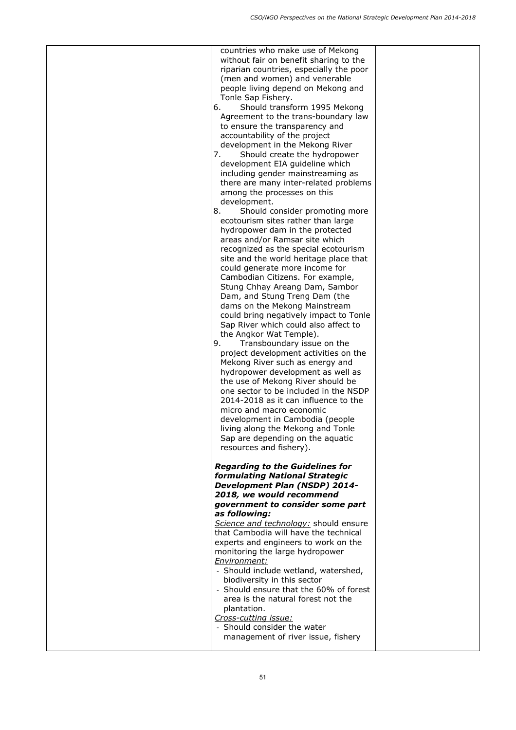| countries who make use of Mekong        |  |
|-----------------------------------------|--|
| without fair on benefit sharing to the  |  |
| riparian countries, especially the poor |  |
|                                         |  |
| (men and women) and venerable           |  |
| people living depend on Mekong and      |  |
| Tonle Sap Fishery.                      |  |
| Should transform 1995 Mekong<br>6.      |  |
| Agreement to the trans-boundary law     |  |
| to ensure the transparency and          |  |
| accountability of the project           |  |
| development in the Mekong River         |  |
|                                         |  |
| Should create the hydropower<br>7.      |  |
| development EIA guideline which         |  |
| including gender mainstreaming as       |  |
| there are many inter-related problems   |  |
| among the processes on this             |  |
| development.                            |  |
| 8.<br>Should consider promoting more    |  |
| ecotourism sites rather than large      |  |
| hydropower dam in the protected         |  |
|                                         |  |
| areas and/or Ramsar site which          |  |
| recognized as the special ecotourism    |  |
| site and the world heritage place that  |  |
| could generate more income for          |  |
| Cambodian Citizens. For example,        |  |
| Stung Chhay Areang Dam, Sambor          |  |
| Dam, and Stung Treng Dam (the           |  |
| dams on the Mekong Mainstream           |  |
|                                         |  |
| could bring negatively impact to Tonle  |  |
| Sap River which could also affect to    |  |
| the Angkor Wat Temple).                 |  |
| Transboundary issue on the<br>9.        |  |
| project development activities on the   |  |
| Mekong River such as energy and         |  |
| hydropower development as well as       |  |
|                                         |  |
|                                         |  |
| the use of Mekong River should be       |  |
| one sector to be included in the NSDP   |  |
| 2014-2018 as it can influence to the    |  |
| micro and macro economic                |  |
| development in Cambodia (people         |  |
| living along the Mekong and Tonle       |  |
| Sap are depending on the aquatic        |  |
| resources and fishery).                 |  |
|                                         |  |
|                                         |  |
| <b>Regarding to the Guidelines for</b>  |  |
| formulating National Strategic          |  |
| <b>Development Plan (NSDP) 2014-</b>    |  |
| 2018, we would recommend                |  |
| government to consider some part        |  |
| as following:                           |  |
| Science and technology: should ensure   |  |
| that Cambodia will have the technical   |  |
|                                         |  |
| experts and engineers to work on the    |  |
| monitoring the large hydropower         |  |
| Environment:                            |  |
| - Should include wetland, watershed,    |  |
| biodiversity in this sector             |  |
| - Should ensure that the 60% of forest  |  |
| area is the natural forest not the      |  |
| plantation.                             |  |
| Cross-cutting issue:                    |  |
| - Should consider the water             |  |
| management of river issue, fishery      |  |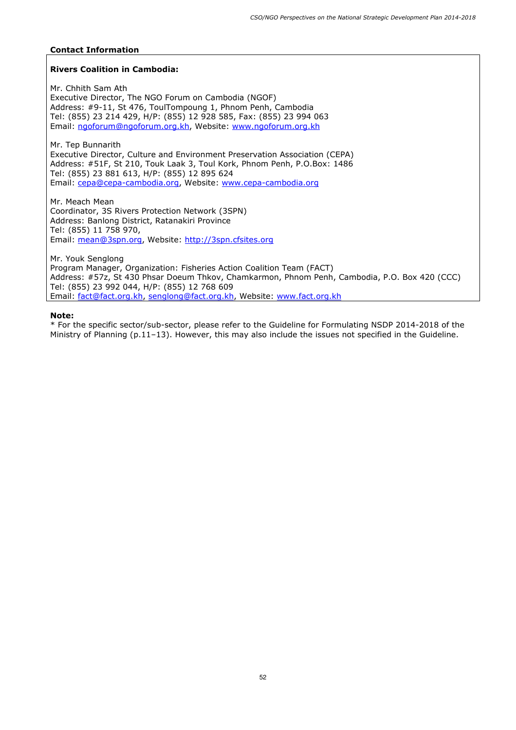### **Rivers Coalition in Cambodia:**

Mr. Chhith Sam Ath Executive Director, The NGO Forum on Cambodia (NGOF) Address: #9-11, St 476, ToulTompoung 1, Phnom Penh, Cambodia Tel: (855) 23 214 429, H/P: (855) 12 928 585, Fax: (855) 23 994 063 Email: ngoforum@ngoforum.org.kh, Website: www.ngoforum.org.kh

Mr. Tep Bunnarith Executive Director, Culture and Environment Preservation Association (CEPA) Address: #51F, St 210, Touk Laak 3, Toul Kork, Phnom Penh, P.O.Box: 1486 Tel: (855) 23 881 613, H/P: (855) 12 895 624 Email: cepa@cepa-cambodia.org, Website: www.cepa-cambodia.org

Mr. Meach Mean Coordinator, 3S Rivers Protection Network (3SPN) Address: Banlong District, Ratanakiri Province Tel: (855) 11 758 970, Email: mean@3spn.org, Website: http://3spn.cfsites.org

Mr. Youk Senglong Program Manager, Organization: Fisheries Action Coalition Team (FACT) Address: #57z, St 430 Phsar Doeum Thkov, Chamkarmon, Phnom Penh, Cambodia, P.O. Box 420 (CCC) Tel: (855) 23 992 044, H/P: (855) 12 768 609 Email: fact@fact.org.kh, senglong@fact.org.kh, Website: www.fact.org.kh

#### **Note:**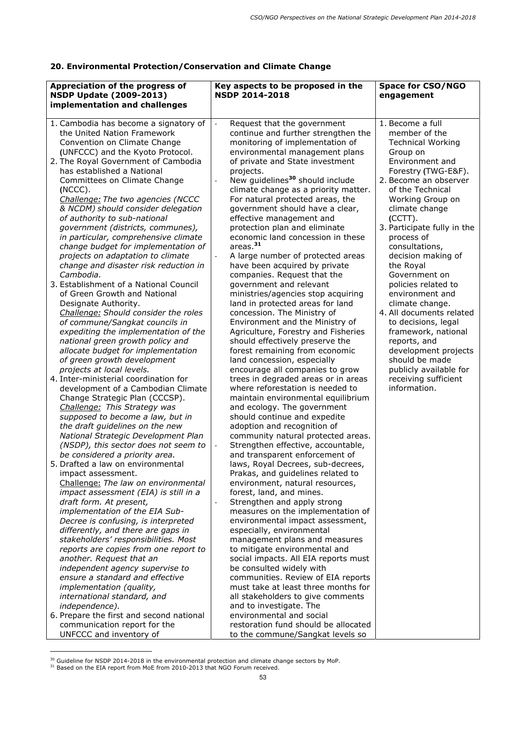## **20. Environmental Protection/Conservation and Climate Change**

| Appreciation of the progress of<br><b>NSDP Update (2009-2013)</b><br>implementation and challenges                                                                                                                                                                                                                                                                                                                                                                                                                                                                                                                                                                                                                                                                                                                                                                                                                                                                                                                                                                                                                                                                                                                                                                                                                                                                                                                                  | Key aspects to be proposed in the<br><b>NSDP 2014-2018</b>                                                                                                                                                                                                                                                                                                                                                                                                                                                                                                                                                                                                                                                                                                                                                                                                                                                                                                                                                                                                                                                                                                                                                                                                                                                                                                                                                      | <b>Space for CSO/NGO</b><br>engagement                                                                                                                                                                                                                                                                                                                                                                                                                                                                                                                                                                     |
|-------------------------------------------------------------------------------------------------------------------------------------------------------------------------------------------------------------------------------------------------------------------------------------------------------------------------------------------------------------------------------------------------------------------------------------------------------------------------------------------------------------------------------------------------------------------------------------------------------------------------------------------------------------------------------------------------------------------------------------------------------------------------------------------------------------------------------------------------------------------------------------------------------------------------------------------------------------------------------------------------------------------------------------------------------------------------------------------------------------------------------------------------------------------------------------------------------------------------------------------------------------------------------------------------------------------------------------------------------------------------------------------------------------------------------------|-----------------------------------------------------------------------------------------------------------------------------------------------------------------------------------------------------------------------------------------------------------------------------------------------------------------------------------------------------------------------------------------------------------------------------------------------------------------------------------------------------------------------------------------------------------------------------------------------------------------------------------------------------------------------------------------------------------------------------------------------------------------------------------------------------------------------------------------------------------------------------------------------------------------------------------------------------------------------------------------------------------------------------------------------------------------------------------------------------------------------------------------------------------------------------------------------------------------------------------------------------------------------------------------------------------------------------------------------------------------------------------------------------------------|------------------------------------------------------------------------------------------------------------------------------------------------------------------------------------------------------------------------------------------------------------------------------------------------------------------------------------------------------------------------------------------------------------------------------------------------------------------------------------------------------------------------------------------------------------------------------------------------------------|
|                                                                                                                                                                                                                                                                                                                                                                                                                                                                                                                                                                                                                                                                                                                                                                                                                                                                                                                                                                                                                                                                                                                                                                                                                                                                                                                                                                                                                                     |                                                                                                                                                                                                                                                                                                                                                                                                                                                                                                                                                                                                                                                                                                                                                                                                                                                                                                                                                                                                                                                                                                                                                                                                                                                                                                                                                                                                                 |                                                                                                                                                                                                                                                                                                                                                                                                                                                                                                                                                                                                            |
| 1. Cambodia has become a signatory of<br>the United Nation Framework<br>Convention on Climate Change<br>(UNFCCC) and the Kyoto Protocol.<br>2. The Royal Government of Cambodia<br>has established a National<br>Committees on Climate Change<br>$(NCCC)$ .<br>Challenge: The two agencies (NCCC<br>& NCDM) should consider delegation<br>of authority to sub-national<br>government (districts, communes),<br>in particular, comprehensive climate<br>change budget for implementation of<br>projects on adaptation to climate<br>change and disaster risk reduction in<br>Cambodia.<br>3. Establishment of a National Council<br>of Green Growth and National<br>Designate Authority.<br>Challenge: Should consider the roles<br>of commune/Sangkat councils in<br>expediting the implementation of the<br>national green growth policy and<br>allocate budget for implementation<br>of green growth development<br>projects at local levels.<br>4. Inter-ministerial coordination for<br>development of a Cambodian Climate<br>Change Strategic Plan (CCCSP).<br>Challenge: This Strategy was<br>supposed to become a law, but in<br>the draft guidelines on the new<br>National Strategic Development Plan<br>(NSDP), this sector does not seem to<br>be considered a priority area.<br>5. Drafted a law on environmental<br>impact assessment.<br>Challenge: The law on environmental<br>impact assessment (EIA) is still in a | Request that the government<br>continue and further strengthen the<br>monitoring of implementation of<br>environmental management plans<br>of private and State investment<br>projects.<br>New guidelines <sup>30</sup> should include<br>climate change as a priority matter.<br>For natural protected areas, the<br>government should have a clear,<br>effective management and<br>protection plan and eliminate<br>economic land concession in these<br>areas. <sup>31</sup><br>A large number of protected areas<br>have been acquired by private<br>companies. Request that the<br>government and relevant<br>ministries/agencies stop acquiring<br>land in protected areas for land<br>concession. The Ministry of<br>Environment and the Ministry of<br>Agriculture, Forestry and Fisheries<br>should effectively preserve the<br>forest remaining from economic<br>land concession, especially<br>encourage all companies to grow<br>trees in degraded areas or in areas<br>where reforestation is needed to<br>maintain environmental equilibrium<br>and ecology. The government<br>should continue and expedite<br>adoption and recognition of<br>community natural protected areas.<br>Strengthen effective, accountable,<br>and transparent enforcement of<br>laws, Royal Decrees, sub-decrees,<br>Prakas, and guidelines related to<br>environment, natural resources,<br>forest, land, and mines. | 1. Become a full<br>member of the<br><b>Technical Working</b><br>Group on<br>Environment and<br>Forestry (TWG-E&F).<br>2. Become an observer<br>of the Technical<br>Working Group on<br>climate change<br>$(CCTT)$ .<br>3. Participate fully in the<br>process of<br>consultations,<br>decision making of<br>the Royal<br>Government on<br>policies related to<br>environment and<br>climate change.<br>4. All documents related<br>to decisions, legal<br>framework, national<br>reports, and<br>development projects<br>should be made<br>publicly available for<br>receiving sufficient<br>information. |
| draft form. At present,<br>implementation of the EIA Sub-<br>Decree is confusing, is interpreted                                                                                                                                                                                                                                                                                                                                                                                                                                                                                                                                                                                                                                                                                                                                                                                                                                                                                                                                                                                                                                                                                                                                                                                                                                                                                                                                    | Strengthen and apply strong<br>measures on the implementation of<br>environmental impact assessment,                                                                                                                                                                                                                                                                                                                                                                                                                                                                                                                                                                                                                                                                                                                                                                                                                                                                                                                                                                                                                                                                                                                                                                                                                                                                                                            |                                                                                                                                                                                                                                                                                                                                                                                                                                                                                                                                                                                                            |
| differently, and there are gaps in<br>stakeholders' responsibilities. Most<br>reports are copies from one report to<br>another. Request that an<br>independent agency supervise to<br>ensure a standard and effective<br>implementation (quality,<br>international standard, and<br>independence).                                                                                                                                                                                                                                                                                                                                                                                                                                                                                                                                                                                                                                                                                                                                                                                                                                                                                                                                                                                                                                                                                                                                  | especially, environmental<br>management plans and measures<br>to mitigate environmental and<br>social impacts. All EIA reports must<br>be consulted widely with<br>communities. Review of EIA reports<br>must take at least three months for<br>all stakeholders to give comments<br>and to investigate. The                                                                                                                                                                                                                                                                                                                                                                                                                                                                                                                                                                                                                                                                                                                                                                                                                                                                                                                                                                                                                                                                                                    |                                                                                                                                                                                                                                                                                                                                                                                                                                                                                                                                                                                                            |
| 6. Prepare the first and second national<br>communication report for the<br>UNFCCC and inventory of                                                                                                                                                                                                                                                                                                                                                                                                                                                                                                                                                                                                                                                                                                                                                                                                                                                                                                                                                                                                                                                                                                                                                                                                                                                                                                                                 | environmental and social<br>restoration fund should be allocated<br>to the commune/Sangkat levels so                                                                                                                                                                                                                                                                                                                                                                                                                                                                                                                                                                                                                                                                                                                                                                                                                                                                                                                                                                                                                                                                                                                                                                                                                                                                                                            |                                                                                                                                                                                                                                                                                                                                                                                                                                                                                                                                                                                                            |

<sup>&</sup>lt;sup>30</sup> Guideline for NSDP 2014-2018 in the environmental protection and climate change sectors by MoP.<br><sup>31</sup> Based on the EIA report from MoE from 2010-2013 that NGO Forum received.

ł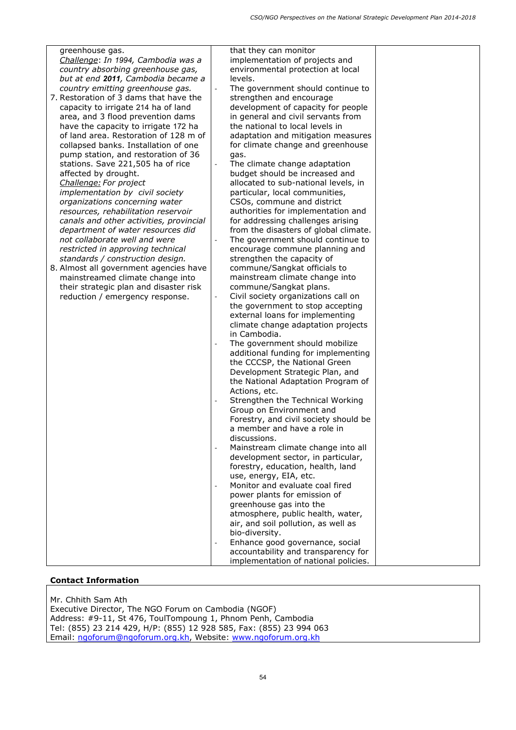| greenhouse gas.                         | that they can monitor                                                 |  |
|-----------------------------------------|-----------------------------------------------------------------------|--|
| Challenge: In 1994, Cambodia was a      | implementation of projects and                                        |  |
| country absorbing greenhouse gas,       | environmental protection at local                                     |  |
| but at end 2011, Cambodia became a      | levels.                                                               |  |
| country emitting greenhouse gas.        | The government should continue to                                     |  |
| 7. Restoration of 3 dams that have the  | strengthen and encourage                                              |  |
| capacity to irrigate 214 ha of land     | development of capacity for people                                    |  |
| area, and 3 flood prevention dams       |                                                                       |  |
|                                         | in general and civil servants from<br>the national to local levels in |  |
| have the capacity to irrigate 172 ha    |                                                                       |  |
| of land area. Restoration of 128 m of   | adaptation and mitigation measures                                    |  |
| collapsed banks. Installation of one    | for climate change and greenhouse                                     |  |
| pump station, and restoration of 36     | gas.                                                                  |  |
| stations. Save 221,505 ha of rice       | The climate change adaptation                                         |  |
| affected by drought.                    | budget should be increased and                                        |  |
| Challenge: For project                  | allocated to sub-national levels, in                                  |  |
| implementation by civil society         | particular, local communities,                                        |  |
| organizations concerning water          | CSOs, commune and district                                            |  |
| resources, rehabilitation reservoir     | authorities for implementation and                                    |  |
| canals and other activities, provincial | for addressing challenges arising                                     |  |
|                                         | from the disasters of global climate.                                 |  |
| department of water resources did       |                                                                       |  |
| not collaborate well and were           | The government should continue to                                     |  |
| restricted in approving technical       | encourage commune planning and                                        |  |
| standards / construction design.        | strengthen the capacity of                                            |  |
| 8. Almost all government agencies have  | commune/Sangkat officials to                                          |  |
| mainstreamed climate change into        | mainstream climate change into                                        |  |
| their strategic plan and disaster risk  | commune/Sangkat plans.                                                |  |
| reduction / emergency response.         | Civil society organizations call on                                   |  |
|                                         | the government to stop accepting                                      |  |
|                                         | external loans for implementing                                       |  |
|                                         | climate change adaptation projects                                    |  |
|                                         | in Cambodia.                                                          |  |
|                                         | The government should mobilize                                        |  |
|                                         | additional funding for implementing                                   |  |
|                                         | the CCCSP, the National Green                                         |  |
|                                         |                                                                       |  |
|                                         | Development Strategic Plan, and                                       |  |
|                                         | the National Adaptation Program of                                    |  |
|                                         | Actions, etc.                                                         |  |
|                                         | Strengthen the Technical Working                                      |  |
|                                         | Group on Environment and                                              |  |
|                                         | Forestry, and civil society should be                                 |  |
|                                         | a member and have a role in                                           |  |
|                                         | discussions.                                                          |  |
|                                         | Mainstream climate change into all                                    |  |
|                                         | development sector, in particular,                                    |  |
|                                         | forestry, education, health, land                                     |  |
|                                         | use, energy, EIA, etc.                                                |  |
|                                         | Monitor and evaluate coal fired<br>$\overline{\phantom{a}}$           |  |
|                                         | power plants for emission of                                          |  |
|                                         | greenhouse gas into the                                               |  |
|                                         | atmosphere, public health, water,                                     |  |
|                                         | air, and soil pollution, as well as                                   |  |
|                                         | bio-diversity.                                                        |  |
|                                         | Enhance good governance, social                                       |  |
|                                         | accountability and transparency for                                   |  |
|                                         |                                                                       |  |
|                                         | implementation of national policies.                                  |  |

Mr. Chhith Sam Ath Executive Director, The NGO Forum on Cambodia (NGOF) Address: #9-11, St 476, ToulTompoung 1, Phnom Penh, Cambodia Tel: (855) 23 214 429, H/P: (855) 12 928 585, Fax: (855) 23 994 063 Email: ngoforum@ngoforum.org.kh, Website: www.ngoforum.org.kh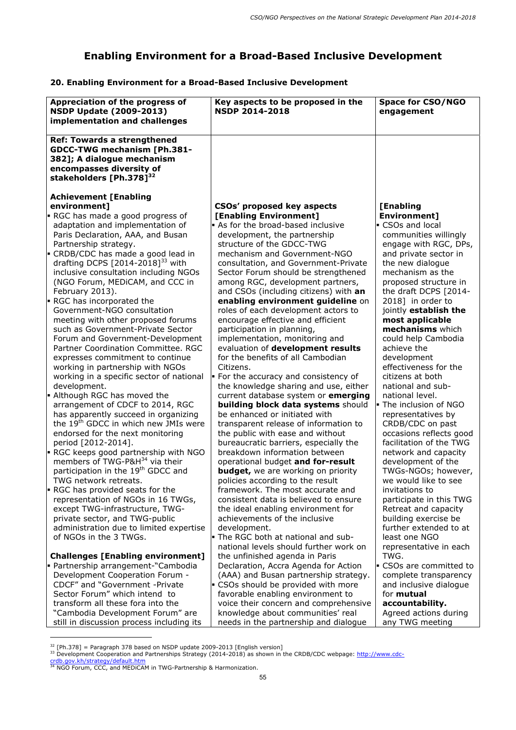# **Enabling Environment for a Broad-Based Inclusive Development**

## **20. Enabling Environment for a Broad-Based Inclusive Development**

| Appreciation of the progress of                                                                                                                                           | Key aspects to be proposed in the                                          | <b>Space for CSO/NGO</b>                   |
|---------------------------------------------------------------------------------------------------------------------------------------------------------------------------|----------------------------------------------------------------------------|--------------------------------------------|
| <b>NSDP Update (2009-2013)</b>                                                                                                                                            | <b>NSDP 2014-2018</b>                                                      | engagement                                 |
| implementation and challenges                                                                                                                                             |                                                                            |                                            |
| <b>Ref: Towards a strengthened</b><br><b>GDCC-TWG mechanism [Ph.381-</b><br>382]; A dialogue mechanism<br>encompasses diversity of<br>stakeholders [Ph.378] <sup>32</sup> |                                                                            |                                            |
| <b>Achievement [Enabling</b>                                                                                                                                              |                                                                            |                                            |
| environment]                                                                                                                                                              | CSOs' proposed key aspects                                                 | [Enabling                                  |
| RGC has made a good progress of                                                                                                                                           | [Enabling Environment]<br>• As for the broad-based inclusive               | Environment]<br>CSOs and local             |
| adaptation and implementation of<br>Paris Declaration, AAA, and Busan                                                                                                     | development, the partnership                                               | communities willingly                      |
| Partnership strategy.                                                                                                                                                     | structure of the GDCC-TWG                                                  | engage with RGC, DPs,                      |
| - CRDB/CDC has made a good lead in                                                                                                                                        | mechanism and Government-NGO                                               | and private sector in                      |
| drafting DCPS $[2014-2018]^{33}$ with                                                                                                                                     | consultation, and Government-Private                                       | the new dialogue                           |
| inclusive consultation including NGOs                                                                                                                                     | Sector Forum should be strengthened                                        | mechanism as the                           |
| (NGO Forum, MEDICAM, and CCC in<br>February 2013).                                                                                                                        | among RGC, development partners,<br>and CSOs (including citizens) with an  | proposed structure in                      |
| <b>RGC has incorporated the</b>                                                                                                                                           | enabling environment guideline on                                          | the draft DCPS [2014-<br>2018] in order to |
| Government-NGO consultation                                                                                                                                               | roles of each development actors to                                        | jointly establish the                      |
| meeting with other proposed forums                                                                                                                                        | encourage effective and efficient                                          | most applicable                            |
| such as Government-Private Sector                                                                                                                                         | participation in planning,                                                 | mechanisms which                           |
| Forum and Government-Development                                                                                                                                          | implementation, monitoring and                                             | could help Cambodia                        |
| Partner Coordination Committee. RGC                                                                                                                                       | evaluation of development results<br>for the benefits of all Cambodian     | achieve the                                |
| expresses commitment to continue<br>working in partnership with NGOs                                                                                                      | Citizens.                                                                  | development<br>effectiveness for the       |
| working in a specific sector of national                                                                                                                                  | • For the accuracy and consistency of                                      | citizens at both                           |
| development.                                                                                                                                                              | the knowledge sharing and use, either                                      | national and sub-                          |
| - Although RGC has moved the                                                                                                                                              | current database system or emerging                                        | national level.                            |
| arrangement of CDCF to 2014, RGC                                                                                                                                          | building block data systems should                                         | The inclusion of NGO                       |
| has apparently succeed in organizing<br>the 19 <sup>th</sup> GDCC in which new JMIs were                                                                                  | be enhanced or initiated with                                              | representatives by<br>CRDB/CDC on past     |
| endorsed for the next monitoring                                                                                                                                          | transparent release of information to<br>the public with ease and without  | occasions reflects good                    |
| period [2012-2014].                                                                                                                                                       | bureaucratic barriers, especially the                                      | facilitation of the TWG                    |
| RGC keeps good partnership with NGO                                                                                                                                       | breakdown information between                                              | network and capacity                       |
| members of TWG-P&H <sup>34</sup> via their                                                                                                                                | operational budget and for-result                                          | development of the                         |
| participation in the 19 <sup>th</sup> GDCC and                                                                                                                            | <b>budget, we are working on priority</b>                                  | TWGs-NGOs; however,                        |
| TWG network retreats.<br><b>RGC has provided seats for the</b>                                                                                                            | policies according to the result<br>framework. The most accurate and       | we would like to see<br>invitations to     |
| representation of NGOs in 16 TWGs,                                                                                                                                        | consistent data is believed to ensure                                      | participate in this TWG                    |
| except TWG-infrastructure, TWG-                                                                                                                                           | the ideal enabling environment for                                         | Retreat and capacity                       |
| private sector, and TWG-public                                                                                                                                            | achievements of the inclusive                                              | building exercise be                       |
| administration due to limited expertise                                                                                                                                   | development.                                                               | further extended to at                     |
| of NGOs in the 3 TWGs.                                                                                                                                                    | The RGC both at national and sub-                                          | least one NGO                              |
| <b>Challenges [Enabling environment]</b>                                                                                                                                  | national levels should further work on<br>the unfinished agenda in Paris   | representative in each<br>TWG.             |
| - Partnership arrangement-"Cambodia                                                                                                                                       | Declaration, Accra Agenda for Action                                       | <b>EXEL</b> CSOs are committed to          |
| Development Cooperation Forum -                                                                                                                                           | (AAA) and Busan partnership strategy.                                      | complete transparency                      |
| CDCF" and "Government -Private                                                                                                                                            | CSOs should be provided with more                                          | and inclusive dialogue                     |
| Sector Forum" which intend to                                                                                                                                             | favorable enabling environment to                                          | for mutual                                 |
| transform all these fora into the                                                                                                                                         | voice their concern and comprehensive                                      | accountability.                            |
| "Cambodia Development Forum" are<br>still in discussion process including its                                                                                             | knowledge about communities' real<br>needs in the partnership and dialogue | Agreed actions during<br>any TWG meeting   |
|                                                                                                                                                                           |                                                                            |                                            |

<sup>&</sup>lt;sup>32</sup> [Ph.378] = Paragraph 378 based on NSDP update 2009-2013 [English version]<br><sup>33</sup> Development Cooperation and Partnerships Strategy (2014-2018) as shown in the CRDB/CDC webpage: <u>http://www.cdc-</u> crdb.gov.kh/strategy/default.htm

<sup>&</sup>lt;sup>34</sup> NGO Forum, CCC, and MEDICAM in TWG-Partnership & Harmonization.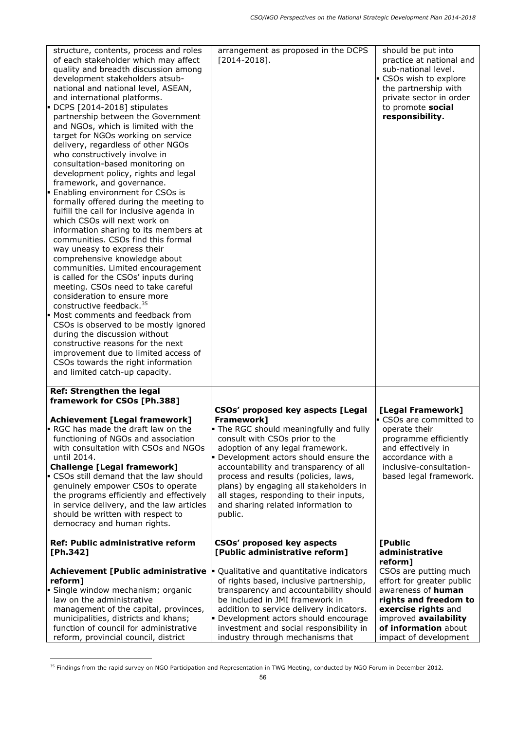| structure, contents, process and roles<br>of each stakeholder which may affect<br>quality and breadth discussion among<br>development stakeholders atsub-<br>national and national level, ASEAN,<br>and international platforms.<br>$\blacktriangleright$ DCPS [2014-2018] stipulates<br>partnership between the Government<br>and NGOs, which is limited with the<br>target for NGOs working on service<br>delivery, regardless of other NGOs<br>who constructively involve in<br>consultation-based monitoring on<br>development policy, rights and legal<br>framework, and governance.<br>Enabling environment for CSOs is<br>formally offered during the meeting to<br>fulfill the call for inclusive agenda in<br>which CSOs will next work on<br>information sharing to its members at<br>communities. CSOs find this formal<br>way uneasy to express their<br>comprehensive knowledge about<br>communities. Limited encouragement<br>is called for the CSOs' inputs during<br>meeting. CSOs need to take careful<br>consideration to ensure more<br>constructive feedback. <sup>35</sup><br>• Most comments and feedback from<br>CSOs is observed to be mostly ignored<br>during the discussion without<br>constructive reasons for the next<br>improvement due to limited access of<br>CSOs towards the right information<br>and limited catch-up capacity. | arrangement as proposed in the DCPS<br>$[2014 - 2018]$ .                                                                                                                                                                                                                                                                                                                                                                           | should be put into<br>practice at national and<br>sub-national level.<br>CSOs wish to explore<br>the partnership with<br>private sector in order<br>to promote social<br>responsibility.                      |
|---------------------------------------------------------------------------------------------------------------------------------------------------------------------------------------------------------------------------------------------------------------------------------------------------------------------------------------------------------------------------------------------------------------------------------------------------------------------------------------------------------------------------------------------------------------------------------------------------------------------------------------------------------------------------------------------------------------------------------------------------------------------------------------------------------------------------------------------------------------------------------------------------------------------------------------------------------------------------------------------------------------------------------------------------------------------------------------------------------------------------------------------------------------------------------------------------------------------------------------------------------------------------------------------------------------------------------------------------------------------|------------------------------------------------------------------------------------------------------------------------------------------------------------------------------------------------------------------------------------------------------------------------------------------------------------------------------------------------------------------------------------------------------------------------------------|---------------------------------------------------------------------------------------------------------------------------------------------------------------------------------------------------------------|
| Ref: Strengthen the legal<br>framework for CSOs [Ph.388]                                                                                                                                                                                                                                                                                                                                                                                                                                                                                                                                                                                                                                                                                                                                                                                                                                                                                                                                                                                                                                                                                                                                                                                                                                                                                                            |                                                                                                                                                                                                                                                                                                                                                                                                                                    |                                                                                                                                                                                                               |
| <b>Achievement [Legal framework]</b><br>RGC has made the draft law on the<br>functioning of NGOs and association<br>with consultation with CSOs and NGOs<br>until 2014.<br><b>Challenge [Legal framework]</b><br><b>CSOs still demand that the law should</b><br>genuinely empower CSOs to operate<br>the programs efficiently and effectively<br>in service delivery, and the law articles<br>should be written with respect to<br>democracy and human rights.                                                                                                                                                                                                                                                                                                                                                                                                                                                                                                                                                                                                                                                                                                                                                                                                                                                                                                     | CSOs' proposed key aspects [Legal<br>Framework]<br>. The RGC should meaningfully and fully<br>consult with CSOs prior to the<br>adoption of any legal framework.<br>• Development actors should ensure the<br>accountability and transparency of all<br>process and results (policies, laws,<br>plans) by engaging all stakeholders in<br>all stages, responding to their inputs,<br>and sharing related information to<br>public. | [Legal Framework]<br>CSOs are committed to<br>operate their<br>programme efficiently<br>and effectively in<br>accordance with a<br>inclusive-consultation-<br>based legal framework.                          |
| <b>Ref: Public administrative reform</b><br>[ $Ph.342$ ]                                                                                                                                                                                                                                                                                                                                                                                                                                                                                                                                                                                                                                                                                                                                                                                                                                                                                                                                                                                                                                                                                                                                                                                                                                                                                                            | <b>CSOs' proposed key aspects</b><br>[Public administrative reform]                                                                                                                                                                                                                                                                                                                                                                | [Public<br>administrative                                                                                                                                                                                     |
| <b>Achievement [Public administrative</b><br>reform]<br>Single window mechanism; organic<br>law on the administrative<br>management of the capital, provinces,<br>municipalities, districts and khans;<br>function of council for administrative<br>reform, provincial council, district                                                                                                                                                                                                                                                                                                                                                                                                                                                                                                                                                                                                                                                                                                                                                                                                                                                                                                                                                                                                                                                                            | Qualitative and quantitative indicators<br>of rights based, inclusive partnership,<br>transparency and accountability should<br>be included in JMI framework in<br>addition to service delivery indicators.<br>· Development actors should encourage<br>investment and social responsibility in<br>industry through mechanisms that                                                                                                | reform]<br>CSOs are putting much<br>effort for greater public<br>awareness of human<br>rights and freedom to<br>exercise rights and<br>improved availability<br>of information about<br>impact of development |

<sup>&</sup>lt;sup>35</sup> Findings from the rapid survey on NGO Participation and Representation in TWG Meeting, conducted by NGO Forum in December 2012.

ł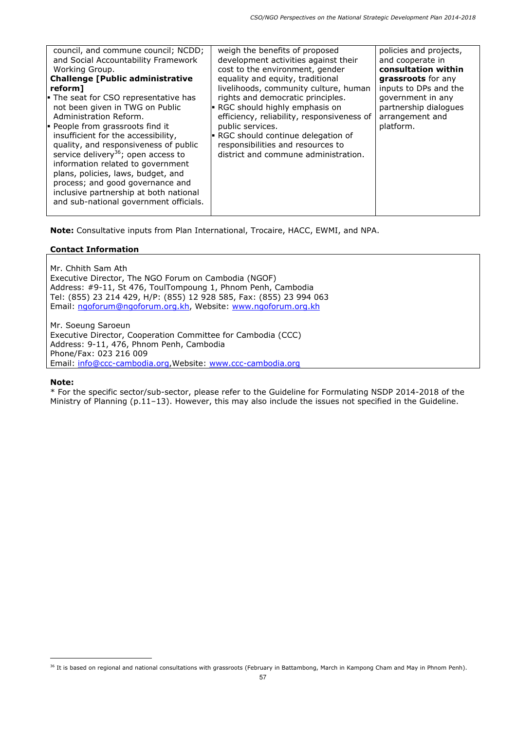| council, and commune council; NCDD;<br>and Social Accountability Framework<br>Working Group.<br><b>Challenge [Public administrative</b><br>reform]<br>The seat for CSO representative has<br>not been given in TWG on Public<br>Administration Reform.<br><b>People from grassroots find it</b><br>insufficient for the accessibility,<br>quality, and responsiveness of public<br>service delivery <sup>36</sup> ; open access to<br>information related to government<br>plans, policies, laws, budget, and<br>process; and good governance and<br>inclusive partnership at both national<br>and sub-national government officials. | weigh the benefits of proposed<br>development activities against their<br>cost to the environment, gender<br>equality and equity, traditional<br>livelihoods, community culture, human<br>rights and democratic principles.<br>$\blacktriangleright$ RGC should highly emphasis on<br>efficiency, reliability, responsiveness of<br>public services.<br><b>RGC</b> should continue delegation of<br>responsibilities and resources to<br>district and commune administration. | policies and projects,<br>and cooperate in<br>consultation within<br>grassroots for any<br>inputs to DPs and the<br>government in any<br>partnership dialogues<br>arrangement and<br>platform. |
|---------------------------------------------------------------------------------------------------------------------------------------------------------------------------------------------------------------------------------------------------------------------------------------------------------------------------------------------------------------------------------------------------------------------------------------------------------------------------------------------------------------------------------------------------------------------------------------------------------------------------------------|-------------------------------------------------------------------------------------------------------------------------------------------------------------------------------------------------------------------------------------------------------------------------------------------------------------------------------------------------------------------------------------------------------------------------------------------------------------------------------|------------------------------------------------------------------------------------------------------------------------------------------------------------------------------------------------|
|                                                                                                                                                                                                                                                                                                                                                                                                                                                                                                                                                                                                                                       |                                                                                                                                                                                                                                                                                                                                                                                                                                                                               |                                                                                                                                                                                                |

**Note:** Consultative inputs from Plan International, Trocaire, HACC, EWMI, and NPA.

## **Contact Information**

Mr. Chhith Sam Ath Executive Director, The NGO Forum on Cambodia (NGOF) Address: #9-11, St 476, ToulTompoung 1, Phnom Penh, Cambodia Tel: (855) 23 214 429, H/P: (855) 12 928 585, Fax: (855) 23 994 063 Email: ngoforum@ngoforum.org.kh, Website: www.ngoforum.org.kh

Mr. Soeung Saroeun Executive Director, Cooperation Committee for Cambodia (CCC) Address: 9-11, 476, Phnom Penh, Cambodia Phone/Fax: 023 216 009 Email: info@ccc-cambodia.org,Website: www.ccc-cambodia.org

#### **Note:**

ł

<sup>&</sup>lt;sup>36</sup> It is based on regional and national consultations with grassroots (February in Battambong, March in Kampong Cham and May in Phnom Penh).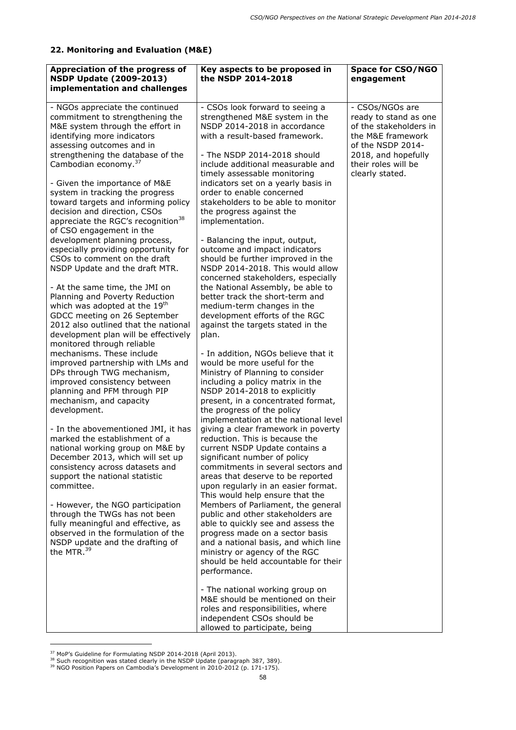# **22. Monitoring and Evaluation (M&E)**

| Appreciation of the progress of<br><b>NSDP Update (2009-2013)</b><br>implementation and challenges                                                                                                                                                                                                                                                                                                                                     | Key aspects to be proposed in<br>the NSDP 2014-2018                                                                                                                                                                                                                                                                                                                                                                                               | <b>Space for CSO/NGO</b><br>engagement                                                                                              |
|----------------------------------------------------------------------------------------------------------------------------------------------------------------------------------------------------------------------------------------------------------------------------------------------------------------------------------------------------------------------------------------------------------------------------------------|---------------------------------------------------------------------------------------------------------------------------------------------------------------------------------------------------------------------------------------------------------------------------------------------------------------------------------------------------------------------------------------------------------------------------------------------------|-------------------------------------------------------------------------------------------------------------------------------------|
| - NGOs appreciate the continued<br>commitment to strengthening the<br>M&E system through the effort in<br>identifying more indicators<br>assessing outcomes and in<br>strengthening the database of the                                                                                                                                                                                                                                | - CSOs look forward to seeing a<br>strengthened M&E system in the<br>NSDP 2014-2018 in accordance<br>with a result-based framework.<br>- The NSDP 2014-2018 should                                                                                                                                                                                                                                                                                | - CSOs/NGOs are<br>ready to stand as one<br>of the stakeholders in<br>the M&E framework<br>of the NSDP 2014-<br>2018, and hopefully |
| Cambodian economy. <sup>37</sup><br>- Given the importance of M&E<br>system in tracking the progress<br>toward targets and informing policy<br>decision and direction, CSOs<br>appreciate the RGC's recognition <sup>38</sup><br>of CSO engagement in the<br>development planning process,<br>especially providing opportunity for<br>CSOs to comment on the draft<br>NSDP Update and the draft MTR.<br>- At the same time, the JMI on | include additional measurable and<br>timely assessable monitoring<br>indicators set on a yearly basis in<br>order to enable concerned<br>stakeholders to be able to monitor<br>the progress against the<br>implementation.<br>- Balancing the input, output,<br>outcome and impact indicators<br>should be further improved in the<br>NSDP 2014-2018. This would allow<br>concerned stakeholders, especially<br>the National Assembly, be able to | their roles will be<br>clearly stated.                                                                                              |
| Planning and Poverty Reduction<br>which was adopted at the 19 <sup>th</sup><br>GDCC meeting on 26 September<br>2012 also outlined that the national<br>development plan will be effectively<br>monitored through reliable                                                                                                                                                                                                              | better track the short-term and<br>medium-term changes in the<br>development efforts of the RGC<br>against the targets stated in the<br>plan.                                                                                                                                                                                                                                                                                                     |                                                                                                                                     |
| mechanisms. These include<br>improved partnership with LMs and<br>DPs through TWG mechanism,<br>improved consistency between<br>planning and PFM through PIP<br>mechanism, and capacity<br>development.                                                                                                                                                                                                                                | - In addition, NGOs believe that it<br>would be more useful for the<br>Ministry of Planning to consider<br>including a policy matrix in the<br>NSDP 2014-2018 to explicitly<br>present, in a concentrated format,<br>the progress of the policy<br>implementation at the national level                                                                                                                                                           |                                                                                                                                     |
| - In the abovementioned JMI, it has<br>marked the establishment of a<br>national working group on M&E by<br>December 2013, which will set up<br>consistency across datasets and<br>support the national statistic<br>committee.                                                                                                                                                                                                        | giving a clear framework in poverty<br>reduction. This is because the<br>current NSDP Update contains a<br>significant number of policy<br>commitments in several sectors and<br>areas that deserve to be reported<br>upon regularly in an easier format.<br>This would help ensure that the                                                                                                                                                      |                                                                                                                                     |
| - However, the NGO participation<br>through the TWGs has not been<br>fully meaningful and effective, as<br>observed in the formulation of the<br>NSDP update and the drafting of<br>the MTR. <sup>39</sup>                                                                                                                                                                                                                             | Members of Parliament, the general<br>public and other stakeholders are<br>able to quickly see and assess the<br>progress made on a sector basis<br>and a national basis, and which line<br>ministry or agency of the RGC<br>should be held accountable for their<br>performance.                                                                                                                                                                 |                                                                                                                                     |
|                                                                                                                                                                                                                                                                                                                                                                                                                                        | - The national working group on<br>M&E should be mentioned on their<br>roles and responsibilities, where<br>independent CSOs should be<br>allowed to participate, being                                                                                                                                                                                                                                                                           |                                                                                                                                     |

ł

<sup>&</sup>lt;sup>37</sup> MoP's Guideline for Formulating NSDP 2014-2018 (April 2013).<br><sup>38</sup> Such recognition was stated clearly in the NSDP Update (paragraph 387, 389).<br><sup>39</sup> NGO Position Papers on Cambodia's Development in 2010-2012 (p. 171-17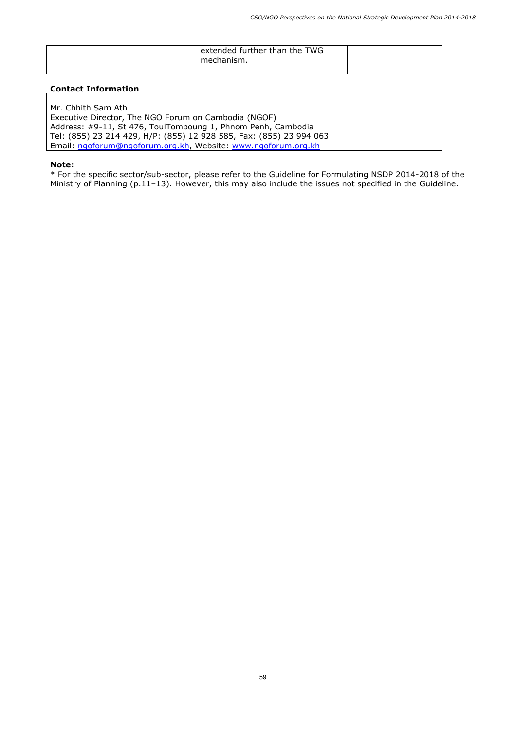| extended further than the TWG<br>mechanism. |  |
|---------------------------------------------|--|
|                                             |  |

Mr. Chhith Sam Ath Executive Director, The NGO Forum on Cambodia (NGOF) Address: #9-11, St 476, ToulTompoung 1, Phnom Penh, Cambodia Tel: (855) 23 214 429, H/P: (855) 12 928 585, Fax: (855) 23 994 063 Email: ngoforum@ngoforum.org.kh, Website: www.ngoforum.org.kh

**Note:**